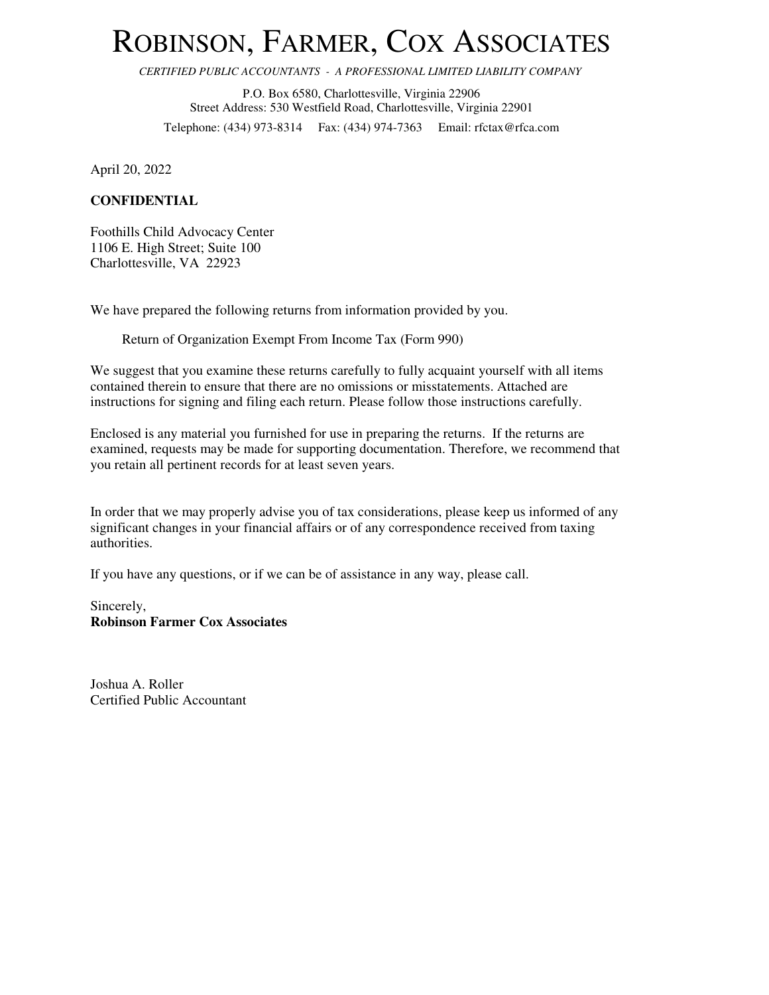# ROBINSON, FARMER, COX ASSOCIATES

*CERTIFIED PUBLIC ACCOUNTANTS - A PROFESSIONAL LIMITED LIABILITY COMPANY*

P.O. Box 6580, Charlottesville, Virginia 22906 Street Address: 530 Westfield Road, Charlottesville, Virginia 22901 Telephone: (434) 973-8314 Fax: (434) 974-7363 Email: rfctax@rfca.com

April 20, 2022

### **CONFIDENTIAL**

Foothills Child Advocacy Center 1106 E. High Street; Suite 100 Charlottesville, VA 22923

We have prepared the following returns from information provided by you.

Return of Organization Exempt From Income Tax (Form 990)

We suggest that you examine these returns carefully to fully acquaint yourself with all items contained therein to ensure that there are no omissions or misstatements. Attached are instructions for signing and filing each return. Please follow those instructions carefully.

Enclosed is any material you furnished for use in preparing the returns. If the returns are examined, requests may be made for supporting documentation. Therefore, we recommend that you retain all pertinent records for at least seven years.

In order that we may properly advise you of tax considerations, please keep us informed of any significant changes in your financial affairs or of any correspondence received from taxing authorities.

If you have any questions, or if we can be of assistance in any way, please call.

Sincerely, **Robinson Farmer Cox Associates**

Joshua A. Roller Certified Public Accountant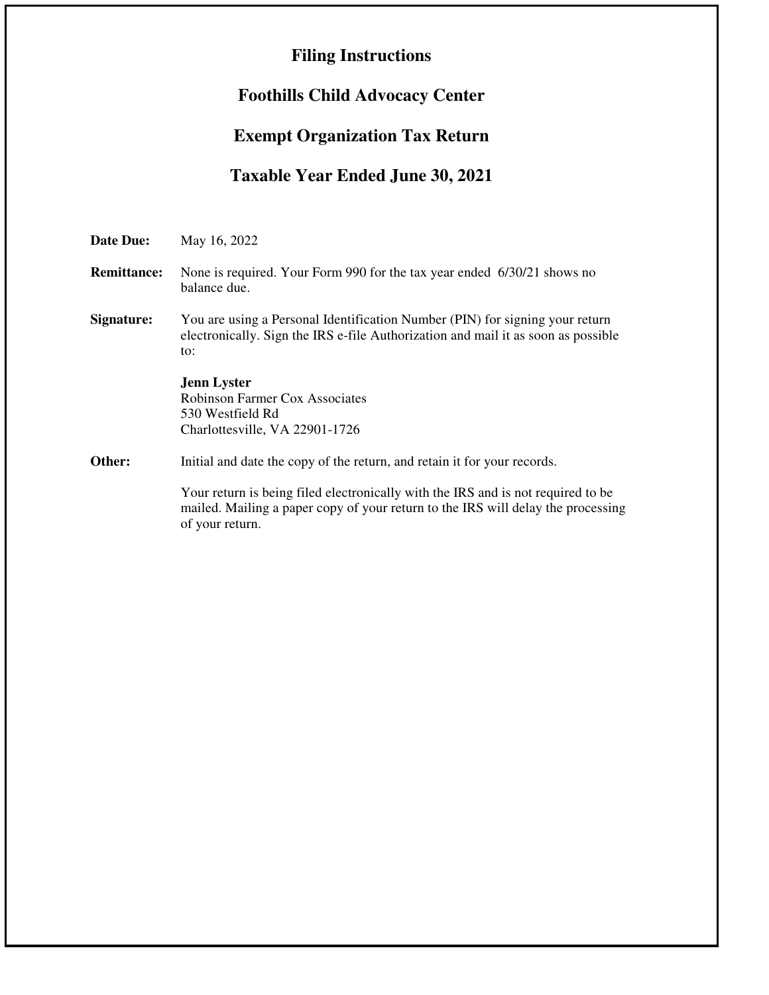# **Filing Instructions**

# **Foothills Child Advocacy Center**

# **Exempt Organization Tax Return**

# **Taxable Year Ended June 30, 2021**

| Date Due:          | May 16, 2022                                                                                                                                                             |
|--------------------|--------------------------------------------------------------------------------------------------------------------------------------------------------------------------|
| <b>Remittance:</b> | None is required. Your Form 990 for the tax year ended 6/30/21 shows no<br>balance due.                                                                                  |
| Signature:         | You are using a Personal Identification Number (PIN) for signing your return<br>electronically. Sign the IRS e-file Authorization and mail it as soon as possible<br>to: |
|                    | <b>Jenn Lyster</b><br>Robinson Farmer Cox Associates<br>530 Westfield Rd<br>Charlottesville, VA 22901-1726                                                               |
| Other:             | Initial and date the copy of the return, and retain it for your records.                                                                                                 |
|                    | Your return is being filed electronically with the IRS and is not required to be                                                                                         |

mailed. Mailing a paper copy of your return to the IRS will delay the processing of your return.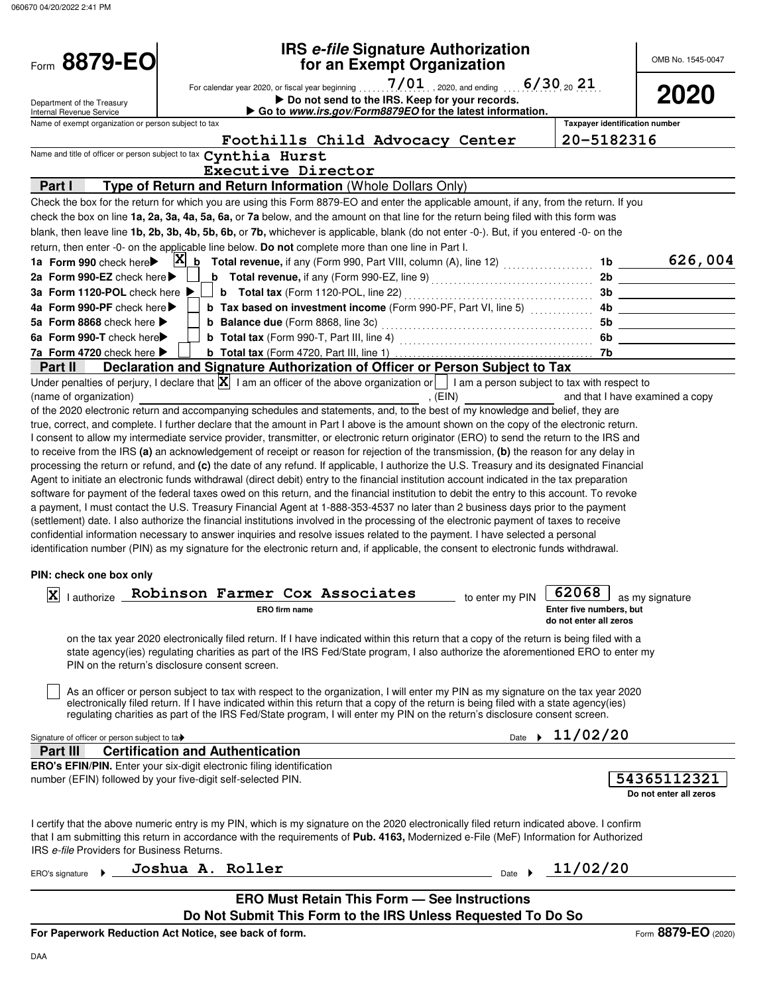| Form 8879-EO                                                                                                                                                                        |   |                                                  | <b>IRS e-file Signature Authorization</b><br>for an Exempt Organization                                                                                                                                                                                                      |                         |                                                                   | OMB No. 1545-0047                                                                                                     |
|-------------------------------------------------------------------------------------------------------------------------------------------------------------------------------------|---|--------------------------------------------------|------------------------------------------------------------------------------------------------------------------------------------------------------------------------------------------------------------------------------------------------------------------------------|-------------------------|-------------------------------------------------------------------|-----------------------------------------------------------------------------------------------------------------------|
| Department of the Treasury<br>Internal Revenue Service                                                                                                                              |   | For calendar year 2020, or fiscal year beginning | Do not send to the IRS. Keep for your records.<br>Go to www.irs.gov/Form8879EO for the latest information.                                                                                                                                                                   | $7/01$ 2020, and ending | $6/30_{\tiny{.20}}$ $21$                                          | 2020                                                                                                                  |
| Name of exempt organization or person subject to tax                                                                                                                                |   |                                                  |                                                                                                                                                                                                                                                                              |                         | Taxpayer identification number                                    |                                                                                                                       |
|                                                                                                                                                                                     |   |                                                  | Foothills Child Advocacy Center                                                                                                                                                                                                                                              |                         | 20-5182316                                                        |                                                                                                                       |
| Name and title of officer or person subject to tax Cynthia Hurst                                                                                                                    |   |                                                  |                                                                                                                                                                                                                                                                              |                         |                                                                   |                                                                                                                       |
| Part I                                                                                                                                                                              |   | <b>Executive Director</b>                        | Type of Return and Return Information (Whole Dollars Only)                                                                                                                                                                                                                   |                         |                                                                   |                                                                                                                       |
| Check the box for the return for which you are using this Form 8879-EO and enter the applicable amount, if any, from the return. If you                                             |   |                                                  |                                                                                                                                                                                                                                                                              |                         |                                                                   |                                                                                                                       |
| check the box on line 1a, 2a, 3a, 4a, 5a, 6a, or 7a below, and the amount on that line for the return being filed with this form was                                                |   |                                                  |                                                                                                                                                                                                                                                                              |                         |                                                                   |                                                                                                                       |
| blank, then leave line 1b, 2b, 3b, 4b, 5b, 6b, or 7b, whichever is applicable, blank (do not enter -0-). But, if you entered -0- on the                                             |   |                                                  |                                                                                                                                                                                                                                                                              |                         |                                                                   |                                                                                                                       |
| return, then enter -0- on the applicable line below. Do not complete more than one line in Part I.                                                                                  |   |                                                  |                                                                                                                                                                                                                                                                              |                         |                                                                   |                                                                                                                       |
| 1a Form 990 check here                                                                                                                                                              | X |                                                  | <b>b</b> Total revenue, if any (Form 990, Part VIII, column (A), line 12)                                                                                                                                                                                                    |                         | 1 <sub>b</sub>                                                    | 626,004                                                                                                               |
| 2a Form 990-EZ check here                                                                                                                                                           |   |                                                  | <b>b</b> Total revenue, if any (Form 990-EZ, line 9) $\ldots$ $\ldots$ $\ldots$ $\ldots$ $\ldots$ $\ldots$                                                                                                                                                                   |                         | 2 <sub>b</sub>                                                    | <u> 1989 - Johann Barbara, martx</u>                                                                                  |
| 3a Form 1120-POL check here ▶                                                                                                                                                       |   |                                                  |                                                                                                                                                                                                                                                                              |                         | 3b                                                                |                                                                                                                       |
| 4a Form 990-PF check here                                                                                                                                                           |   |                                                  | <b>b</b> Tax based on investment income (Form 990-PF, Part VI, line 5)                                                                                                                                                                                                       |                         | 4b.                                                               | <u> 1989 - Jan Stein Harry Stein Harry Stein Harry Stein Harry Stein Harry Stein Harry Stein Harry Stein Harry St</u> |
| 5a Form 8868 check here ▶                                                                                                                                                           |   |                                                  |                                                                                                                                                                                                                                                                              |                         | 5b                                                                | <u> 1986 - John Stein, Amerikaansk politiker (</u>                                                                    |
| 6a Form 990-T check here                                                                                                                                                            |   |                                                  |                                                                                                                                                                                                                                                                              |                         | 6b                                                                |                                                                                                                       |
| 7a Form 4720 check here ▶                                                                                                                                                           |   |                                                  |                                                                                                                                                                                                                                                                              |                         | 7b                                                                |                                                                                                                       |
| Partill                                                                                                                                                                             |   |                                                  | Declaration and Signature Authorization of Officer or Person Subject to Tax                                                                                                                                                                                                  |                         |                                                                   |                                                                                                                       |
| Under penalties of perjury, I declare that $ \mathbf{X} $ I am an officer of the above organization or $ $ I am a person subject to tax with respect to                             |   |                                                  |                                                                                                                                                                                                                                                                              |                         |                                                                   |                                                                                                                       |
| (name of organization)<br>of the 2020 electronic return and accompanying schedules and statements, and, to the best of my knowledge and belief, they are                            |   |                                                  |                                                                                                                                                                                                                                                                              | , (EIN)                 |                                                                   | and that I have examined a copy                                                                                       |
| true, correct, and complete. I further declare that the amount in Part I above is the amount shown on the copy of the electronic return.                                            |   |                                                  |                                                                                                                                                                                                                                                                              |                         |                                                                   |                                                                                                                       |
| I consent to allow my intermediate service provider, transmitter, or electronic return originator (ERO) to send the return to the IRS and                                           |   |                                                  |                                                                                                                                                                                                                                                                              |                         |                                                                   |                                                                                                                       |
| to receive from the IRS (a) an acknowledgement of receipt or reason for rejection of the transmission, (b) the reason for any delay in                                              |   |                                                  |                                                                                                                                                                                                                                                                              |                         |                                                                   |                                                                                                                       |
| processing the return or refund, and (c) the date of any refund. If applicable, I authorize the U.S. Treasury and its designated Financial                                          |   |                                                  |                                                                                                                                                                                                                                                                              |                         |                                                                   |                                                                                                                       |
| Agent to initiate an electronic funds withdrawal (direct debit) entry to the financial institution account indicated in the tax preparation                                         |   |                                                  |                                                                                                                                                                                                                                                                              |                         |                                                                   |                                                                                                                       |
| software for payment of the federal taxes owed on this return, and the financial institution to debit the entry to this account. To revoke                                          |   |                                                  |                                                                                                                                                                                                                                                                              |                         |                                                                   |                                                                                                                       |
| a payment, I must contact the U.S. Treasury Financial Agent at 1-888-353-4537 no later than 2 business days prior to the payment                                                    |   |                                                  |                                                                                                                                                                                                                                                                              |                         |                                                                   |                                                                                                                       |
| (settlement) date. I also authorize the financial institutions involved in the processing of the electronic payment of taxes to receive                                             |   |                                                  |                                                                                                                                                                                                                                                                              |                         |                                                                   |                                                                                                                       |
| confidential information necessary to answer inquiries and resolve issues related to the payment. I have selected a personal                                                        |   |                                                  |                                                                                                                                                                                                                                                                              |                         |                                                                   |                                                                                                                       |
| identification number (PIN) as my signature for the electronic return and, if applicable, the consent to electronic funds withdrawal.                                               |   |                                                  |                                                                                                                                                                                                                                                                              |                         |                                                                   |                                                                                                                       |
| PIN: check one box only                                                                                                                                                             |   |                                                  |                                                                                                                                                                                                                                                                              |                         |                                                                   |                                                                                                                       |
|                                                                                                                                                                                     |   |                                                  |                                                                                                                                                                                                                                                                              |                         |                                                                   |                                                                                                                       |
| X lauthorize Robinson Farmer Cox Associates                                                                                                                                         |   |                                                  |                                                                                                                                                                                                                                                                              |                         | $\overline{a}$ to enter my PIN $\overline{62068}$ as my signature |                                                                                                                       |
|                                                                                                                                                                                     |   | ERO firm name                                    |                                                                                                                                                                                                                                                                              |                         | Enter five numbers, but<br>do not enter all zeros                 |                                                                                                                       |
|                                                                                                                                                                                     |   |                                                  |                                                                                                                                                                                                                                                                              |                         |                                                                   |                                                                                                                       |
|                                                                                                                                                                                     |   |                                                  | on the tax year 2020 electronically filed return. If I have indicated within this return that a copy of the return is being filed with a<br>state agency(ies) regulating charities as part of the IRS Fed/State program, I also authorize the aforementioned ERO to enter my |                         |                                                                   |                                                                                                                       |
| PIN on the return's disclosure consent screen.                                                                                                                                      |   |                                                  |                                                                                                                                                                                                                                                                              |                         |                                                                   |                                                                                                                       |
|                                                                                                                                                                                     |   |                                                  |                                                                                                                                                                                                                                                                              |                         |                                                                   |                                                                                                                       |
|                                                                                                                                                                                     |   |                                                  | As an officer or person subject to tax with respect to the organization, I will enter my PIN as my signature on the tax year 2020                                                                                                                                            |                         |                                                                   |                                                                                                                       |
|                                                                                                                                                                                     |   |                                                  | electronically filed return. If I have indicated within this return that a copy of the return is being filed with a state agency(ies)                                                                                                                                        |                         |                                                                   |                                                                                                                       |
|                                                                                                                                                                                     |   |                                                  | regulating charities as part of the IRS Fed/State program, I will enter my PIN on the return's disclosure consent screen.                                                                                                                                                    |                         |                                                                   |                                                                                                                       |
| Signature of officer or person subject to ta>                                                                                                                                       |   |                                                  |                                                                                                                                                                                                                                                                              |                         | Date $\rightarrow 11/02/20$                                       |                                                                                                                       |
| Pariti III                                                                                                                                                                          |   | <b>Certification and Authentication</b>          |                                                                                                                                                                                                                                                                              |                         |                                                                   |                                                                                                                       |
| ERO's EFIN/PIN. Enter your six-digit electronic filing identification                                                                                                               |   |                                                  |                                                                                                                                                                                                                                                                              |                         |                                                                   |                                                                                                                       |
| number (EFIN) followed by your five-digit self-selected PIN.                                                                                                                        |   |                                                  |                                                                                                                                                                                                                                                                              |                         |                                                                   | 54365112321                                                                                                           |
|                                                                                                                                                                                     |   |                                                  |                                                                                                                                                                                                                                                                              |                         |                                                                   | Do not enter all zeros                                                                                                |
|                                                                                                                                                                                     |   |                                                  |                                                                                                                                                                                                                                                                              |                         |                                                                   |                                                                                                                       |
| I certify that the above numeric entry is my PIN, which is my signature on the 2020 electronically filed return indicated above. I confirm                                          |   |                                                  |                                                                                                                                                                                                                                                                              |                         |                                                                   |                                                                                                                       |
| that I am submitting this return in accordance with the requirements of Pub. 4163, Modernized e-File (MeF) Information for Authorized<br>IRS e-file Providers for Business Returns. |   |                                                  |                                                                                                                                                                                                                                                                              |                         |                                                                   |                                                                                                                       |
|                                                                                                                                                                                     |   |                                                  |                                                                                                                                                                                                                                                                              |                         |                                                                   |                                                                                                                       |
| ERO's signature                                                                                                                                                                     |   | Joshua A. Roller                                 |                                                                                                                                                                                                                                                                              | Date                    | 11/02/20                                                          |                                                                                                                       |
|                                                                                                                                                                                     |   |                                                  | <b>ERO Must Retain This Form - See Instructions</b>                                                                                                                                                                                                                          |                         |                                                                   |                                                                                                                       |
|                                                                                                                                                                                     |   |                                                  |                                                                                                                                                                                                                                                                              |                         |                                                                   |                                                                                                                       |
|                                                                                                                                                                                     |   |                                                  | Do Not Submit This Form to the IRS Unless Requested To Do So                                                                                                                                                                                                                 |                         |                                                                   |                                                                                                                       |
| For Paperwork Reduction Act Notice, see back of form.                                                                                                                               |   |                                                  |                                                                                                                                                                                                                                                                              |                         |                                                                   | Form 8879-EO (2020)                                                                                                   |

**For Paperwork Reduction Act Notice, see back of form.**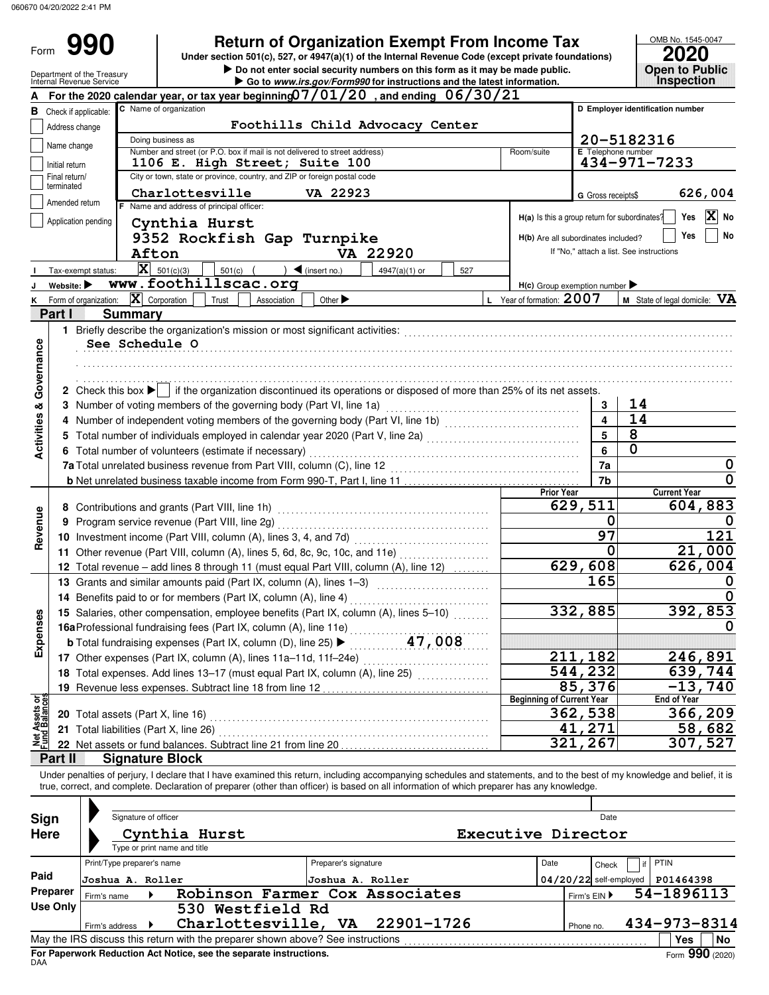| Form                                   | 990                                                    |                                                                                                                                                                                                                                                                                                                          | <b>Return of Organization Exempt From Income Tax</b><br>Under section 501(c), 527, or 4947(a)(1) of the Internal Revenue Code (except private foundations) |     |                                               |                              | OMB No. 1545-0047<br><b>2020</b>                |
|----------------------------------------|--------------------------------------------------------|--------------------------------------------------------------------------------------------------------------------------------------------------------------------------------------------------------------------------------------------------------------------------------------------------------------------------|------------------------------------------------------------------------------------------------------------------------------------------------------------|-----|-----------------------------------------------|------------------------------|-------------------------------------------------|
|                                        | Department of the Treasury<br>Internal Revenue Service |                                                                                                                                                                                                                                                                                                                          | Do not enter social security numbers on this form as it may be made public.<br>Go to www.irs.gov/Form990 for instructions and the latest information.      |     |                                               |                              | <b>Open to Public</b><br><b>Inspection</b>      |
|                                        |                                                        | For the 2020 calendar year, or tax year beginning 07/01/20, and ending 06/30/21                                                                                                                                                                                                                                          |                                                                                                                                                            |     |                                               |                              |                                                 |
| В                                      | Check if applicable:                                   | C Name of organization                                                                                                                                                                                                                                                                                                   |                                                                                                                                                            |     |                                               |                              | D Employer identification number                |
|                                        | Address change                                         | Doing business as                                                                                                                                                                                                                                                                                                        | Foothills Child Advocacy Center                                                                                                                            |     |                                               |                              | 20-5182316                                      |
|                                        | Name change                                            | Number and street (or P.O. box if mail is not delivered to street address)                                                                                                                                                                                                                                               |                                                                                                                                                            |     | Room/suite                                    | E Telephone number           |                                                 |
| Initial return                         |                                                        | 1106 E. High Street; Suite 100                                                                                                                                                                                                                                                                                           |                                                                                                                                                            |     |                                               |                              | $434 - 971 - 7233$                              |
| Final return/<br>terminated            |                                                        | City or town, state or province, country, and ZIP or foreign postal code<br>Charlottesville                                                                                                                                                                                                                              | VA 22923                                                                                                                                                   |     |                                               |                              |                                                 |
|                                        | Amended return                                         | F Name and address of principal officer:                                                                                                                                                                                                                                                                                 |                                                                                                                                                            |     |                                               | G Gross receipts\$           | 626,004                                         |
|                                        | Application pending                                    | Cynthia Hurst                                                                                                                                                                                                                                                                                                            |                                                                                                                                                            |     | H(a) Is this a group return for subordinates? |                              | $\mathbf{x}$<br>Yes<br>No                       |
|                                        |                                                        | 9352 Rockfish Gap Turnpike                                                                                                                                                                                                                                                                                               |                                                                                                                                                            |     | H(b) Are all subordinates included?           |                              | Yes<br>No                                       |
|                                        | Afton                                                  |                                                                                                                                                                                                                                                                                                                          | VA 22920                                                                                                                                                   |     |                                               |                              | If "No," attach a list. See instructions        |
|                                        | Tax-exempt status:                                     | $\overline{\mathbf{X}}$ 501(c)(3)<br>501(c)                                                                                                                                                                                                                                                                              | $\triangleleft$ (insert no.)<br>4947(a)(1) or                                                                                                              | 527 |                                               |                              |                                                 |
| Website:                               |                                                        | www.foothillscac.org                                                                                                                                                                                                                                                                                                     |                                                                                                                                                            |     | $H(c)$ Group exemption number                 |                              |                                                 |
|                                        | Form of organization:                                  | $ \mathbf{X} $ Corporation<br>Trust<br>Association                                                                                                                                                                                                                                                                       | Other $\blacktriangleright$                                                                                                                                |     | L Year of formation: 2007                     |                              | <b>M</b> State of legal domicile: $\mathbf{VA}$ |
| Part I                                 | <b>Summary</b>                                         |                                                                                                                                                                                                                                                                                                                          |                                                                                                                                                            |     |                                               |                              |                                                 |
|                                        |                                                        |                                                                                                                                                                                                                                                                                                                          |                                                                                                                                                            |     |                                               |                              |                                                 |
| & Governance                           | See Schedule O                                         |                                                                                                                                                                                                                                                                                                                          |                                                                                                                                                            |     |                                               |                              |                                                 |
|                                        |                                                        |                                                                                                                                                                                                                                                                                                                          |                                                                                                                                                            |     |                                               |                              |                                                 |
|                                        |                                                        |                                                                                                                                                                                                                                                                                                                          |                                                                                                                                                            |     |                                               |                              |                                                 |
|                                        |                                                        | 2 Check this box $\blacktriangleright$ if the organization discontinued its operations or disposed of more than 25% of its net assets.                                                                                                                                                                                   |                                                                                                                                                            |     |                                               |                              | 14                                              |
|                                        |                                                        | 3 Number of voting members of the governing body (Part VI, line 1a)<br>4 Number of independent voting members of the governing body (Part VI, line 1b) [1] [1] [1] Number of independent voting members of the governing body (Part VI, line 1b)                                                                         |                                                                                                                                                            |     |                                               | 3<br>$\overline{\mathbf{4}}$ | 14                                              |
| Activities                             |                                                        | 5 Total number of individuals employed in calendar year 2020 (Part V, line 2a) [[[[[[[[[[[[[[[[[[[[[[[[[[[[[[                                                                                                                                                                                                            |                                                                                                                                                            |     |                                               | 5                            | 8                                               |
|                                        |                                                        | 6 Total number of volunteers (estimate if necessary)                                                                                                                                                                                                                                                                     |                                                                                                                                                            |     |                                               | 6                            | 0                                               |
|                                        |                                                        |                                                                                                                                                                                                                                                                                                                          |                                                                                                                                                            |     |                                               | 7a                           | $\mathbf 0$                                     |
|                                        |                                                        |                                                                                                                                                                                                                                                                                                                          |                                                                                                                                                            |     |                                               | 7b                           | $\mathbf 0$                                     |
|                                        |                                                        |                                                                                                                                                                                                                                                                                                                          |                                                                                                                                                            |     | <b>Prior Year</b>                             |                              | <b>Current Year</b>                             |
|                                        |                                                        | 8 Contributions and grants (Part VIII, line 1h)                                                                                                                                                                                                                                                                          |                                                                                                                                                            |     |                                               | 629,511                      | 604,883                                         |
|                                        |                                                        | 9 Program service revenue (Part VIII, line 2g)                                                                                                                                                                                                                                                                           |                                                                                                                                                            |     |                                               | 0                            |                                                 |
| Revenue                                |                                                        | 10 Investment income (Part VIII, column (A), lines 3, 4, and 7d)                                                                                                                                                                                                                                                         |                                                                                                                                                            |     |                                               | 97                           | 121                                             |
|                                        |                                                        | 11 Other revenue (Part VIII, column (A), lines 5, 6d, 8c, 9c, 10c, and 11e)                                                                                                                                                                                                                                              |                                                                                                                                                            |     |                                               | 0<br>629,608                 | 21,000                                          |
|                                        |                                                        | 12 Total revenue - add lines 8 through 11 (must equal Part VIII, column (A), line 12)                                                                                                                                                                                                                                    |                                                                                                                                                            |     |                                               | 165                          | 626,004<br>$\mathbf 0$                          |
|                                        |                                                        | 14 Benefits paid to or for members (Part IX, column (A), line 4)                                                                                                                                                                                                                                                         |                                                                                                                                                            |     |                                               |                              | O.                                              |
|                                        |                                                        | 15 Salaries, other compensation, employee benefits (Part IX, column (A), lines 5-10)                                                                                                                                                                                                                                     |                                                                                                                                                            |     |                                               | 332,885                      | 392,853                                         |
|                                        |                                                        | 15 Salaries, other compensation, employee 22<br>16aProfessional fundraising fees (Part IX, column (A), line 11e)<br>17, 008                                                                                                                                                                                              |                                                                                                                                                            |     |                                               |                              |                                                 |
|                                        |                                                        |                                                                                                                                                                                                                                                                                                                          |                                                                                                                                                            |     |                                               |                              |                                                 |
| Expenses                               |                                                        | 17 Other expenses (Part IX, column (A), lines 11a-11d, 11f-24e)                                                                                                                                                                                                                                                          |                                                                                                                                                            |     |                                               | 211,182                      | 246,891                                         |
|                                        |                                                        | 18 Total expenses. Add lines 13-17 (must equal Part IX, column (A), line 25)                                                                                                                                                                                                                                             |                                                                                                                                                            |     |                                               | 544,232                      | 639,744                                         |
|                                        |                                                        |                                                                                                                                                                                                                                                                                                                          |                                                                                                                                                            |     |                                               | 85,376                       | $-13,740$                                       |
|                                        |                                                        |                                                                                                                                                                                                                                                                                                                          |                                                                                                                                                            |     | <b>Beginning of Current Year</b>              |                              | <b>End of Year</b>                              |
|                                        |                                                        |                                                                                                                                                                                                                                                                                                                          |                                                                                                                                                            |     |                                               | 362,538                      | 366,209                                         |
| <b>Net Assets or<br/>Fund Balances</b> |                                                        |                                                                                                                                                                                                                                                                                                                          |                                                                                                                                                            |     |                                               | 41,271                       | 58,682                                          |
|                                        |                                                        |                                                                                                                                                                                                                                                                                                                          |                                                                                                                                                            |     |                                               | 321,267                      | 307,527                                         |
| Part II                                | <b>Signature Block</b>                                 |                                                                                                                                                                                                                                                                                                                          |                                                                                                                                                            |     |                                               |                              |                                                 |
|                                        |                                                        | Under penalties of perjury, I declare that I have examined this return, including accompanying schedules and statements, and to the best of my knowledge and belief, it is<br>true, correct, and complete. Declaration of preparer (other than officer) is based on all information of which preparer has any knowledge. |                                                                                                                                                            |     |                                               |                              |                                                 |
|                                        |                                                        |                                                                                                                                                                                                                                                                                                                          |                                                                                                                                                            |     |                                               |                              |                                                 |
| Sign                                   | Signature of officer                                   |                                                                                                                                                                                                                                                                                                                          |                                                                                                                                                            |     |                                               | Date                         |                                                 |
| <b>Here</b>                            |                                                        | Cynthia Hurst                                                                                                                                                                                                                                                                                                            |                                                                                                                                                            |     | <b>Executive Director</b>                     |                              |                                                 |
|                                        |                                                        | Type or print name and title                                                                                                                                                                                                                                                                                             |                                                                                                                                                            |     |                                               |                              |                                                 |
|                                        | Print/Type preparer's name                             |                                                                                                                                                                                                                                                                                                                          | Preparer's signature                                                                                                                                       |     | Date                                          | Check                        | PTIN<br>if                                      |
| Paid                                   | Joshua A. Roller                                       |                                                                                                                                                                                                                                                                                                                          | Joshua A. Roller                                                                                                                                           |     |                                               | $04/20/22$ self-employed     | P01464398                                       |
| Preparer                               | Firm's name                                            |                                                                                                                                                                                                                                                                                                                          | Robinson Farmer Cox Associates                                                                                                                             |     |                                               | Firm's EIN ▶                 | 54-1896113                                      |
| Use Only                               |                                                        | 530 Westfield Rd                                                                                                                                                                                                                                                                                                         |                                                                                                                                                            |     |                                               |                              |                                                 |
|                                        | Firm's address                                         | Charlottesville, VA                                                                                                                                                                                                                                                                                                      | 22901-1726                                                                                                                                                 |     |                                               | Phone no.                    | 434-973-8314                                    |
|                                        |                                                        |                                                                                                                                                                                                                                                                                                                          |                                                                                                                                                            |     |                                               |                              | <b>Yes</b><br>No                                |

| Sign<br><b>Here</b>                 |                                                       | Signature of officer<br>Type or print name and title | Cynthia Hurst                                                                                                                                         |                                              | <b>Executive Director</b> |                           | Date                              |                            |                       |
|-------------------------------------|-------------------------------------------------------|------------------------------------------------------|-------------------------------------------------------------------------------------------------------------------------------------------------------|----------------------------------------------|---------------------------|---------------------------|-----------------------------------|----------------------------|-----------------------|
| Paid<br>Preparer<br><b>Use Only</b> | Print/Type preparer's name<br><b>Joshua A. Roller</b> |                                                      |                                                                                                                                                       | Preparer's signature<br>Joshua A. Roller     | Date                      |                           | Check<br>$04/20/22$ self-employed | <b>PTIN</b><br>P01464398   |                       |
|                                     | Firm's name<br>Firm's address                         |                                                      | 530 Westfield Rd<br>Charlottesville, VA                                                                                                               | Robinson Farmer Cox Associates<br>22901-1726 |                           | Firm's $EIN$<br>Phone no. |                                   | 54-1896113<br>434-973-8314 |                       |
|                                     |                                                       |                                                      | May the IRS discuss this return with the preparer shown above? See instructions<br>For Paperwork Reduction Act Notice, see the separate instructions. |                                              |                           |                           |                                   | Yes                        | No<br>Form 990 (2020) |

or **Pap**<br>DAA rtice, see the sepa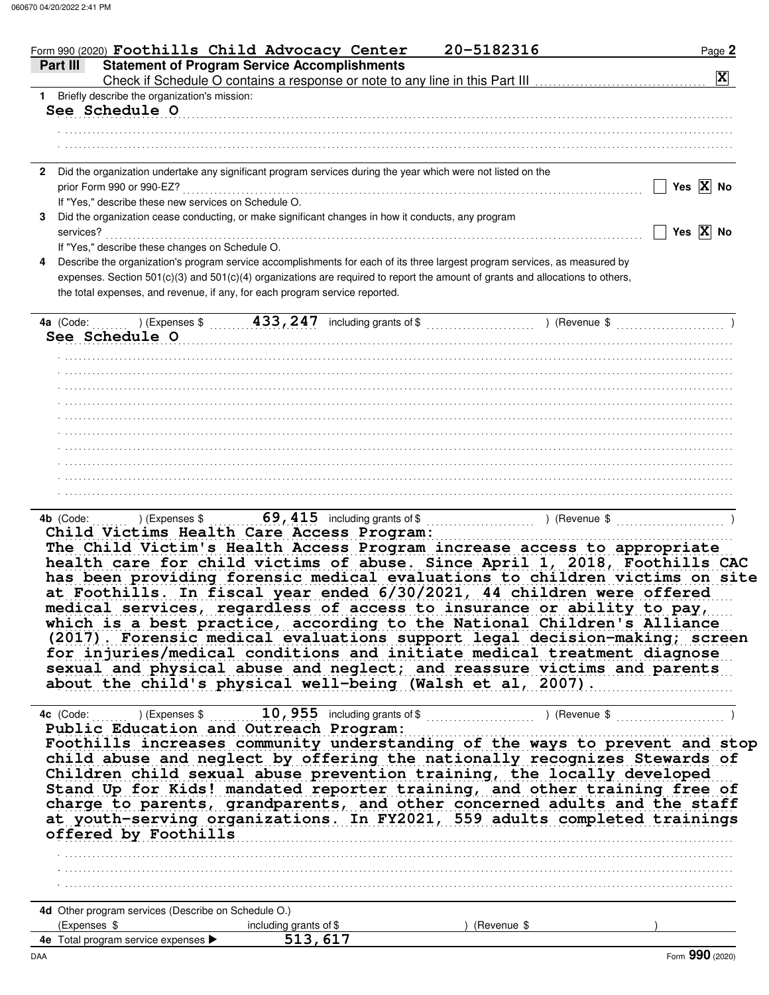| Part III                                                                                 | Form 990 (2020) Foothills Child Advocacy Center<br><b>Statement of Program Service Accomplishments</b>                                                                                                                                                                                                                                                                                                                                                                                                                                                                                                                                                                                                                      | 20-5182316                                                                 | Page 2                |
|------------------------------------------------------------------------------------------|-----------------------------------------------------------------------------------------------------------------------------------------------------------------------------------------------------------------------------------------------------------------------------------------------------------------------------------------------------------------------------------------------------------------------------------------------------------------------------------------------------------------------------------------------------------------------------------------------------------------------------------------------------------------------------------------------------------------------------|----------------------------------------------------------------------------|-----------------------|
|                                                                                          |                                                                                                                                                                                                                                                                                                                                                                                                                                                                                                                                                                                                                                                                                                                             |                                                                            | $\mathbf{x}$          |
| 1 Briefly describe the organization's mission:                                           |                                                                                                                                                                                                                                                                                                                                                                                                                                                                                                                                                                                                                                                                                                                             |                                                                            |                       |
| See Schedule O                                                                           |                                                                                                                                                                                                                                                                                                                                                                                                                                                                                                                                                                                                                                                                                                                             |                                                                            |                       |
|                                                                                          |                                                                                                                                                                                                                                                                                                                                                                                                                                                                                                                                                                                                                                                                                                                             |                                                                            |                       |
|                                                                                          |                                                                                                                                                                                                                                                                                                                                                                                                                                                                                                                                                                                                                                                                                                                             |                                                                            |                       |
|                                                                                          |                                                                                                                                                                                                                                                                                                                                                                                                                                                                                                                                                                                                                                                                                                                             |                                                                            |                       |
|                                                                                          | 2 Did the organization undertake any significant program services during the year which were not listed on the                                                                                                                                                                                                                                                                                                                                                                                                                                                                                                                                                                                                              |                                                                            |                       |
| prior Form 990 or 990-EZ?                                                                |                                                                                                                                                                                                                                                                                                                                                                                                                                                                                                                                                                                                                                                                                                                             |                                                                            | Yes $\overline{X}$ No |
| If "Yes," describe these new services on Schedule O.                                     | Did the organization cease conducting, or make significant changes in how it conducts, any program                                                                                                                                                                                                                                                                                                                                                                                                                                                                                                                                                                                                                          |                                                                            |                       |
| services?                                                                                |                                                                                                                                                                                                                                                                                                                                                                                                                                                                                                                                                                                                                                                                                                                             |                                                                            | Yes $\overline{X}$ No |
| If "Yes," describe these changes on Schedule O.                                          |                                                                                                                                                                                                                                                                                                                                                                                                                                                                                                                                                                                                                                                                                                                             |                                                                            |                       |
| 4                                                                                        | Describe the organization's program service accomplishments for each of its three largest program services, as measured by                                                                                                                                                                                                                                                                                                                                                                                                                                                                                                                                                                                                  |                                                                            |                       |
|                                                                                          | expenses. Section $501(c)(3)$ and $501(c)(4)$ organizations are required to report the amount of grants and allocations to others,                                                                                                                                                                                                                                                                                                                                                                                                                                                                                                                                                                                          |                                                                            |                       |
|                                                                                          | the total expenses, and revenue, if any, for each program service reported.                                                                                                                                                                                                                                                                                                                                                                                                                                                                                                                                                                                                                                                 |                                                                            |                       |
|                                                                                          |                                                                                                                                                                                                                                                                                                                                                                                                                                                                                                                                                                                                                                                                                                                             |                                                                            |                       |
| 4a (Code:<br>$(1, 1, 1)$ (Expenses \$                                                    |                                                                                                                                                                                                                                                                                                                                                                                                                                                                                                                                                                                                                                                                                                                             |                                                                            |                       |
| See Schedule O                                                                           |                                                                                                                                                                                                                                                                                                                                                                                                                                                                                                                                                                                                                                                                                                                             |                                                                            |                       |
|                                                                                          |                                                                                                                                                                                                                                                                                                                                                                                                                                                                                                                                                                                                                                                                                                                             |                                                                            |                       |
|                                                                                          |                                                                                                                                                                                                                                                                                                                                                                                                                                                                                                                                                                                                                                                                                                                             |                                                                            |                       |
|                                                                                          |                                                                                                                                                                                                                                                                                                                                                                                                                                                                                                                                                                                                                                                                                                                             |                                                                            |                       |
|                                                                                          |                                                                                                                                                                                                                                                                                                                                                                                                                                                                                                                                                                                                                                                                                                                             |                                                                            |                       |
|                                                                                          |                                                                                                                                                                                                                                                                                                                                                                                                                                                                                                                                                                                                                                                                                                                             |                                                                            |                       |
|                                                                                          |                                                                                                                                                                                                                                                                                                                                                                                                                                                                                                                                                                                                                                                                                                                             |                                                                            |                       |
|                                                                                          |                                                                                                                                                                                                                                                                                                                                                                                                                                                                                                                                                                                                                                                                                                                             |                                                                            |                       |
|                                                                                          |                                                                                                                                                                                                                                                                                                                                                                                                                                                                                                                                                                                                                                                                                                                             |                                                                            |                       |
|                                                                                          |                                                                                                                                                                                                                                                                                                                                                                                                                                                                                                                                                                                                                                                                                                                             |                                                                            |                       |
|                                                                                          |                                                                                                                                                                                                                                                                                                                                                                                                                                                                                                                                                                                                                                                                                                                             |                                                                            |                       |
|                                                                                          | b (Code: ) (Expenses \$ 69,415 including grants of \$ ) (Revenue \$ ) (Revenue \$ ) (Revenue \$ ) (Revenue \$ ) (Revenue \$ ) (Revenue \$ ) (Revenue \$ ) (Revenue \$ ) (Revenue $\frac{1}{2}$ ) (Revenue $\frac{1}{2}$ ) (Revenue $\frac{1}{2}$ ) (<br>The Child Victim's Health Access Program increase access to appropriate<br>health care for child victims of abuse. Since April 1, 2018, Foothills CAC<br>has been providing forensic medical evaluations to children victims on site<br>at Foothills. In fiscal year ended 6/30/2021, 44 children were offered<br>medical services, regardless of access to insurance or ability to pay,<br>which is a best practice, according to the National Children's Alliance | (2017). Forensic medical evaluations support legal decision-making; screen |                       |
|                                                                                          | for injuries/medical conditions and initiate medical treatment diagnose<br>sexual and physical abuse and neglect; and reassure victims and parents<br>about the child's physical well-being (Walsh et al, 2007).                                                                                                                                                                                                                                                                                                                                                                                                                                                                                                            |                                                                            |                       |
|                                                                                          |                                                                                                                                                                                                                                                                                                                                                                                                                                                                                                                                                                                                                                                                                                                             |                                                                            |                       |
|                                                                                          | $\ldots$ ) (Expenses \$ $\ldots$ 10, 955 including grants of \$ $\ldots$ ) (Revenue \$ $\ldots$ )                                                                                                                                                                                                                                                                                                                                                                                                                                                                                                                                                                                                                           |                                                                            |                       |
|                                                                                          | Public Education and Outreach Program:                                                                                                                                                                                                                                                                                                                                                                                                                                                                                                                                                                                                                                                                                      |                                                                            |                       |
|                                                                                          | Foothills increases community understanding of the ways to prevent and stop                                                                                                                                                                                                                                                                                                                                                                                                                                                                                                                                                                                                                                                 |                                                                            |                       |
|                                                                                          | child abuse and neglect by offering the nationally recognizes Stewards of                                                                                                                                                                                                                                                                                                                                                                                                                                                                                                                                                                                                                                                   |                                                                            |                       |
|                                                                                          | Children child sexual abuse prevention training, the locally developed                                                                                                                                                                                                                                                                                                                                                                                                                                                                                                                                                                                                                                                      |                                                                            |                       |
|                                                                                          | Stand Up for Kids! mandated reporter training, and other training free of                                                                                                                                                                                                                                                                                                                                                                                                                                                                                                                                                                                                                                                   |                                                                            |                       |
|                                                                                          | charge to parents, grandparents, and other concerned adults and the staff                                                                                                                                                                                                                                                                                                                                                                                                                                                                                                                                                                                                                                                   |                                                                            |                       |
|                                                                                          | at youth-serving organizations. In FY2021, 559 adults completed trainings                                                                                                                                                                                                                                                                                                                                                                                                                                                                                                                                                                                                                                                   |                                                                            |                       |
|                                                                                          |                                                                                                                                                                                                                                                                                                                                                                                                                                                                                                                                                                                                                                                                                                                             |                                                                            |                       |
|                                                                                          |                                                                                                                                                                                                                                                                                                                                                                                                                                                                                                                                                                                                                                                                                                                             |                                                                            |                       |
|                                                                                          |                                                                                                                                                                                                                                                                                                                                                                                                                                                                                                                                                                                                                                                                                                                             |                                                                            |                       |
|                                                                                          |                                                                                                                                                                                                                                                                                                                                                                                                                                                                                                                                                                                                                                                                                                                             |                                                                            |                       |
|                                                                                          |                                                                                                                                                                                                                                                                                                                                                                                                                                                                                                                                                                                                                                                                                                                             |                                                                            |                       |
| 4c (Code:<br>offered by Foothills<br>4d Other program services (Describe on Schedule O.) |                                                                                                                                                                                                                                                                                                                                                                                                                                                                                                                                                                                                                                                                                                                             |                                                                            |                       |
| (Expenses \$<br>4e Total program service expenses >                                      | including grants of \$<br>513,617                                                                                                                                                                                                                                                                                                                                                                                                                                                                                                                                                                                                                                                                                           | ) (Revenue \$                                                              |                       |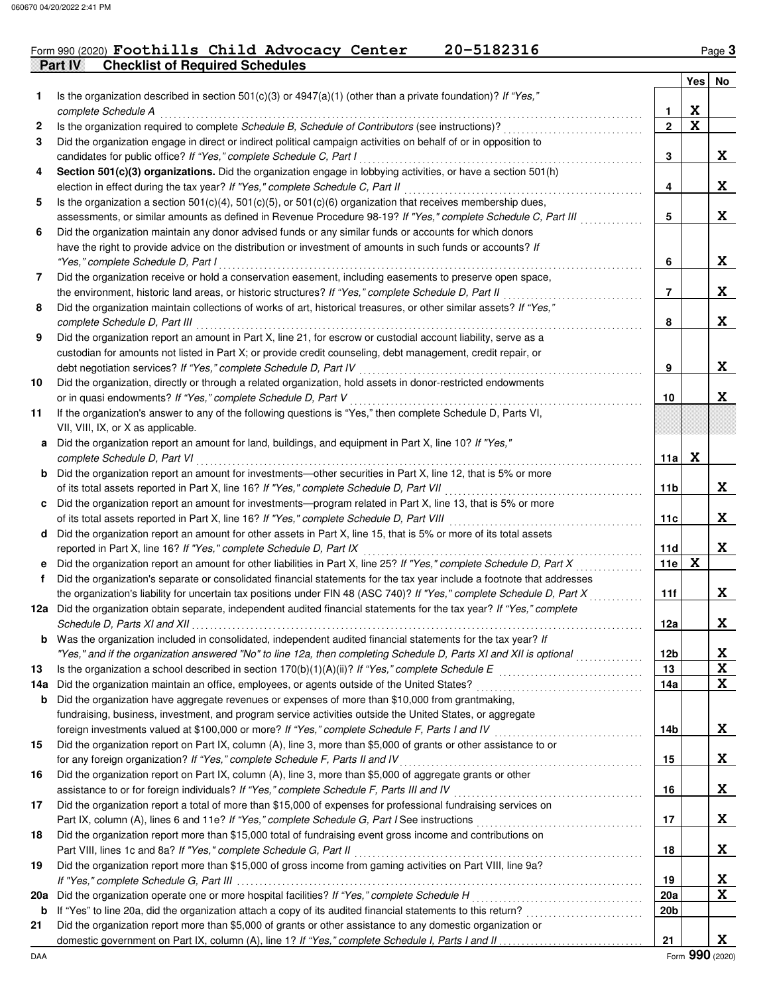# Form 990 (2020) Foothills Child Advocacy Center 20-5182316 Page 3

**Part IV Checklist of Required Schedules**

| Is the organization described in section $501(c)(3)$ or $4947(a)(1)$ (other than a private foundation)? If "Yes,"<br>1.<br>X<br>complete Schedule A<br>1<br>$\mathbf x$<br>$\overline{2}$<br>Is the organization required to complete Schedule B, Schedule of Contributors (see instructions)?<br>2<br>Did the organization engage in direct or indirect political campaign activities on behalf of or in opposition to<br>3<br>X<br>candidates for public office? If "Yes," complete Schedule C, Part I<br>3<br>Section 501(c)(3) organizations. Did the organization engage in lobbying activities, or have a section 501(h)<br>4<br>X<br>election in effect during the tax year? If "Yes," complete Schedule C, Part II<br>4<br>Is the organization a section 501(c)(4), 501(c)(5), or 501(c)(6) organization that receives membership dues,<br>5<br>X<br>assessments, or similar amounts as defined in Revenue Procedure 98-19? If "Yes," complete Schedule C, Part III<br>5<br>Did the organization maintain any donor advised funds or any similar funds or accounts for which donors<br>6<br>have the right to provide advice on the distribution or investment of amounts in such funds or accounts? If<br>X<br>"Yes," complete Schedule D, Part I<br>6<br>Did the organization receive or hold a conservation easement, including easements to preserve open space,<br>7<br>X<br>the environment, historic land areas, or historic structures? If "Yes," complete Schedule D, Part II<br>7<br>Did the organization maintain collections of works of art, historical treasures, or other similar assets? If "Yes,"<br>8<br>X<br>complete Schedule D, Part III<br>8<br>Did the organization report an amount in Part X, line 21, for escrow or custodial account liability, serve as a<br>9<br>custodian for amounts not listed in Part X; or provide credit counseling, debt management, credit repair, or<br>X<br>debt negotiation services? If "Yes," complete Schedule D, Part IV<br>9<br>Did the organization, directly or through a related organization, hold assets in donor-restricted endowments<br>10<br>X<br>or in quasi endowments? If "Yes," complete Schedule D, Part V<br>10<br>If the organization's answer to any of the following questions is "Yes," then complete Schedule D, Parts VI,<br>11<br>VII, VIII, IX, or X as applicable.<br>Did the organization report an amount for land, buildings, and equipment in Part X, line 10? If "Yes,"<br>a<br>X<br>complete Schedule D, Part VI<br>11a<br>Did the organization report an amount for investments—other securities in Part X, line 12, that is 5% or more<br>b<br>X<br>of its total assets reported in Part X, line 16? If "Yes," complete Schedule D, Part VII<br>11 <sub>b</sub><br>Did the organization report an amount for investments—program related in Part X, line 13, that is 5% or more<br>c<br>X<br>of its total assets reported in Part X, line 16? If "Yes," complete Schedule D, Part VIII<br>11c<br>Did the organization report an amount for other assets in Part X, line 15, that is 5% or more of its total assets<br>d<br>X<br>reported in Part X, line 16? If "Yes," complete Schedule D, Part IX<br>11d<br>X<br>Did the organization report an amount for other liabilities in Part X, line 25? If "Yes," complete Schedule D, Part X<br>11e<br>е<br>Did the organization's separate or consolidated financial statements for the tax year include a footnote that addresses<br>f<br>X<br>the organization's liability for uncertain tax positions under FIN 48 (ASC 740)? If "Yes," complete Schedule D, Part X<br>11f<br>Did the organization obtain separate, independent audited financial statements for the tax year? If "Yes," complete<br>12a<br>X<br>Schedule D, Parts XI and XII<br>12a<br>b Was the organization included in consolidated, independent audited financial statements for the tax year? If<br>12 <sub>b</sub><br>X<br>"Yes," and if the organization answered "No" to line 12a, then completing Schedule D, Parts XI and XII is optional<br>$\mathbf x$<br>13<br>13<br>X<br>Did the organization maintain an office, employees, or agents outside of the United States?<br>14a<br>14a<br>Did the organization have aggregate revenues or expenses of more than \$10,000 from grantmaking,<br>b<br>fundraising, business, investment, and program service activities outside the United States, or aggregate<br>X<br>14b<br>Did the organization report on Part IX, column (A), line 3, more than \$5,000 of grants or other assistance to or<br>15<br>X<br>for any foreign organization? If "Yes," complete Schedule F, Parts II and IV<br>15<br>Did the organization report on Part IX, column (A), line 3, more than \$5,000 of aggregate grants or other<br>16<br>X<br>16<br>Did the organization report a total of more than \$15,000 of expenses for professional fundraising services on<br>17<br>X<br>17<br>Did the organization report more than \$15,000 total of fundraising event gross income and contributions on<br>18<br>X<br>Part VIII, lines 1c and 8a? If "Yes," complete Schedule G, Part II<br>18<br>19<br>Did the organization report more than \$15,000 of gross income from gaming activities on Part VIII, line 9a?<br>19<br>X<br>X<br>Did the organization operate one or more hospital facilities? If "Yes," complete Schedule H<br>20a<br>20a<br>20 <sub>b</sub><br>b<br>Did the organization report more than \$5,000 of grants or other assistance to any domestic organization or<br>21<br>21<br>X |  | Yes | No |
|-------------------------------------------------------------------------------------------------------------------------------------------------------------------------------------------------------------------------------------------------------------------------------------------------------------------------------------------------------------------------------------------------------------------------------------------------------------------------------------------------------------------------------------------------------------------------------------------------------------------------------------------------------------------------------------------------------------------------------------------------------------------------------------------------------------------------------------------------------------------------------------------------------------------------------------------------------------------------------------------------------------------------------------------------------------------------------------------------------------------------------------------------------------------------------------------------------------------------------------------------------------------------------------------------------------------------------------------------------------------------------------------------------------------------------------------------------------------------------------------------------------------------------------------------------------------------------------------------------------------------------------------------------------------------------------------------------------------------------------------------------------------------------------------------------------------------------------------------------------------------------------------------------------------------------------------------------------------------------------------------------------------------------------------------------------------------------------------------------------------------------------------------------------------------------------------------------------------------------------------------------------------------------------------------------------------------------------------------------------------------------------------------------------------------------------------------------------------------------------------------------------------------------------------------------------------------------------------------------------------------------------------------------------------------------------------------------------------------------------------------------------------------------------------------------------------------------------------------------------------------------------------------------------------------------------------------------------------------------------------------------------------------------------------------------------------------------------------------------------------------------------------------------------------------------------------------------------------------------------------------------------------------------------------------------------------------------------------------------------------------------------------------------------------------------------------------------------------------------------------------------------------------------------------------------------------------------------------------------------------------------------------------------------------------------------------------------------------------------------------------------------------------------------------------------------------------------------------------------------------------------------------------------------------------------------------------------------------------------------------------------------------------------------------------------------------------------------------------------------------------------------------------------------------------------------------------------------------------------------------------------------------------------------------------------------------------------------------------------------------------------------------------------------------------------------------------------------------------------------------------------------------------------------------------------------------------------------------------------------------------------------------------------------------------------------------------------------------------------------------------------------------------------------------------------------------------------------------------------------------------------------------------------------------------------------------------------------------------------------------------------------------------------------------------------------------------------------------------------------------------------------------------------------------------------------------------------------------------------------------------------------------------------------------------------------------------------------------------------------------------------------------------------------------------------------------------------------------------------------------------------------------------------------------------------------------|--|-----|----|
|                                                                                                                                                                                                                                                                                                                                                                                                                                                                                                                                                                                                                                                                                                                                                                                                                                                                                                                                                                                                                                                                                                                                                                                                                                                                                                                                                                                                                                                                                                                                                                                                                                                                                                                                                                                                                                                                                                                                                                                                                                                                                                                                                                                                                                                                                                                                                                                                                                                                                                                                                                                                                                                                                                                                                                                                                                                                                                                                                                                                                                                                                                                                                                                                                                                                                                                                                                                                                                                                                                                                                                                                                                                                                                                                                                                                                                                                                                                                                                                                                                                                                                                                                                                                                                                                                                                                                                                                                                                                                                                                                                                                                                                                                                                                                                                                                                                                                                                                                                                                                                                                                                                                                                                                                                                                                                                                                                                                                                                                                                                                                                   |  |     |    |
|                                                                                                                                                                                                                                                                                                                                                                                                                                                                                                                                                                                                                                                                                                                                                                                                                                                                                                                                                                                                                                                                                                                                                                                                                                                                                                                                                                                                                                                                                                                                                                                                                                                                                                                                                                                                                                                                                                                                                                                                                                                                                                                                                                                                                                                                                                                                                                                                                                                                                                                                                                                                                                                                                                                                                                                                                                                                                                                                                                                                                                                                                                                                                                                                                                                                                                                                                                                                                                                                                                                                                                                                                                                                                                                                                                                                                                                                                                                                                                                                                                                                                                                                                                                                                                                                                                                                                                                                                                                                                                                                                                                                                                                                                                                                                                                                                                                                                                                                                                                                                                                                                                                                                                                                                                                                                                                                                                                                                                                                                                                                                                   |  |     |    |
|                                                                                                                                                                                                                                                                                                                                                                                                                                                                                                                                                                                                                                                                                                                                                                                                                                                                                                                                                                                                                                                                                                                                                                                                                                                                                                                                                                                                                                                                                                                                                                                                                                                                                                                                                                                                                                                                                                                                                                                                                                                                                                                                                                                                                                                                                                                                                                                                                                                                                                                                                                                                                                                                                                                                                                                                                                                                                                                                                                                                                                                                                                                                                                                                                                                                                                                                                                                                                                                                                                                                                                                                                                                                                                                                                                                                                                                                                                                                                                                                                                                                                                                                                                                                                                                                                                                                                                                                                                                                                                                                                                                                                                                                                                                                                                                                                                                                                                                                                                                                                                                                                                                                                                                                                                                                                                                                                                                                                                                                                                                                                                   |  |     |    |
|                                                                                                                                                                                                                                                                                                                                                                                                                                                                                                                                                                                                                                                                                                                                                                                                                                                                                                                                                                                                                                                                                                                                                                                                                                                                                                                                                                                                                                                                                                                                                                                                                                                                                                                                                                                                                                                                                                                                                                                                                                                                                                                                                                                                                                                                                                                                                                                                                                                                                                                                                                                                                                                                                                                                                                                                                                                                                                                                                                                                                                                                                                                                                                                                                                                                                                                                                                                                                                                                                                                                                                                                                                                                                                                                                                                                                                                                                                                                                                                                                                                                                                                                                                                                                                                                                                                                                                                                                                                                                                                                                                                                                                                                                                                                                                                                                                                                                                                                                                                                                                                                                                                                                                                                                                                                                                                                                                                                                                                                                                                                                                   |  |     |    |
|                                                                                                                                                                                                                                                                                                                                                                                                                                                                                                                                                                                                                                                                                                                                                                                                                                                                                                                                                                                                                                                                                                                                                                                                                                                                                                                                                                                                                                                                                                                                                                                                                                                                                                                                                                                                                                                                                                                                                                                                                                                                                                                                                                                                                                                                                                                                                                                                                                                                                                                                                                                                                                                                                                                                                                                                                                                                                                                                                                                                                                                                                                                                                                                                                                                                                                                                                                                                                                                                                                                                                                                                                                                                                                                                                                                                                                                                                                                                                                                                                                                                                                                                                                                                                                                                                                                                                                                                                                                                                                                                                                                                                                                                                                                                                                                                                                                                                                                                                                                                                                                                                                                                                                                                                                                                                                                                                                                                                                                                                                                                                                   |  |     |    |
|                                                                                                                                                                                                                                                                                                                                                                                                                                                                                                                                                                                                                                                                                                                                                                                                                                                                                                                                                                                                                                                                                                                                                                                                                                                                                                                                                                                                                                                                                                                                                                                                                                                                                                                                                                                                                                                                                                                                                                                                                                                                                                                                                                                                                                                                                                                                                                                                                                                                                                                                                                                                                                                                                                                                                                                                                                                                                                                                                                                                                                                                                                                                                                                                                                                                                                                                                                                                                                                                                                                                                                                                                                                                                                                                                                                                                                                                                                                                                                                                                                                                                                                                                                                                                                                                                                                                                                                                                                                                                                                                                                                                                                                                                                                                                                                                                                                                                                                                                                                                                                                                                                                                                                                                                                                                                                                                                                                                                                                                                                                                                                   |  |     |    |
|                                                                                                                                                                                                                                                                                                                                                                                                                                                                                                                                                                                                                                                                                                                                                                                                                                                                                                                                                                                                                                                                                                                                                                                                                                                                                                                                                                                                                                                                                                                                                                                                                                                                                                                                                                                                                                                                                                                                                                                                                                                                                                                                                                                                                                                                                                                                                                                                                                                                                                                                                                                                                                                                                                                                                                                                                                                                                                                                                                                                                                                                                                                                                                                                                                                                                                                                                                                                                                                                                                                                                                                                                                                                                                                                                                                                                                                                                                                                                                                                                                                                                                                                                                                                                                                                                                                                                                                                                                                                                                                                                                                                                                                                                                                                                                                                                                                                                                                                                                                                                                                                                                                                                                                                                                                                                                                                                                                                                                                                                                                                                                   |  |     |    |
|                                                                                                                                                                                                                                                                                                                                                                                                                                                                                                                                                                                                                                                                                                                                                                                                                                                                                                                                                                                                                                                                                                                                                                                                                                                                                                                                                                                                                                                                                                                                                                                                                                                                                                                                                                                                                                                                                                                                                                                                                                                                                                                                                                                                                                                                                                                                                                                                                                                                                                                                                                                                                                                                                                                                                                                                                                                                                                                                                                                                                                                                                                                                                                                                                                                                                                                                                                                                                                                                                                                                                                                                                                                                                                                                                                                                                                                                                                                                                                                                                                                                                                                                                                                                                                                                                                                                                                                                                                                                                                                                                                                                                                                                                                                                                                                                                                                                                                                                                                                                                                                                                                                                                                                                                                                                                                                                                                                                                                                                                                                                                                   |  |     |    |
|                                                                                                                                                                                                                                                                                                                                                                                                                                                                                                                                                                                                                                                                                                                                                                                                                                                                                                                                                                                                                                                                                                                                                                                                                                                                                                                                                                                                                                                                                                                                                                                                                                                                                                                                                                                                                                                                                                                                                                                                                                                                                                                                                                                                                                                                                                                                                                                                                                                                                                                                                                                                                                                                                                                                                                                                                                                                                                                                                                                                                                                                                                                                                                                                                                                                                                                                                                                                                                                                                                                                                                                                                                                                                                                                                                                                                                                                                                                                                                                                                                                                                                                                                                                                                                                                                                                                                                                                                                                                                                                                                                                                                                                                                                                                                                                                                                                                                                                                                                                                                                                                                                                                                                                                                                                                                                                                                                                                                                                                                                                                                                   |  |     |    |
|                                                                                                                                                                                                                                                                                                                                                                                                                                                                                                                                                                                                                                                                                                                                                                                                                                                                                                                                                                                                                                                                                                                                                                                                                                                                                                                                                                                                                                                                                                                                                                                                                                                                                                                                                                                                                                                                                                                                                                                                                                                                                                                                                                                                                                                                                                                                                                                                                                                                                                                                                                                                                                                                                                                                                                                                                                                                                                                                                                                                                                                                                                                                                                                                                                                                                                                                                                                                                                                                                                                                                                                                                                                                                                                                                                                                                                                                                                                                                                                                                                                                                                                                                                                                                                                                                                                                                                                                                                                                                                                                                                                                                                                                                                                                                                                                                                                                                                                                                                                                                                                                                                                                                                                                                                                                                                                                                                                                                                                                                                                                                                   |  |     |    |
|                                                                                                                                                                                                                                                                                                                                                                                                                                                                                                                                                                                                                                                                                                                                                                                                                                                                                                                                                                                                                                                                                                                                                                                                                                                                                                                                                                                                                                                                                                                                                                                                                                                                                                                                                                                                                                                                                                                                                                                                                                                                                                                                                                                                                                                                                                                                                                                                                                                                                                                                                                                                                                                                                                                                                                                                                                                                                                                                                                                                                                                                                                                                                                                                                                                                                                                                                                                                                                                                                                                                                                                                                                                                                                                                                                                                                                                                                                                                                                                                                                                                                                                                                                                                                                                                                                                                                                                                                                                                                                                                                                                                                                                                                                                                                                                                                                                                                                                                                                                                                                                                                                                                                                                                                                                                                                                                                                                                                                                                                                                                                                   |  |     |    |
|                                                                                                                                                                                                                                                                                                                                                                                                                                                                                                                                                                                                                                                                                                                                                                                                                                                                                                                                                                                                                                                                                                                                                                                                                                                                                                                                                                                                                                                                                                                                                                                                                                                                                                                                                                                                                                                                                                                                                                                                                                                                                                                                                                                                                                                                                                                                                                                                                                                                                                                                                                                                                                                                                                                                                                                                                                                                                                                                                                                                                                                                                                                                                                                                                                                                                                                                                                                                                                                                                                                                                                                                                                                                                                                                                                                                                                                                                                                                                                                                                                                                                                                                                                                                                                                                                                                                                                                                                                                                                                                                                                                                                                                                                                                                                                                                                                                                                                                                                                                                                                                                                                                                                                                                                                                                                                                                                                                                                                                                                                                                                                   |  |     |    |
|                                                                                                                                                                                                                                                                                                                                                                                                                                                                                                                                                                                                                                                                                                                                                                                                                                                                                                                                                                                                                                                                                                                                                                                                                                                                                                                                                                                                                                                                                                                                                                                                                                                                                                                                                                                                                                                                                                                                                                                                                                                                                                                                                                                                                                                                                                                                                                                                                                                                                                                                                                                                                                                                                                                                                                                                                                                                                                                                                                                                                                                                                                                                                                                                                                                                                                                                                                                                                                                                                                                                                                                                                                                                                                                                                                                                                                                                                                                                                                                                                                                                                                                                                                                                                                                                                                                                                                                                                                                                                                                                                                                                                                                                                                                                                                                                                                                                                                                                                                                                                                                                                                                                                                                                                                                                                                                                                                                                                                                                                                                                                                   |  |     |    |
|                                                                                                                                                                                                                                                                                                                                                                                                                                                                                                                                                                                                                                                                                                                                                                                                                                                                                                                                                                                                                                                                                                                                                                                                                                                                                                                                                                                                                                                                                                                                                                                                                                                                                                                                                                                                                                                                                                                                                                                                                                                                                                                                                                                                                                                                                                                                                                                                                                                                                                                                                                                                                                                                                                                                                                                                                                                                                                                                                                                                                                                                                                                                                                                                                                                                                                                                                                                                                                                                                                                                                                                                                                                                                                                                                                                                                                                                                                                                                                                                                                                                                                                                                                                                                                                                                                                                                                                                                                                                                                                                                                                                                                                                                                                                                                                                                                                                                                                                                                                                                                                                                                                                                                                                                                                                                                                                                                                                                                                                                                                                                                   |  |     |    |
|                                                                                                                                                                                                                                                                                                                                                                                                                                                                                                                                                                                                                                                                                                                                                                                                                                                                                                                                                                                                                                                                                                                                                                                                                                                                                                                                                                                                                                                                                                                                                                                                                                                                                                                                                                                                                                                                                                                                                                                                                                                                                                                                                                                                                                                                                                                                                                                                                                                                                                                                                                                                                                                                                                                                                                                                                                                                                                                                                                                                                                                                                                                                                                                                                                                                                                                                                                                                                                                                                                                                                                                                                                                                                                                                                                                                                                                                                                                                                                                                                                                                                                                                                                                                                                                                                                                                                                                                                                                                                                                                                                                                                                                                                                                                                                                                                                                                                                                                                                                                                                                                                                                                                                                                                                                                                                                                                                                                                                                                                                                                                                   |  |     |    |
|                                                                                                                                                                                                                                                                                                                                                                                                                                                                                                                                                                                                                                                                                                                                                                                                                                                                                                                                                                                                                                                                                                                                                                                                                                                                                                                                                                                                                                                                                                                                                                                                                                                                                                                                                                                                                                                                                                                                                                                                                                                                                                                                                                                                                                                                                                                                                                                                                                                                                                                                                                                                                                                                                                                                                                                                                                                                                                                                                                                                                                                                                                                                                                                                                                                                                                                                                                                                                                                                                                                                                                                                                                                                                                                                                                                                                                                                                                                                                                                                                                                                                                                                                                                                                                                                                                                                                                                                                                                                                                                                                                                                                                                                                                                                                                                                                                                                                                                                                                                                                                                                                                                                                                                                                                                                                                                                                                                                                                                                                                                                                                   |  |     |    |
|                                                                                                                                                                                                                                                                                                                                                                                                                                                                                                                                                                                                                                                                                                                                                                                                                                                                                                                                                                                                                                                                                                                                                                                                                                                                                                                                                                                                                                                                                                                                                                                                                                                                                                                                                                                                                                                                                                                                                                                                                                                                                                                                                                                                                                                                                                                                                                                                                                                                                                                                                                                                                                                                                                                                                                                                                                                                                                                                                                                                                                                                                                                                                                                                                                                                                                                                                                                                                                                                                                                                                                                                                                                                                                                                                                                                                                                                                                                                                                                                                                                                                                                                                                                                                                                                                                                                                                                                                                                                                                                                                                                                                                                                                                                                                                                                                                                                                                                                                                                                                                                                                                                                                                                                                                                                                                                                                                                                                                                                                                                                                                   |  |     |    |
|                                                                                                                                                                                                                                                                                                                                                                                                                                                                                                                                                                                                                                                                                                                                                                                                                                                                                                                                                                                                                                                                                                                                                                                                                                                                                                                                                                                                                                                                                                                                                                                                                                                                                                                                                                                                                                                                                                                                                                                                                                                                                                                                                                                                                                                                                                                                                                                                                                                                                                                                                                                                                                                                                                                                                                                                                                                                                                                                                                                                                                                                                                                                                                                                                                                                                                                                                                                                                                                                                                                                                                                                                                                                                                                                                                                                                                                                                                                                                                                                                                                                                                                                                                                                                                                                                                                                                                                                                                                                                                                                                                                                                                                                                                                                                                                                                                                                                                                                                                                                                                                                                                                                                                                                                                                                                                                                                                                                                                                                                                                                                                   |  |     |    |
|                                                                                                                                                                                                                                                                                                                                                                                                                                                                                                                                                                                                                                                                                                                                                                                                                                                                                                                                                                                                                                                                                                                                                                                                                                                                                                                                                                                                                                                                                                                                                                                                                                                                                                                                                                                                                                                                                                                                                                                                                                                                                                                                                                                                                                                                                                                                                                                                                                                                                                                                                                                                                                                                                                                                                                                                                                                                                                                                                                                                                                                                                                                                                                                                                                                                                                                                                                                                                                                                                                                                                                                                                                                                                                                                                                                                                                                                                                                                                                                                                                                                                                                                                                                                                                                                                                                                                                                                                                                                                                                                                                                                                                                                                                                                                                                                                                                                                                                                                                                                                                                                                                                                                                                                                                                                                                                                                                                                                                                                                                                                                                   |  |     |    |
|                                                                                                                                                                                                                                                                                                                                                                                                                                                                                                                                                                                                                                                                                                                                                                                                                                                                                                                                                                                                                                                                                                                                                                                                                                                                                                                                                                                                                                                                                                                                                                                                                                                                                                                                                                                                                                                                                                                                                                                                                                                                                                                                                                                                                                                                                                                                                                                                                                                                                                                                                                                                                                                                                                                                                                                                                                                                                                                                                                                                                                                                                                                                                                                                                                                                                                                                                                                                                                                                                                                                                                                                                                                                                                                                                                                                                                                                                                                                                                                                                                                                                                                                                                                                                                                                                                                                                                                                                                                                                                                                                                                                                                                                                                                                                                                                                                                                                                                                                                                                                                                                                                                                                                                                                                                                                                                                                                                                                                                                                                                                                                   |  |     |    |
|                                                                                                                                                                                                                                                                                                                                                                                                                                                                                                                                                                                                                                                                                                                                                                                                                                                                                                                                                                                                                                                                                                                                                                                                                                                                                                                                                                                                                                                                                                                                                                                                                                                                                                                                                                                                                                                                                                                                                                                                                                                                                                                                                                                                                                                                                                                                                                                                                                                                                                                                                                                                                                                                                                                                                                                                                                                                                                                                                                                                                                                                                                                                                                                                                                                                                                                                                                                                                                                                                                                                                                                                                                                                                                                                                                                                                                                                                                                                                                                                                                                                                                                                                                                                                                                                                                                                                                                                                                                                                                                                                                                                                                                                                                                                                                                                                                                                                                                                                                                                                                                                                                                                                                                                                                                                                                                                                                                                                                                                                                                                                                   |  |     |    |
|                                                                                                                                                                                                                                                                                                                                                                                                                                                                                                                                                                                                                                                                                                                                                                                                                                                                                                                                                                                                                                                                                                                                                                                                                                                                                                                                                                                                                                                                                                                                                                                                                                                                                                                                                                                                                                                                                                                                                                                                                                                                                                                                                                                                                                                                                                                                                                                                                                                                                                                                                                                                                                                                                                                                                                                                                                                                                                                                                                                                                                                                                                                                                                                                                                                                                                                                                                                                                                                                                                                                                                                                                                                                                                                                                                                                                                                                                                                                                                                                                                                                                                                                                                                                                                                                                                                                                                                                                                                                                                                                                                                                                                                                                                                                                                                                                                                                                                                                                                                                                                                                                                                                                                                                                                                                                                                                                                                                                                                                                                                                                                   |  |     |    |
|                                                                                                                                                                                                                                                                                                                                                                                                                                                                                                                                                                                                                                                                                                                                                                                                                                                                                                                                                                                                                                                                                                                                                                                                                                                                                                                                                                                                                                                                                                                                                                                                                                                                                                                                                                                                                                                                                                                                                                                                                                                                                                                                                                                                                                                                                                                                                                                                                                                                                                                                                                                                                                                                                                                                                                                                                                                                                                                                                                                                                                                                                                                                                                                                                                                                                                                                                                                                                                                                                                                                                                                                                                                                                                                                                                                                                                                                                                                                                                                                                                                                                                                                                                                                                                                                                                                                                                                                                                                                                                                                                                                                                                                                                                                                                                                                                                                                                                                                                                                                                                                                                                                                                                                                                                                                                                                                                                                                                                                                                                                                                                   |  |     |    |
|                                                                                                                                                                                                                                                                                                                                                                                                                                                                                                                                                                                                                                                                                                                                                                                                                                                                                                                                                                                                                                                                                                                                                                                                                                                                                                                                                                                                                                                                                                                                                                                                                                                                                                                                                                                                                                                                                                                                                                                                                                                                                                                                                                                                                                                                                                                                                                                                                                                                                                                                                                                                                                                                                                                                                                                                                                                                                                                                                                                                                                                                                                                                                                                                                                                                                                                                                                                                                                                                                                                                                                                                                                                                                                                                                                                                                                                                                                                                                                                                                                                                                                                                                                                                                                                                                                                                                                                                                                                                                                                                                                                                                                                                                                                                                                                                                                                                                                                                                                                                                                                                                                                                                                                                                                                                                                                                                                                                                                                                                                                                                                   |  |     |    |
|                                                                                                                                                                                                                                                                                                                                                                                                                                                                                                                                                                                                                                                                                                                                                                                                                                                                                                                                                                                                                                                                                                                                                                                                                                                                                                                                                                                                                                                                                                                                                                                                                                                                                                                                                                                                                                                                                                                                                                                                                                                                                                                                                                                                                                                                                                                                                                                                                                                                                                                                                                                                                                                                                                                                                                                                                                                                                                                                                                                                                                                                                                                                                                                                                                                                                                                                                                                                                                                                                                                                                                                                                                                                                                                                                                                                                                                                                                                                                                                                                                                                                                                                                                                                                                                                                                                                                                                                                                                                                                                                                                                                                                                                                                                                                                                                                                                                                                                                                                                                                                                                                                                                                                                                                                                                                                                                                                                                                                                                                                                                                                   |  |     |    |
|                                                                                                                                                                                                                                                                                                                                                                                                                                                                                                                                                                                                                                                                                                                                                                                                                                                                                                                                                                                                                                                                                                                                                                                                                                                                                                                                                                                                                                                                                                                                                                                                                                                                                                                                                                                                                                                                                                                                                                                                                                                                                                                                                                                                                                                                                                                                                                                                                                                                                                                                                                                                                                                                                                                                                                                                                                                                                                                                                                                                                                                                                                                                                                                                                                                                                                                                                                                                                                                                                                                                                                                                                                                                                                                                                                                                                                                                                                                                                                                                                                                                                                                                                                                                                                                                                                                                                                                                                                                                                                                                                                                                                                                                                                                                                                                                                                                                                                                                                                                                                                                                                                                                                                                                                                                                                                                                                                                                                                                                                                                                                                   |  |     |    |
|                                                                                                                                                                                                                                                                                                                                                                                                                                                                                                                                                                                                                                                                                                                                                                                                                                                                                                                                                                                                                                                                                                                                                                                                                                                                                                                                                                                                                                                                                                                                                                                                                                                                                                                                                                                                                                                                                                                                                                                                                                                                                                                                                                                                                                                                                                                                                                                                                                                                                                                                                                                                                                                                                                                                                                                                                                                                                                                                                                                                                                                                                                                                                                                                                                                                                                                                                                                                                                                                                                                                                                                                                                                                                                                                                                                                                                                                                                                                                                                                                                                                                                                                                                                                                                                                                                                                                                                                                                                                                                                                                                                                                                                                                                                                                                                                                                                                                                                                                                                                                                                                                                                                                                                                                                                                                                                                                                                                                                                                                                                                                                   |  |     |    |
|                                                                                                                                                                                                                                                                                                                                                                                                                                                                                                                                                                                                                                                                                                                                                                                                                                                                                                                                                                                                                                                                                                                                                                                                                                                                                                                                                                                                                                                                                                                                                                                                                                                                                                                                                                                                                                                                                                                                                                                                                                                                                                                                                                                                                                                                                                                                                                                                                                                                                                                                                                                                                                                                                                                                                                                                                                                                                                                                                                                                                                                                                                                                                                                                                                                                                                                                                                                                                                                                                                                                                                                                                                                                                                                                                                                                                                                                                                                                                                                                                                                                                                                                                                                                                                                                                                                                                                                                                                                                                                                                                                                                                                                                                                                                                                                                                                                                                                                                                                                                                                                                                                                                                                                                                                                                                                                                                                                                                                                                                                                                                                   |  |     |    |
|                                                                                                                                                                                                                                                                                                                                                                                                                                                                                                                                                                                                                                                                                                                                                                                                                                                                                                                                                                                                                                                                                                                                                                                                                                                                                                                                                                                                                                                                                                                                                                                                                                                                                                                                                                                                                                                                                                                                                                                                                                                                                                                                                                                                                                                                                                                                                                                                                                                                                                                                                                                                                                                                                                                                                                                                                                                                                                                                                                                                                                                                                                                                                                                                                                                                                                                                                                                                                                                                                                                                                                                                                                                                                                                                                                                                                                                                                                                                                                                                                                                                                                                                                                                                                                                                                                                                                                                                                                                                                                                                                                                                                                                                                                                                                                                                                                                                                                                                                                                                                                                                                                                                                                                                                                                                                                                                                                                                                                                                                                                                                                   |  |     |    |
|                                                                                                                                                                                                                                                                                                                                                                                                                                                                                                                                                                                                                                                                                                                                                                                                                                                                                                                                                                                                                                                                                                                                                                                                                                                                                                                                                                                                                                                                                                                                                                                                                                                                                                                                                                                                                                                                                                                                                                                                                                                                                                                                                                                                                                                                                                                                                                                                                                                                                                                                                                                                                                                                                                                                                                                                                                                                                                                                                                                                                                                                                                                                                                                                                                                                                                                                                                                                                                                                                                                                                                                                                                                                                                                                                                                                                                                                                                                                                                                                                                                                                                                                                                                                                                                                                                                                                                                                                                                                                                                                                                                                                                                                                                                                                                                                                                                                                                                                                                                                                                                                                                                                                                                                                                                                                                                                                                                                                                                                                                                                                                   |  |     |    |
|                                                                                                                                                                                                                                                                                                                                                                                                                                                                                                                                                                                                                                                                                                                                                                                                                                                                                                                                                                                                                                                                                                                                                                                                                                                                                                                                                                                                                                                                                                                                                                                                                                                                                                                                                                                                                                                                                                                                                                                                                                                                                                                                                                                                                                                                                                                                                                                                                                                                                                                                                                                                                                                                                                                                                                                                                                                                                                                                                                                                                                                                                                                                                                                                                                                                                                                                                                                                                                                                                                                                                                                                                                                                                                                                                                                                                                                                                                                                                                                                                                                                                                                                                                                                                                                                                                                                                                                                                                                                                                                                                                                                                                                                                                                                                                                                                                                                                                                                                                                                                                                                                                                                                                                                                                                                                                                                                                                                                                                                                                                                                                   |  |     |    |
|                                                                                                                                                                                                                                                                                                                                                                                                                                                                                                                                                                                                                                                                                                                                                                                                                                                                                                                                                                                                                                                                                                                                                                                                                                                                                                                                                                                                                                                                                                                                                                                                                                                                                                                                                                                                                                                                                                                                                                                                                                                                                                                                                                                                                                                                                                                                                                                                                                                                                                                                                                                                                                                                                                                                                                                                                                                                                                                                                                                                                                                                                                                                                                                                                                                                                                                                                                                                                                                                                                                                                                                                                                                                                                                                                                                                                                                                                                                                                                                                                                                                                                                                                                                                                                                                                                                                                                                                                                                                                                                                                                                                                                                                                                                                                                                                                                                                                                                                                                                                                                                                                                                                                                                                                                                                                                                                                                                                                                                                                                                                                                   |  |     |    |
|                                                                                                                                                                                                                                                                                                                                                                                                                                                                                                                                                                                                                                                                                                                                                                                                                                                                                                                                                                                                                                                                                                                                                                                                                                                                                                                                                                                                                                                                                                                                                                                                                                                                                                                                                                                                                                                                                                                                                                                                                                                                                                                                                                                                                                                                                                                                                                                                                                                                                                                                                                                                                                                                                                                                                                                                                                                                                                                                                                                                                                                                                                                                                                                                                                                                                                                                                                                                                                                                                                                                                                                                                                                                                                                                                                                                                                                                                                                                                                                                                                                                                                                                                                                                                                                                                                                                                                                                                                                                                                                                                                                                                                                                                                                                                                                                                                                                                                                                                                                                                                                                                                                                                                                                                                                                                                                                                                                                                                                                                                                                                                   |  |     |    |
|                                                                                                                                                                                                                                                                                                                                                                                                                                                                                                                                                                                                                                                                                                                                                                                                                                                                                                                                                                                                                                                                                                                                                                                                                                                                                                                                                                                                                                                                                                                                                                                                                                                                                                                                                                                                                                                                                                                                                                                                                                                                                                                                                                                                                                                                                                                                                                                                                                                                                                                                                                                                                                                                                                                                                                                                                                                                                                                                                                                                                                                                                                                                                                                                                                                                                                                                                                                                                                                                                                                                                                                                                                                                                                                                                                                                                                                                                                                                                                                                                                                                                                                                                                                                                                                                                                                                                                                                                                                                                                                                                                                                                                                                                                                                                                                                                                                                                                                                                                                                                                                                                                                                                                                                                                                                                                                                                                                                                                                                                                                                                                   |  |     |    |
|                                                                                                                                                                                                                                                                                                                                                                                                                                                                                                                                                                                                                                                                                                                                                                                                                                                                                                                                                                                                                                                                                                                                                                                                                                                                                                                                                                                                                                                                                                                                                                                                                                                                                                                                                                                                                                                                                                                                                                                                                                                                                                                                                                                                                                                                                                                                                                                                                                                                                                                                                                                                                                                                                                                                                                                                                                                                                                                                                                                                                                                                                                                                                                                                                                                                                                                                                                                                                                                                                                                                                                                                                                                                                                                                                                                                                                                                                                                                                                                                                                                                                                                                                                                                                                                                                                                                                                                                                                                                                                                                                                                                                                                                                                                                                                                                                                                                                                                                                                                                                                                                                                                                                                                                                                                                                                                                                                                                                                                                                                                                                                   |  |     |    |
|                                                                                                                                                                                                                                                                                                                                                                                                                                                                                                                                                                                                                                                                                                                                                                                                                                                                                                                                                                                                                                                                                                                                                                                                                                                                                                                                                                                                                                                                                                                                                                                                                                                                                                                                                                                                                                                                                                                                                                                                                                                                                                                                                                                                                                                                                                                                                                                                                                                                                                                                                                                                                                                                                                                                                                                                                                                                                                                                                                                                                                                                                                                                                                                                                                                                                                                                                                                                                                                                                                                                                                                                                                                                                                                                                                                                                                                                                                                                                                                                                                                                                                                                                                                                                                                                                                                                                                                                                                                                                                                                                                                                                                                                                                                                                                                                                                                                                                                                                                                                                                                                                                                                                                                                                                                                                                                                                                                                                                                                                                                                                                   |  |     |    |
|                                                                                                                                                                                                                                                                                                                                                                                                                                                                                                                                                                                                                                                                                                                                                                                                                                                                                                                                                                                                                                                                                                                                                                                                                                                                                                                                                                                                                                                                                                                                                                                                                                                                                                                                                                                                                                                                                                                                                                                                                                                                                                                                                                                                                                                                                                                                                                                                                                                                                                                                                                                                                                                                                                                                                                                                                                                                                                                                                                                                                                                                                                                                                                                                                                                                                                                                                                                                                                                                                                                                                                                                                                                                                                                                                                                                                                                                                                                                                                                                                                                                                                                                                                                                                                                                                                                                                                                                                                                                                                                                                                                                                                                                                                                                                                                                                                                                                                                                                                                                                                                                                                                                                                                                                                                                                                                                                                                                                                                                                                                                                                   |  |     |    |
|                                                                                                                                                                                                                                                                                                                                                                                                                                                                                                                                                                                                                                                                                                                                                                                                                                                                                                                                                                                                                                                                                                                                                                                                                                                                                                                                                                                                                                                                                                                                                                                                                                                                                                                                                                                                                                                                                                                                                                                                                                                                                                                                                                                                                                                                                                                                                                                                                                                                                                                                                                                                                                                                                                                                                                                                                                                                                                                                                                                                                                                                                                                                                                                                                                                                                                                                                                                                                                                                                                                                                                                                                                                                                                                                                                                                                                                                                                                                                                                                                                                                                                                                                                                                                                                                                                                                                                                                                                                                                                                                                                                                                                                                                                                                                                                                                                                                                                                                                                                                                                                                                                                                                                                                                                                                                                                                                                                                                                                                                                                                                                   |  |     |    |
|                                                                                                                                                                                                                                                                                                                                                                                                                                                                                                                                                                                                                                                                                                                                                                                                                                                                                                                                                                                                                                                                                                                                                                                                                                                                                                                                                                                                                                                                                                                                                                                                                                                                                                                                                                                                                                                                                                                                                                                                                                                                                                                                                                                                                                                                                                                                                                                                                                                                                                                                                                                                                                                                                                                                                                                                                                                                                                                                                                                                                                                                                                                                                                                                                                                                                                                                                                                                                                                                                                                                                                                                                                                                                                                                                                                                                                                                                                                                                                                                                                                                                                                                                                                                                                                                                                                                                                                                                                                                                                                                                                                                                                                                                                                                                                                                                                                                                                                                                                                                                                                                                                                                                                                                                                                                                                                                                                                                                                                                                                                                                                   |  |     |    |
|                                                                                                                                                                                                                                                                                                                                                                                                                                                                                                                                                                                                                                                                                                                                                                                                                                                                                                                                                                                                                                                                                                                                                                                                                                                                                                                                                                                                                                                                                                                                                                                                                                                                                                                                                                                                                                                                                                                                                                                                                                                                                                                                                                                                                                                                                                                                                                                                                                                                                                                                                                                                                                                                                                                                                                                                                                                                                                                                                                                                                                                                                                                                                                                                                                                                                                                                                                                                                                                                                                                                                                                                                                                                                                                                                                                                                                                                                                                                                                                                                                                                                                                                                                                                                                                                                                                                                                                                                                                                                                                                                                                                                                                                                                                                                                                                                                                                                                                                                                                                                                                                                                                                                                                                                                                                                                                                                                                                                                                                                                                                                                   |  |     |    |
|                                                                                                                                                                                                                                                                                                                                                                                                                                                                                                                                                                                                                                                                                                                                                                                                                                                                                                                                                                                                                                                                                                                                                                                                                                                                                                                                                                                                                                                                                                                                                                                                                                                                                                                                                                                                                                                                                                                                                                                                                                                                                                                                                                                                                                                                                                                                                                                                                                                                                                                                                                                                                                                                                                                                                                                                                                                                                                                                                                                                                                                                                                                                                                                                                                                                                                                                                                                                                                                                                                                                                                                                                                                                                                                                                                                                                                                                                                                                                                                                                                                                                                                                                                                                                                                                                                                                                                                                                                                                                                                                                                                                                                                                                                                                                                                                                                                                                                                                                                                                                                                                                                                                                                                                                                                                                                                                                                                                                                                                                                                                                                   |  |     |    |
|                                                                                                                                                                                                                                                                                                                                                                                                                                                                                                                                                                                                                                                                                                                                                                                                                                                                                                                                                                                                                                                                                                                                                                                                                                                                                                                                                                                                                                                                                                                                                                                                                                                                                                                                                                                                                                                                                                                                                                                                                                                                                                                                                                                                                                                                                                                                                                                                                                                                                                                                                                                                                                                                                                                                                                                                                                                                                                                                                                                                                                                                                                                                                                                                                                                                                                                                                                                                                                                                                                                                                                                                                                                                                                                                                                                                                                                                                                                                                                                                                                                                                                                                                                                                                                                                                                                                                                                                                                                                                                                                                                                                                                                                                                                                                                                                                                                                                                                                                                                                                                                                                                                                                                                                                                                                                                                                                                                                                                                                                                                                                                   |  |     |    |
|                                                                                                                                                                                                                                                                                                                                                                                                                                                                                                                                                                                                                                                                                                                                                                                                                                                                                                                                                                                                                                                                                                                                                                                                                                                                                                                                                                                                                                                                                                                                                                                                                                                                                                                                                                                                                                                                                                                                                                                                                                                                                                                                                                                                                                                                                                                                                                                                                                                                                                                                                                                                                                                                                                                                                                                                                                                                                                                                                                                                                                                                                                                                                                                                                                                                                                                                                                                                                                                                                                                                                                                                                                                                                                                                                                                                                                                                                                                                                                                                                                                                                                                                                                                                                                                                                                                                                                                                                                                                                                                                                                                                                                                                                                                                                                                                                                                                                                                                                                                                                                                                                                                                                                                                                                                                                                                                                                                                                                                                                                                                                                   |  |     |    |
|                                                                                                                                                                                                                                                                                                                                                                                                                                                                                                                                                                                                                                                                                                                                                                                                                                                                                                                                                                                                                                                                                                                                                                                                                                                                                                                                                                                                                                                                                                                                                                                                                                                                                                                                                                                                                                                                                                                                                                                                                                                                                                                                                                                                                                                                                                                                                                                                                                                                                                                                                                                                                                                                                                                                                                                                                                                                                                                                                                                                                                                                                                                                                                                                                                                                                                                                                                                                                                                                                                                                                                                                                                                                                                                                                                                                                                                                                                                                                                                                                                                                                                                                                                                                                                                                                                                                                                                                                                                                                                                                                                                                                                                                                                                                                                                                                                                                                                                                                                                                                                                                                                                                                                                                                                                                                                                                                                                                                                                                                                                                                                   |  |     |    |
|                                                                                                                                                                                                                                                                                                                                                                                                                                                                                                                                                                                                                                                                                                                                                                                                                                                                                                                                                                                                                                                                                                                                                                                                                                                                                                                                                                                                                                                                                                                                                                                                                                                                                                                                                                                                                                                                                                                                                                                                                                                                                                                                                                                                                                                                                                                                                                                                                                                                                                                                                                                                                                                                                                                                                                                                                                                                                                                                                                                                                                                                                                                                                                                                                                                                                                                                                                                                                                                                                                                                                                                                                                                                                                                                                                                                                                                                                                                                                                                                                                                                                                                                                                                                                                                                                                                                                                                                                                                                                                                                                                                                                                                                                                                                                                                                                                                                                                                                                                                                                                                                                                                                                                                                                                                                                                                                                                                                                                                                                                                                                                   |  |     |    |
|                                                                                                                                                                                                                                                                                                                                                                                                                                                                                                                                                                                                                                                                                                                                                                                                                                                                                                                                                                                                                                                                                                                                                                                                                                                                                                                                                                                                                                                                                                                                                                                                                                                                                                                                                                                                                                                                                                                                                                                                                                                                                                                                                                                                                                                                                                                                                                                                                                                                                                                                                                                                                                                                                                                                                                                                                                                                                                                                                                                                                                                                                                                                                                                                                                                                                                                                                                                                                                                                                                                                                                                                                                                                                                                                                                                                                                                                                                                                                                                                                                                                                                                                                                                                                                                                                                                                                                                                                                                                                                                                                                                                                                                                                                                                                                                                                                                                                                                                                                                                                                                                                                                                                                                                                                                                                                                                                                                                                                                                                                                                                                   |  |     |    |
|                                                                                                                                                                                                                                                                                                                                                                                                                                                                                                                                                                                                                                                                                                                                                                                                                                                                                                                                                                                                                                                                                                                                                                                                                                                                                                                                                                                                                                                                                                                                                                                                                                                                                                                                                                                                                                                                                                                                                                                                                                                                                                                                                                                                                                                                                                                                                                                                                                                                                                                                                                                                                                                                                                                                                                                                                                                                                                                                                                                                                                                                                                                                                                                                                                                                                                                                                                                                                                                                                                                                                                                                                                                                                                                                                                                                                                                                                                                                                                                                                                                                                                                                                                                                                                                                                                                                                                                                                                                                                                                                                                                                                                                                                                                                                                                                                                                                                                                                                                                                                                                                                                                                                                                                                                                                                                                                                                                                                                                                                                                                                                   |  |     |    |
|                                                                                                                                                                                                                                                                                                                                                                                                                                                                                                                                                                                                                                                                                                                                                                                                                                                                                                                                                                                                                                                                                                                                                                                                                                                                                                                                                                                                                                                                                                                                                                                                                                                                                                                                                                                                                                                                                                                                                                                                                                                                                                                                                                                                                                                                                                                                                                                                                                                                                                                                                                                                                                                                                                                                                                                                                                                                                                                                                                                                                                                                                                                                                                                                                                                                                                                                                                                                                                                                                                                                                                                                                                                                                                                                                                                                                                                                                                                                                                                                                                                                                                                                                                                                                                                                                                                                                                                                                                                                                                                                                                                                                                                                                                                                                                                                                                                                                                                                                                                                                                                                                                                                                                                                                                                                                                                                                                                                                                                                                                                                                                   |  |     |    |
|                                                                                                                                                                                                                                                                                                                                                                                                                                                                                                                                                                                                                                                                                                                                                                                                                                                                                                                                                                                                                                                                                                                                                                                                                                                                                                                                                                                                                                                                                                                                                                                                                                                                                                                                                                                                                                                                                                                                                                                                                                                                                                                                                                                                                                                                                                                                                                                                                                                                                                                                                                                                                                                                                                                                                                                                                                                                                                                                                                                                                                                                                                                                                                                                                                                                                                                                                                                                                                                                                                                                                                                                                                                                                                                                                                                                                                                                                                                                                                                                                                                                                                                                                                                                                                                                                                                                                                                                                                                                                                                                                                                                                                                                                                                                                                                                                                                                                                                                                                                                                                                                                                                                                                                                                                                                                                                                                                                                                                                                                                                                                                   |  |     |    |
|                                                                                                                                                                                                                                                                                                                                                                                                                                                                                                                                                                                                                                                                                                                                                                                                                                                                                                                                                                                                                                                                                                                                                                                                                                                                                                                                                                                                                                                                                                                                                                                                                                                                                                                                                                                                                                                                                                                                                                                                                                                                                                                                                                                                                                                                                                                                                                                                                                                                                                                                                                                                                                                                                                                                                                                                                                                                                                                                                                                                                                                                                                                                                                                                                                                                                                                                                                                                                                                                                                                                                                                                                                                                                                                                                                                                                                                                                                                                                                                                                                                                                                                                                                                                                                                                                                                                                                                                                                                                                                                                                                                                                                                                                                                                                                                                                                                                                                                                                                                                                                                                                                                                                                                                                                                                                                                                                                                                                                                                                                                                                                   |  |     |    |
|                                                                                                                                                                                                                                                                                                                                                                                                                                                                                                                                                                                                                                                                                                                                                                                                                                                                                                                                                                                                                                                                                                                                                                                                                                                                                                                                                                                                                                                                                                                                                                                                                                                                                                                                                                                                                                                                                                                                                                                                                                                                                                                                                                                                                                                                                                                                                                                                                                                                                                                                                                                                                                                                                                                                                                                                                                                                                                                                                                                                                                                                                                                                                                                                                                                                                                                                                                                                                                                                                                                                                                                                                                                                                                                                                                                                                                                                                                                                                                                                                                                                                                                                                                                                                                                                                                                                                                                                                                                                                                                                                                                                                                                                                                                                                                                                                                                                                                                                                                                                                                                                                                                                                                                                                                                                                                                                                                                                                                                                                                                                                                   |  |     |    |
|                                                                                                                                                                                                                                                                                                                                                                                                                                                                                                                                                                                                                                                                                                                                                                                                                                                                                                                                                                                                                                                                                                                                                                                                                                                                                                                                                                                                                                                                                                                                                                                                                                                                                                                                                                                                                                                                                                                                                                                                                                                                                                                                                                                                                                                                                                                                                                                                                                                                                                                                                                                                                                                                                                                                                                                                                                                                                                                                                                                                                                                                                                                                                                                                                                                                                                                                                                                                                                                                                                                                                                                                                                                                                                                                                                                                                                                                                                                                                                                                                                                                                                                                                                                                                                                                                                                                                                                                                                                                                                                                                                                                                                                                                                                                                                                                                                                                                                                                                                                                                                                                                                                                                                                                                                                                                                                                                                                                                                                                                                                                                                   |  |     |    |
|                                                                                                                                                                                                                                                                                                                                                                                                                                                                                                                                                                                                                                                                                                                                                                                                                                                                                                                                                                                                                                                                                                                                                                                                                                                                                                                                                                                                                                                                                                                                                                                                                                                                                                                                                                                                                                                                                                                                                                                                                                                                                                                                                                                                                                                                                                                                                                                                                                                                                                                                                                                                                                                                                                                                                                                                                                                                                                                                                                                                                                                                                                                                                                                                                                                                                                                                                                                                                                                                                                                                                                                                                                                                                                                                                                                                                                                                                                                                                                                                                                                                                                                                                                                                                                                                                                                                                                                                                                                                                                                                                                                                                                                                                                                                                                                                                                                                                                                                                                                                                                                                                                                                                                                                                                                                                                                                                                                                                                                                                                                                                                   |  |     |    |
|                                                                                                                                                                                                                                                                                                                                                                                                                                                                                                                                                                                                                                                                                                                                                                                                                                                                                                                                                                                                                                                                                                                                                                                                                                                                                                                                                                                                                                                                                                                                                                                                                                                                                                                                                                                                                                                                                                                                                                                                                                                                                                                                                                                                                                                                                                                                                                                                                                                                                                                                                                                                                                                                                                                                                                                                                                                                                                                                                                                                                                                                                                                                                                                                                                                                                                                                                                                                                                                                                                                                                                                                                                                                                                                                                                                                                                                                                                                                                                                                                                                                                                                                                                                                                                                                                                                                                                                                                                                                                                                                                                                                                                                                                                                                                                                                                                                                                                                                                                                                                                                                                                                                                                                                                                                                                                                                                                                                                                                                                                                                                                   |  |     |    |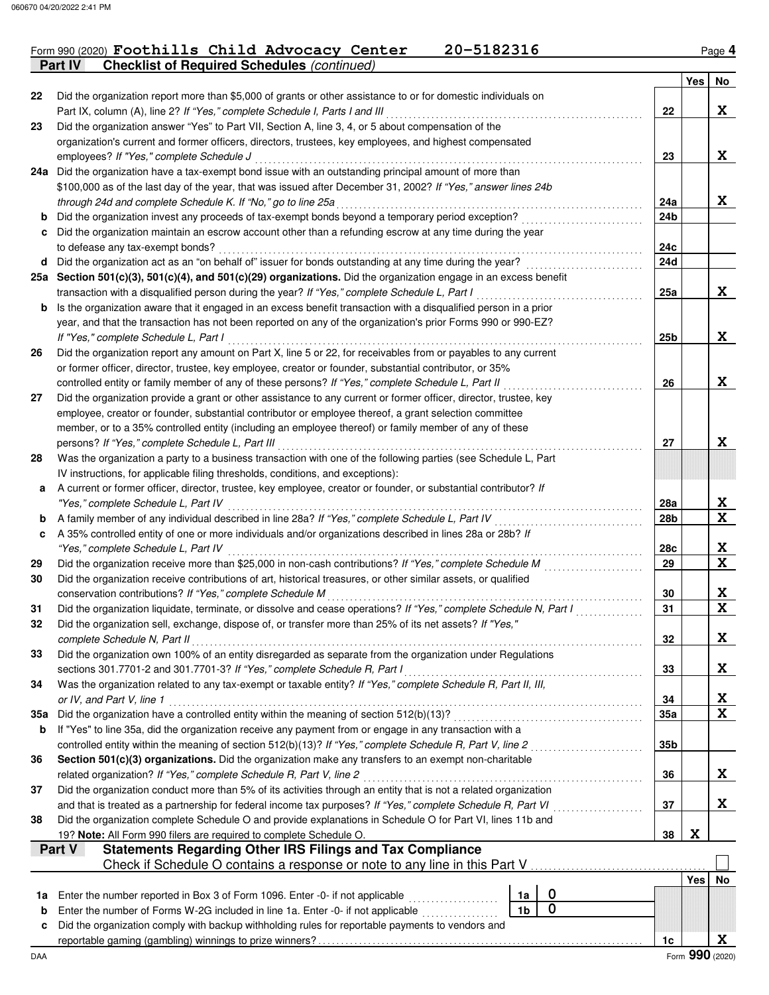#### Form 990 (2020) **Foothills Child Advocacy Center 20-5182316** Page **4 Foothills Child Advocacy Center 20-5182316**

**Part IV** Checklist of Required Schedules (continued)

|          |                                                                                                                                                                                                                      |                |                         |                 | Yes | No                      |
|----------|----------------------------------------------------------------------------------------------------------------------------------------------------------------------------------------------------------------------|----------------|-------------------------|-----------------|-----|-------------------------|
| 22       | Did the organization report more than \$5,000 of grants or other assistance to or for domestic individuals on                                                                                                        |                |                         |                 |     |                         |
|          | Part IX, column (A), line 2? If "Yes," complete Schedule I, Parts I and III                                                                                                                                          |                |                         | 22              |     | X                       |
| 23       | Did the organization answer "Yes" to Part VII, Section A, line 3, 4, or 5 about compensation of the                                                                                                                  |                |                         |                 |     |                         |
|          | organization's current and former officers, directors, trustees, key employees, and highest compensated                                                                                                              |                |                         |                 |     |                         |
|          | employees? If "Yes," complete Schedule J                                                                                                                                                                             |                |                         | 23              |     | X                       |
| 24a      | Did the organization have a tax-exempt bond issue with an outstanding principal amount of more than<br>\$100,000 as of the last day of the year, that was issued after December 31, 2002? If "Yes," answer lines 24b |                |                         |                 |     |                         |
|          | through 24d and complete Schedule K. If "No," go to line 25a                                                                                                                                                         |                |                         | 24a             |     | X                       |
| b        | Did the organization invest any proceeds of tax-exempt bonds beyond a temporary period exception?                                                                                                                    |                |                         | 24b             |     |                         |
| c        | Did the organization maintain an escrow account other than a refunding escrow at any time during the year                                                                                                            |                |                         |                 |     |                         |
|          | to defease any tax-exempt bonds?                                                                                                                                                                                     |                |                         | 24c             |     |                         |
| d        | Did the organization act as an "on behalf of" issuer for bonds outstanding at any time during the year?                                                                                                              |                |                         | 24d             |     |                         |
| 25а      | Section 501(c)(3), 501(c)(4), and 501(c)(29) organizations. Did the organization engage in an excess benefit                                                                                                         |                |                         |                 |     |                         |
|          | transaction with a disqualified person during the year? If "Yes," complete Schedule L, Part I                                                                                                                        |                |                         | 25a             |     | X                       |
| b        | Is the organization aware that it engaged in an excess benefit transaction with a disqualified person in a prior                                                                                                     |                |                         |                 |     |                         |
|          | year, and that the transaction has not been reported on any of the organization's prior Forms 990 or 990-EZ?                                                                                                         |                |                         |                 |     |                         |
|          | If "Yes," complete Schedule L, Part I                                                                                                                                                                                |                |                         | 25 <sub>b</sub> |     | X                       |
| 26       | Did the organization report any amount on Part X, line 5 or 22, for receivables from or payables to any current                                                                                                      |                |                         |                 |     |                         |
|          | or former officer, director, trustee, key employee, creator or founder, substantial contributor, or 35%                                                                                                              |                |                         |                 |     |                         |
|          | controlled entity or family member of any of these persons? If "Yes," complete Schedule L, Part II                                                                                                                   |                |                         | 26              |     | X                       |
| 27       | Did the organization provide a grant or other assistance to any current or former officer, director, trustee, key                                                                                                    |                |                         |                 |     |                         |
|          | employee, creator or founder, substantial contributor or employee thereof, a grant selection committee                                                                                                               |                |                         |                 |     |                         |
|          | member, or to a 35% controlled entity (including an employee thereof) or family member of any of these                                                                                                               |                |                         |                 |     |                         |
|          | persons? If "Yes," complete Schedule L, Part III                                                                                                                                                                     |                |                         | 27              |     | X                       |
| 28       | Was the organization a party to a business transaction with one of the following parties (see Schedule L, Part                                                                                                       |                |                         |                 |     |                         |
| a        | IV instructions, for applicable filing thresholds, conditions, and exceptions):<br>A current or former officer, director, trustee, key employee, creator or founder, or substantial contributor? If                  |                |                         |                 |     |                         |
|          | "Yes," complete Schedule L, Part IV                                                                                                                                                                                  |                |                         | 28a             |     | X                       |
| b        | A family member of any individual described in line 28a? If "Yes," complete Schedule L, Part IV                                                                                                                      |                |                         | 28 <sub>b</sub> |     | $\mathbf x$             |
| c        | A 35% controlled entity of one or more individuals and/or organizations described in lines 28a or 28b? If                                                                                                            |                |                         |                 |     |                         |
|          | "Yes," complete Schedule L, Part IV                                                                                                                                                                                  |                |                         | 28c             |     | X                       |
| 29       | Did the organization receive more than \$25,000 in non-cash contributions? If "Yes," complete Schedule M                                                                                                             |                |                         | 29              |     | $\overline{\mathbf{x}}$ |
| 30       | Did the organization receive contributions of art, historical treasures, or other similar assets, or qualified                                                                                                       |                |                         |                 |     |                         |
|          | conservation contributions? If "Yes," complete Schedule M                                                                                                                                                            |                |                         | 30              |     | X                       |
| 31       | Did the organization liquidate, terminate, or dissolve and cease operations? If "Yes," complete Schedule N, Part I                                                                                                   |                |                         | 31              |     | $\overline{\mathbf{x}}$ |
| 32       | Did the organization sell, exchange, dispose of, or transfer more than 25% of its net assets? If "Yes,"                                                                                                              |                |                         |                 |     |                         |
|          | complete Schedule N, Part II                                                                                                                                                                                         |                |                         | 32              |     | X                       |
| 33       | Did the organization own 100% of an entity disregarded as separate from the organization under Regulations                                                                                                           |                |                         |                 |     |                         |
|          | sections 301.7701-2 and 301.7701-3? If "Yes," complete Schedule R, Part I                                                                                                                                            |                |                         | 33              |     | X                       |
| 34       | Was the organization related to any tax-exempt or taxable entity? If "Yes," complete Schedule R, Part II, III,                                                                                                       |                |                         |                 |     |                         |
|          | or IV, and Part V, line 1                                                                                                                                                                                            |                |                         | 34<br>35a       |     | X<br>$\mathbf x$        |
| 35а<br>b | If "Yes" to line 35a, did the organization receive any payment from or engage in any transaction with a                                                                                                              |                |                         |                 |     |                         |
|          | controlled entity within the meaning of section 512(b)(13)? If "Yes," complete Schedule R, Part V, line 2                                                                                                            |                |                         | 35 <sub>b</sub> |     |                         |
| 36       | Section 501(c)(3) organizations. Did the organization make any transfers to an exempt non-charitable                                                                                                                 |                |                         |                 |     |                         |
|          | related organization? If "Yes," complete Schedule R, Part V, line 2                                                                                                                                                  |                |                         | 36              |     | X                       |
| 37       | Did the organization conduct more than 5% of its activities through an entity that is not a related organization                                                                                                     |                |                         |                 |     |                         |
|          | and that is treated as a partnership for federal income tax purposes? If "Yes," complete Schedule R, Part VI                                                                                                         |                |                         | 37              |     | X                       |
| 38       | Did the organization complete Schedule O and provide explanations in Schedule O for Part VI, lines 11b and                                                                                                           |                |                         |                 |     |                         |
|          | 19? Note: All Form 990 filers are required to complete Schedule O.                                                                                                                                                   |                |                         | 38              | X   |                         |
|          | <b>Statements Regarding Other IRS Filings and Tax Compliance</b><br>Part V                                                                                                                                           |                |                         |                 |     |                         |
|          | Check if Schedule O contains a response or note to any line in this Part V                                                                                                                                           |                |                         |                 |     |                         |
|          |                                                                                                                                                                                                                      |                |                         |                 | Yes | No                      |
| 1a       | Enter the number reported in Box 3 of Form 1096. Enter -0- if not applicable                                                                                                                                         | 1a             | $\boldsymbol{0}$        |                 |     |                         |
| b        | Enter the number of Forms W-2G included in line 1a. Enter -0- if not applicable                                                                                                                                      | 1 <sub>b</sub> | $\overline{\mathbf{0}}$ |                 |     |                         |
| c        | Did the organization comply with backup withholding rules for reportable payments to vendors and                                                                                                                     |                |                         |                 |     |                         |
|          |                                                                                                                                                                                                                      |                |                         | 1c              |     | X<br>Form 990 (2020)    |
| DAA      |                                                                                                                                                                                                                      |                |                         |                 |     |                         |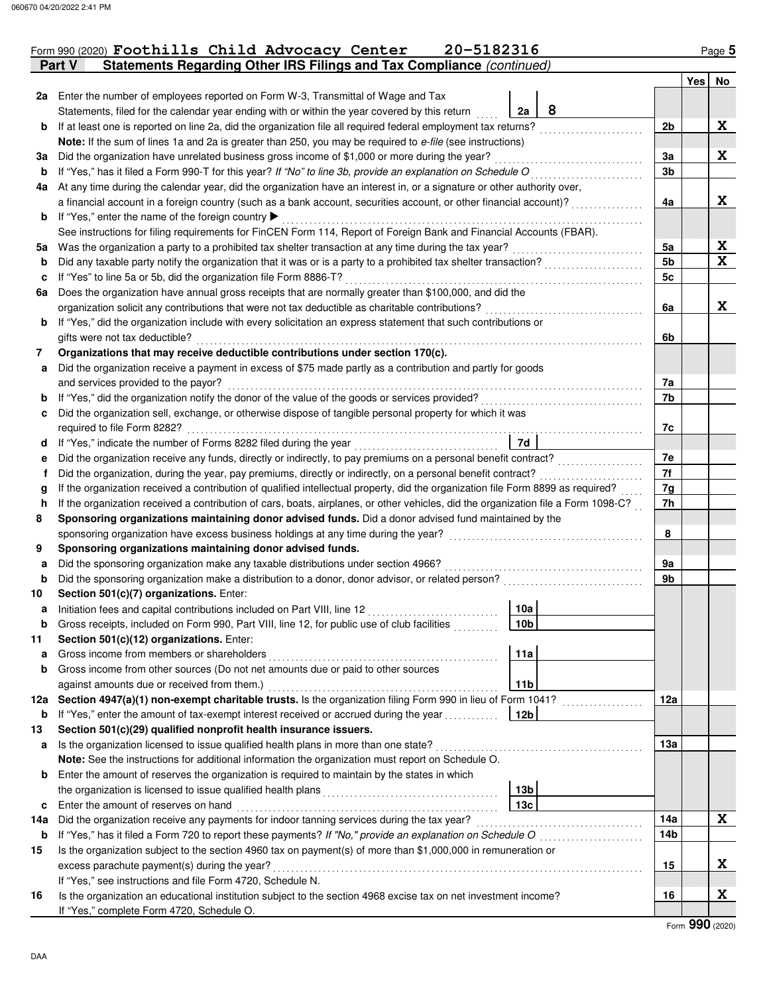|         | 20-5182316<br>Form 990 (2020) Foothills Child Advocacy Center<br>Statements Regarding Other IRS Filings and Tax Compliance (continued)<br>Part V                                                                                                                                                                   |                                                                                                                       |          |        | Page 5       |
|---------|--------------------------------------------------------------------------------------------------------------------------------------------------------------------------------------------------------------------------------------------------------------------------------------------------------------------|-----------------------------------------------------------------------------------------------------------------------|----------|--------|--------------|
|         |                                                                                                                                                                                                                                                                                                                    |                                                                                                                       |          | Yes No |              |
|         | 2a Enter the number of employees reported on Form W-3, Transmittal of Wage and Tax                                                                                                                                                                                                                                 |                                                                                                                       |          |        |              |
|         | Statements, filed for the calendar year ending with or within the year covered by this return                                                                                                                                                                                                                      | 8<br>2a                                                                                                               |          |        |              |
| b       | If at least one is reported on line 2a, did the organization file all required federal employment tax returns?                                                                                                                                                                                                     |                                                                                                                       | 2b       |        | X            |
|         | Note: If the sum of lines 1a and 2a is greater than 250, you may be required to e-file (see instructions)                                                                                                                                                                                                          |                                                                                                                       |          |        |              |
| За      | Did the organization have unrelated business gross income of \$1,000 or more during the year?                                                                                                                                                                                                                      |                                                                                                                       | За       |        | X            |
| b       | If "Yes," has it filed a Form 990-T for this year? If "No" to line 3b, provide an explanation on Schedule O                                                                                                                                                                                                        |                                                                                                                       | 3b       |        |              |
| 4a      | At any time during the calendar year, did the organization have an interest in, or a signature or other authority over,                                                                                                                                                                                            |                                                                                                                       |          |        |              |
|         | a financial account in a foreign country (such as a bank account, securities account, or other financial account)?                                                                                                                                                                                                 |                                                                                                                       | 4a       |        | X            |
| b       | If "Yes," enter the name of the foreign country ▶                                                                                                                                                                                                                                                                  |                                                                                                                       |          |        |              |
|         | See instructions for filing requirements for FinCEN Form 114, Report of Foreign Bank and Financial Accounts (FBAR).                                                                                                                                                                                                |                                                                                                                       |          |        |              |
| 5a      | Was the organization a party to a prohibited tax shelter transaction at any time during the tax year?                                                                                                                                                                                                              |                                                                                                                       | 5a       |        | X            |
| b       | Did any taxable party notify the organization that it was or is a party to a prohibited tax shelter transaction?                                                                                                                                                                                                   |                                                                                                                       | 5b       |        | $\mathbf{x}$ |
| c       | If "Yes" to line 5a or 5b, did the organization file Form 8886-T?                                                                                                                                                                                                                                                  |                                                                                                                       | 5c       |        |              |
| 6a      | Does the organization have annual gross receipts that are normally greater than \$100,000, and did the                                                                                                                                                                                                             |                                                                                                                       |          |        |              |
|         | organization solicit any contributions that were not tax deductible as charitable contributions?                                                                                                                                                                                                                   |                                                                                                                       | 6a       |        | X            |
| b       | If "Yes," did the organization include with every solicitation an express statement that such contributions or                                                                                                                                                                                                     |                                                                                                                       |          |        |              |
|         | gifts were not tax deductible?                                                                                                                                                                                                                                                                                     |                                                                                                                       | 6b       |        |              |
| 7       | Organizations that may receive deductible contributions under section 170(c).                                                                                                                                                                                                                                      |                                                                                                                       |          |        |              |
| a       | Did the organization receive a payment in excess of \$75 made partly as a contribution and partly for goods                                                                                                                                                                                                        |                                                                                                                       |          |        |              |
|         | and services provided to the payor?                                                                                                                                                                                                                                                                                |                                                                                                                       | 7a<br>7b |        |              |
| b       | If "Yes," did the organization notify the donor of the value of the goods or services provided?<br>If "Yes," did the organization notify the donor of the value of the goods or services provided?<br><br>Did the organization sell, exchange, or otherwise dispose of tangible personal property for which it was |                                                                                                                       |          |        |              |
| c       | required to file Form 8282?                                                                                                                                                                                                                                                                                        |                                                                                                                       | 7c       |        |              |
|         | If "Yes," indicate the number of Forms 8282 filed during the year                                                                                                                                                                                                                                                  | 7d                                                                                                                    |          |        |              |
| d       | Did the organization receive any funds, directly or indirectly, to pay premiums on a personal benefit contract?                                                                                                                                                                                                    |                                                                                                                       | 7e       |        |              |
| е<br>f. | Did the organization, during the year, pay premiums, directly or indirectly, on a personal benefit contract?                                                                                                                                                                                                       |                                                                                                                       | 7f       |        |              |
| g       | If the organization received a contribution of qualified intellectual property, did the organization file Form 8899 as required?                                                                                                                                                                                   |                                                                                                                       | 7g       |        |              |
| h       | If the organization received a contribution of cars, boats, airplanes, or other vehicles, did the organization file a Form 1098-C?                                                                                                                                                                                 |                                                                                                                       | 7h       |        |              |
| 8       | Sponsoring organizations maintaining donor advised funds. Did a donor advised fund maintained by the                                                                                                                                                                                                               |                                                                                                                       |          |        |              |
|         | sponsoring organization have excess business holdings at any time during the year?                                                                                                                                                                                                                                 | <u> 1986 - Jan Barbarat, martin da shekarar 1986 - 1987 - 1988 - 1989 - 1989 - 1989 - 1989 - 1989 - 1989 - 1989 -</u> | 8        |        |              |
| 9       | Sponsoring organizations maintaining donor advised funds.                                                                                                                                                                                                                                                          |                                                                                                                       |          |        |              |
| a       | Did the sponsoring organization make any taxable distributions under section 4966?                                                                                                                                                                                                                                 |                                                                                                                       | 9a       |        |              |
| b       | Did the sponsoring organization make a distribution to a donor, donor advisor, or related person?                                                                                                                                                                                                                  |                                                                                                                       | 9b       |        |              |
| 10      | Section 501(c)(7) organizations. Enter:                                                                                                                                                                                                                                                                            |                                                                                                                       |          |        |              |
| a       | Initiation fees and capital contributions included on Part VIII, line 12                                                                                                                                                                                                                                           | 10a                                                                                                                   |          |        |              |
| b       | Gross receipts, included on Form 990, Part VIII, line 12, for public use of club facilities                                                                                                                                                                                                                        | 10b                                                                                                                   |          |        |              |
| 11      | Section 501(c)(12) organizations. Enter:                                                                                                                                                                                                                                                                           |                                                                                                                       |          |        |              |
| a       | Gross income from members or shareholders                                                                                                                                                                                                                                                                          | 11a                                                                                                                   |          |        |              |
| b       | Gross income from other sources (Do not net amounts due or paid to other sources                                                                                                                                                                                                                                   |                                                                                                                       |          |        |              |
|         | against amounts due or received from them.)                                                                                                                                                                                                                                                                        | 11 <sub>b</sub>                                                                                                       |          |        |              |
| 12a     | Section 4947(a)(1) non-exempt charitable trusts. Is the organization filing Form 990 in lieu of Form 1041?                                                                                                                                                                                                         |                                                                                                                       | 12a      |        |              |
| b       | If "Yes," enter the amount of tax-exempt interest received or accrued during the year                                                                                                                                                                                                                              | 12b                                                                                                                   |          |        |              |
| 13      | Section 501(c)(29) qualified nonprofit health insurance issuers.                                                                                                                                                                                                                                                   |                                                                                                                       |          |        |              |
| a       | Is the organization licensed to issue qualified health plans in more than one state?                                                                                                                                                                                                                               |                                                                                                                       | 13a      |        |              |
|         | Note: See the instructions for additional information the organization must report on Schedule O.                                                                                                                                                                                                                  |                                                                                                                       |          |        |              |
| b       | Enter the amount of reserves the organization is required to maintain by the states in which                                                                                                                                                                                                                       |                                                                                                                       |          |        |              |
|         | the organization is licensed to issue qualified health plans                                                                                                                                                                                                                                                       | 13b                                                                                                                   |          |        |              |
| c       | Enter the amount of reserves on hand                                                                                                                                                                                                                                                                               | 13c                                                                                                                   |          |        |              |
| 14a     | Did the organization receive any payments for indoor tanning services during the tax year?                                                                                                                                                                                                                         |                                                                                                                       | 14a      |        | X            |
| b       | If "Yes," has it filed a Form 720 to report these payments? If "No," provide an explanation on Schedule O                                                                                                                                                                                                          |                                                                                                                       | 14b      |        |              |
| 15      | Is the organization subject to the section 4960 tax on payment(s) of more than \$1,000,000 in remuneration or                                                                                                                                                                                                      |                                                                                                                       |          |        |              |
|         | excess parachute payment(s) during the year?                                                                                                                                                                                                                                                                       |                                                                                                                       | 15       |        | X            |
|         | If "Yes," see instructions and file Form 4720, Schedule N.                                                                                                                                                                                                                                                         |                                                                                                                       |          |        |              |
| 16      | Is the organization an educational institution subject to the section 4968 excise tax on net investment income?                                                                                                                                                                                                    |                                                                                                                       | 16       |        | X            |
|         | If "Yes," complete Form 4720, Schedule O.                                                                                                                                                                                                                                                                          |                                                                                                                       |          |        |              |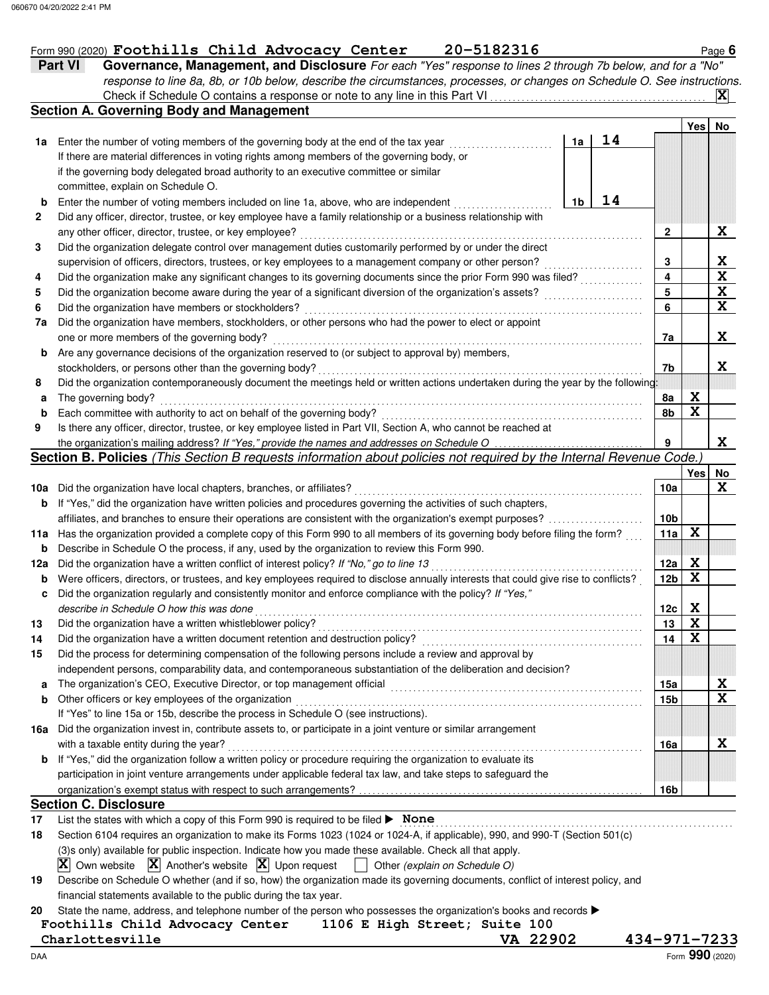| 20-5182316<br>Form 990 (2020) Foothills Child Advocacy Center | Page $\bm{6}$ |
|---------------------------------------------------------------|---------------|
|---------------------------------------------------------------|---------------|

|        | Check if Schedule O contains a response or note to any line in this Part VI.                                                                                                            |    |                 |     | $\overline{\mathbf{x}}$    |
|--------|-----------------------------------------------------------------------------------------------------------------------------------------------------------------------------------------|----|-----------------|-----|----------------------------|
|        | <b>Section A. Governing Body and Management</b>                                                                                                                                         |    |                 |     |                            |
|        |                                                                                                                                                                                         |    |                 | Yes | No.                        |
| 1a     | 1a<br>Enter the number of voting members of the governing body at the end of the tax year                                                                                               | 14 |                 |     |                            |
|        | If there are material differences in voting rights among members of the governing body, or                                                                                              |    |                 |     |                            |
|        | if the governing body delegated broad authority to an executive committee or similar                                                                                                    |    |                 |     |                            |
|        | committee, explain on Schedule O.                                                                                                                                                       |    |                 |     |                            |
| b      | 1b<br>Enter the number of voting members included on line 1a, above, who are independent                                                                                                | 14 |                 |     |                            |
| 2      | Did any officer, director, trustee, or key employee have a family relationship or a business relationship with                                                                          |    |                 |     |                            |
|        | any other officer, director, trustee, or key employee?                                                                                                                                  |    | 2               |     | X                          |
| 3      | Did the organization delegate control over management duties customarily performed by or under the direct                                                                               |    |                 |     |                            |
|        | supervision of officers, directors, trustees, or key employees to a management company or other person?                                                                                 |    | 3               |     | X                          |
| 4      | Did the organization make any significant changes to its governing documents since the prior Form 990 was filed?                                                                        |    | 4               |     | $\mathbf x$                |
| 5      | Did the organization become aware during the year of a significant diversion of the organization's assets?                                                                              |    | 5               |     | $\mathbf x$<br>$\mathbf x$ |
| 6      | Did the organization have members or stockholders?                                                                                                                                      |    | 6               |     |                            |
| 7a     | Did the organization have members, stockholders, or other persons who had the power to elect or appoint                                                                                 |    | 7a              |     | X                          |
| b      | one or more members of the governing body?<br>Are any governance decisions of the organization reserved to (or subject to approval by) members,                                         |    |                 |     |                            |
|        | stockholders, or persons other than the governing body?                                                                                                                                 |    | 7b              |     | X                          |
| 8      | Did the organization contemporaneously document the meetings held or written actions undertaken during the year by the following:                                                       |    |                 |     |                            |
| a      | The governing body?                                                                                                                                                                     |    | 8a              | X   |                            |
| b      | Each committee with authority to act on behalf of the governing body?                                                                                                                   |    | 8b              | X   |                            |
| 9      | Is there any officer, director, trustee, or key employee listed in Part VII, Section A, who cannot be reached at                                                                        |    |                 |     |                            |
|        | the organization's mailing address? If "Yes," provide the names and addresses on Schedule O                                                                                             |    | 9               |     | X                          |
|        | Section B. Policies (This Section B requests information about policies not required by the Internal Revenue Code.)                                                                     |    |                 |     |                            |
|        |                                                                                                                                                                                         |    |                 | Yes | No                         |
| 10a    | Did the organization have local chapters, branches, or affiliates?                                                                                                                      |    | 10a             |     | X                          |
| b      | If "Yes," did the organization have written policies and procedures governing the activities of such chapters,                                                                          |    |                 |     |                            |
|        | affiliates, and branches to ensure their operations are consistent with the organization's exempt purposes?                                                                             |    | 10 <sub>b</sub> |     |                            |
| 11a    | Has the organization provided a complete copy of this Form 990 to all members of its governing body before filing the form?                                                             |    | 11a             | X   |                            |
| b      | Describe in Schedule O the process, if any, used by the organization to review this Form 990.                                                                                           |    |                 |     |                            |
| 12a    | Did the organization have a written conflict of interest policy? If "No," go to line 13                                                                                                 |    | 12a             | X   |                            |
| b      | Were officers, directors, or trustees, and key employees required to disclose annually interests that could give rise to conflicts?                                                     |    | 12 <sub>b</sub> | X   |                            |
| c      | Did the organization regularly and consistently monitor and enforce compliance with the policy? If "Yes,"                                                                               |    |                 |     |                            |
|        | describe in Schedule O how this was done                                                                                                                                                |    | 12c             | X   |                            |
| 13     | Did the organization have a written whistleblower policy?                                                                                                                               |    | 13              | X   |                            |
| 14     | Did the organization have a written document retention and destruction policy?                                                                                                          |    | 14              | X   |                            |
| 15     | Did the process for determining compensation of the following persons include a review and approval by                                                                                  |    |                 |     |                            |
|        | independent persons, comparability data, and contemporaneous substantiation of the deliberation and decision?<br>The organization's CEO, Executive Director, or top management official |    | 15a             |     | X                          |
| a<br>b | Other officers or key employees of the organization                                                                                                                                     |    | 15b             |     | $\mathbf x$                |
|        | If "Yes" to line 15a or 15b, describe the process in Schedule O (see instructions).                                                                                                     |    |                 |     |                            |
|        | 16a Did the organization invest in, contribute assets to, or participate in a joint venture or similar arrangement                                                                      |    |                 |     |                            |
|        | with a taxable entity during the year?                                                                                                                                                  |    | 16a             |     | X                          |
| b      | If "Yes," did the organization follow a written policy or procedure requiring the organization to evaluate its                                                                          |    |                 |     |                            |
|        | participation in joint venture arrangements under applicable federal tax law, and take steps to safeguard the                                                                           |    |                 |     |                            |
|        |                                                                                                                                                                                         |    | 16b             |     |                            |
|        | <b>Section C. Disclosure</b>                                                                                                                                                            |    |                 |     |                            |
| 17     | List the states with which a copy of this Form 990 is required to be filed > None                                                                                                       |    |                 |     |                            |
| 18     | Section 6104 requires an organization to make its Forms 1023 (1024 or 1024-A, if applicable), 990, and 990-T (Section 501(c)                                                            |    |                 |     |                            |
|        | (3)s only) available for public inspection. Indicate how you made these available. Check all that apply.                                                                                |    |                 |     |                            |
|        | $ \mathbf{X} $ Own website $ \mathbf{X} $ Another's website $ \mathbf{X} $ Upon request<br>Other (explain on Schedule O)                                                                |    |                 |     |                            |
| 19     | Describe on Schedule O whether (and if so, how) the organization made its governing documents, conflict of interest policy, and                                                         |    |                 |     |                            |
|        | financial statements available to the public during the tax year.                                                                                                                       |    |                 |     |                            |
| 20     | State the name, address, and telephone number of the person who possesses the organization's books and records ▶                                                                        |    |                 |     |                            |
|        | 1106 E High Street; Suite 100<br>Foothills Child Advocacy Center                                                                                                                        |    |                 |     |                            |

**Part VI Governance, Management, and Disclosure** For each "Yes" response to lines 2 through 7b below, and for a "No"

response to line 8a, 8b, or 10b below, describe the circumstances, processes, or changes on Schedule O. See instructions.

### **Charlottesville VA 22902 434-971-7233**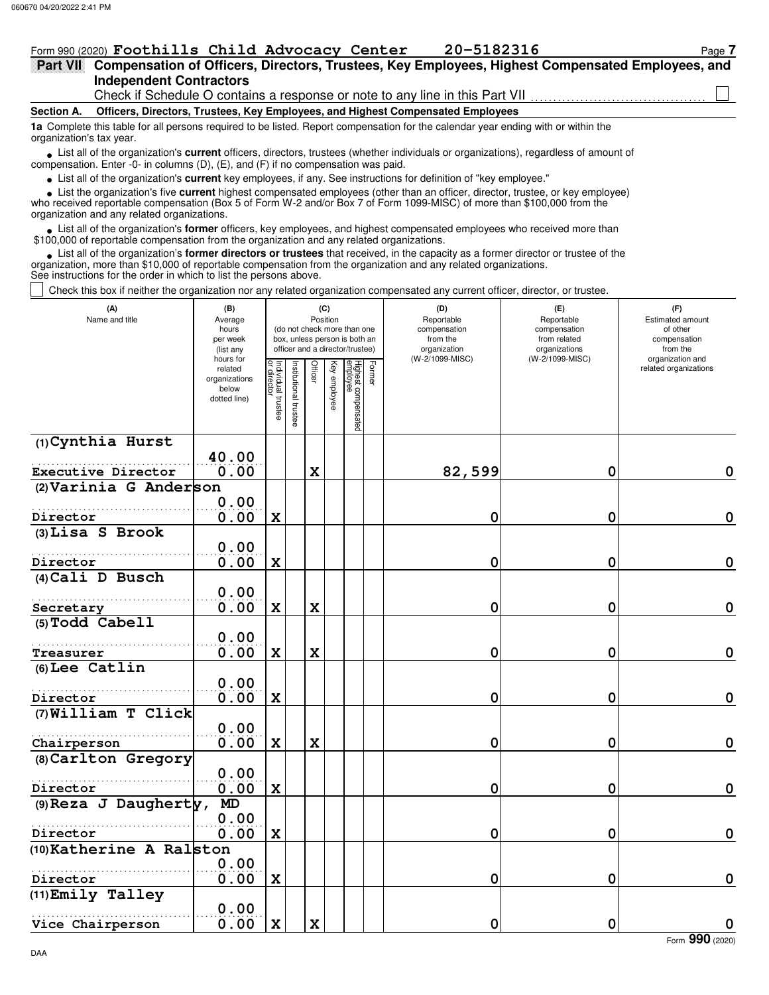### Form 990 (2020) Foothills Child Advocacy Center 20-5182316 Page 7

| Part VII Compensation of Officers, Directors, Trustees, Key Employees, Highest Compensated Employees, and |  |
|-----------------------------------------------------------------------------------------------------------|--|
| Independent Contractors                                                                                   |  |
| Check if Schedule O contains a response or note to any line in this Part VII                              |  |

#### **Section A. Officers, Directors, Trustees, Key Employees, and Highest Compensated Employees**

**1a** Complete this table for all persons required to be listed. Report compensation for the calendar year ending with or within the organization's tax year.

■ List all of the organization's **current** officers, directors, trustees (whether individuals or organizations), regardless of amount of the organization Fritary of amount of compensation. Enter -0- in columns (D), (E), and (F) if no compensation was paid.

List all of the organization's **current** key employees, if any. See instructions for definition of "key employee." **•**

■ List the organization's five **current** highest compensated employees (other than an officer, director, trustee, or key employee)<br> **•** Preceived reportable compensation (Box 5 of Form W-2 and/or Box 7 of Form 1099-MISC)

who received reportable compensation (Box 5 of Form W-2 and/or Box 7 of Form 1099-MISC) of more than \$100,000 from the organization and any related organizations.

• List all of the organization's **former** officers, key employees, and highest compensated employees who received more than<br>00,000 of reportable compensation from the organization and any related organizations \$100,000 of reportable compensation from the organization and any related organizations.

**•** List all of the organization's **former directors or trustees** that received, in the capacity as a former director or trustee of the anization more than \$10,000 of reportable compensation from the organization and any r organization, more than \$10,000 of reportable compensation from the organization and any related organizations. See instructions for the order in which to list the persons above.

 $\Box$  Check this box if neither the organization nor any related organization compensated any current officer, director, or trustee.

| (A)<br>Name and title     | (B)<br>Average<br>hours<br>per week<br>(list any<br>hours for |                                   |                      |             | (C)<br>Position | (do not check more than one<br>box, unless person is both an<br>officer and a director/trustee) |        | (D)<br>Reportable<br>compensation<br>from the<br>organization<br>(W-2/1099-MISC) | (E)<br>Reportable<br>compensation<br>from related<br>organizations<br>(W-2/1099-MISC) | (F)<br>Estimated amount<br>of other<br>compensation<br>from the<br>organization and |
|---------------------------|---------------------------------------------------------------|-----------------------------------|----------------------|-------------|-----------------|-------------------------------------------------------------------------------------------------|--------|----------------------------------------------------------------------------------|---------------------------------------------------------------------------------------|-------------------------------------------------------------------------------------|
|                           | related<br>organizations<br>below<br>dotted line)             | Individual trustee<br>or director | nstitutional trustee | Officer     | Key employee    | Highest compensated<br>employee                                                                 | Former |                                                                                  |                                                                                       | related organizations                                                               |
| (1) Cynthia Hurst         |                                                               |                                   |                      |             |                 |                                                                                                 |        |                                                                                  |                                                                                       |                                                                                     |
| <b>Executive Director</b> | 40.00<br>0.00                                                 |                                   |                      | $\mathbf x$ |                 |                                                                                                 |        | 82,599                                                                           | 0                                                                                     | 0                                                                                   |
| (2) Varinia G Anderson    |                                                               |                                   |                      |             |                 |                                                                                                 |        |                                                                                  |                                                                                       |                                                                                     |
|                           | 0.00                                                          |                                   |                      |             |                 |                                                                                                 |        |                                                                                  |                                                                                       |                                                                                     |
| Director                  | 0.00                                                          | $\mathbf x$                       |                      |             |                 |                                                                                                 |        | 0                                                                                | 0                                                                                     | $\mathbf 0$                                                                         |
| (3) Lisa S Brook          |                                                               |                                   |                      |             |                 |                                                                                                 |        |                                                                                  |                                                                                       |                                                                                     |
|                           | 0.00                                                          |                                   |                      |             |                 |                                                                                                 |        |                                                                                  |                                                                                       |                                                                                     |
| Director                  | 0.00                                                          | $\mathbf x$                       |                      |             |                 |                                                                                                 |        | 0                                                                                | 0                                                                                     | $\mathbf 0$                                                                         |
| (4) Cali D Busch          |                                                               |                                   |                      |             |                 |                                                                                                 |        |                                                                                  |                                                                                       |                                                                                     |
|                           | 0.00                                                          |                                   |                      |             |                 |                                                                                                 |        |                                                                                  |                                                                                       |                                                                                     |
| Secretary                 | 0.00                                                          | $\mathbf X$                       |                      | $\mathbf x$ |                 |                                                                                                 |        | 0                                                                                | 0                                                                                     | $\mathbf 0$                                                                         |
| (5) Todd Cabell           |                                                               |                                   |                      |             |                 |                                                                                                 |        |                                                                                  |                                                                                       |                                                                                     |
|                           | 0.00                                                          |                                   |                      |             |                 |                                                                                                 |        |                                                                                  |                                                                                       |                                                                                     |
| Treasurer                 | 0.00                                                          | $\mathbf x$                       |                      | $\mathbf x$ |                 |                                                                                                 |        | 0                                                                                | 0                                                                                     | $\mathbf 0$                                                                         |
| (6) Lee Catlin            |                                                               |                                   |                      |             |                 |                                                                                                 |        |                                                                                  |                                                                                       |                                                                                     |
|                           | 0.00                                                          |                                   |                      |             |                 |                                                                                                 |        |                                                                                  |                                                                                       |                                                                                     |
| Director                  | 0.00                                                          | $\mathbf x$                       |                      |             |                 |                                                                                                 |        | 0                                                                                | 0                                                                                     | $\mathbf 0$                                                                         |
| (7) William T Click       |                                                               |                                   |                      |             |                 |                                                                                                 |        |                                                                                  |                                                                                       |                                                                                     |
|                           | 0.00                                                          |                                   |                      |             |                 |                                                                                                 |        |                                                                                  |                                                                                       |                                                                                     |
| Chairperson               | 0.00                                                          | $\mathbf X$                       |                      | $\mathbf x$ |                 |                                                                                                 |        | 0                                                                                | 0                                                                                     | $\mathbf 0$                                                                         |
| (8) Carlton Gregory       |                                                               |                                   |                      |             |                 |                                                                                                 |        |                                                                                  |                                                                                       |                                                                                     |
|                           | 0.00                                                          |                                   |                      |             |                 |                                                                                                 |        |                                                                                  |                                                                                       |                                                                                     |
| Director                  | 0.00                                                          | $\mathbf x$                       |                      |             |                 |                                                                                                 |        | 0                                                                                | 0                                                                                     | $\mathbf 0$                                                                         |
| (9) Reza J Daugherty,     | <b>MD</b>                                                     |                                   |                      |             |                 |                                                                                                 |        |                                                                                  |                                                                                       |                                                                                     |
|                           | 0.00                                                          |                                   |                      |             |                 |                                                                                                 |        |                                                                                  |                                                                                       |                                                                                     |
| Director                  | 0.00                                                          | X                                 |                      |             |                 |                                                                                                 |        | 0                                                                                | 0                                                                                     | $\mathbf 0$                                                                         |
| (10) Katherine A Ralston  |                                                               |                                   |                      |             |                 |                                                                                                 |        |                                                                                  |                                                                                       |                                                                                     |
|                           | 0.00                                                          |                                   |                      |             |                 |                                                                                                 |        |                                                                                  |                                                                                       |                                                                                     |
| Director                  | 0.00                                                          | $\mathbf X$                       |                      |             |                 |                                                                                                 |        | 0                                                                                | 0                                                                                     | $\mathbf 0$                                                                         |
| (11) Emily Talley         |                                                               |                                   |                      |             |                 |                                                                                                 |        |                                                                                  |                                                                                       |                                                                                     |
|                           | 0.00                                                          |                                   |                      |             |                 |                                                                                                 |        |                                                                                  |                                                                                       |                                                                                     |
| Vice Chairperson          | 0.00                                                          | $\mathbf x$                       |                      | $\mathbf x$ |                 |                                                                                                 |        | 0                                                                                | 0                                                                                     | $\pmb{0}$                                                                           |

Form **990** (2020)

DAA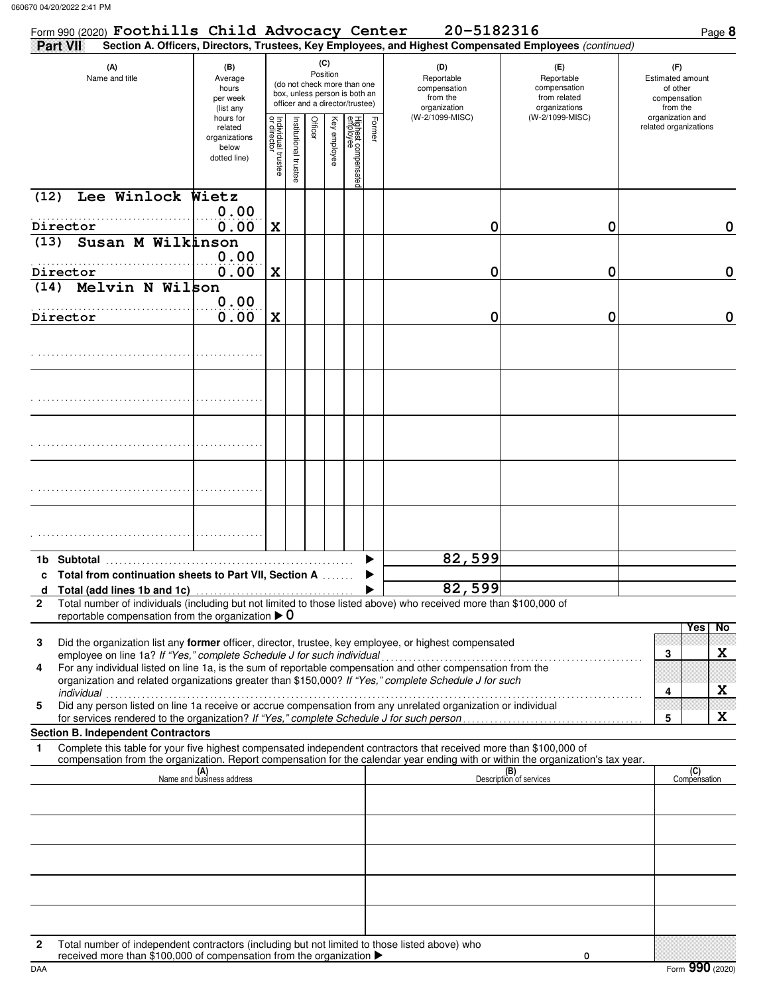|                  | Form 990 (2020) Foothills Child Advocacy Center                        |                                                                |                                        |                     |                 |              |                                                                                                 |        | 20-5182316                                                                                                                                                                                                                                                                                                                    |                                                                    | Page 8                                                                 |
|------------------|------------------------------------------------------------------------|----------------------------------------------------------------|----------------------------------------|---------------------|-----------------|--------------|-------------------------------------------------------------------------------------------------|--------|-------------------------------------------------------------------------------------------------------------------------------------------------------------------------------------------------------------------------------------------------------------------------------------------------------------------------------|--------------------------------------------------------------------|------------------------------------------------------------------------|
| Part VII         |                                                                        |                                                                |                                        |                     |                 |              |                                                                                                 |        | Section A. Officers, Directors, Trustees, Key Employees, and Highest Compensated Employees (continued)                                                                                                                                                                                                                        |                                                                    |                                                                        |
|                  | (A)<br>Name and title                                                  | (B)<br>Average<br>hours<br>per week<br>(list any               |                                        |                     | (C)<br>Position |              | (do not check more than one<br>box, unless person is both an<br>officer and a director/trustee) |        | (D)<br>Reportable<br>compensation<br>from the<br>organization                                                                                                                                                                                                                                                                 | (E)<br>Reportable<br>compensation<br>from related<br>organizations | (F)<br><b>Estimated amount</b><br>of other<br>compensation<br>from the |
|                  |                                                                        | hours for<br>related<br>organizations<br>below<br>dotted line) | Individual 1<br>or director<br>trustee | nstitutional truste | Officer         | Key employee | Highest compensated<br>employee                                                                 | Former | (W-2/1099-MISC)                                                                                                                                                                                                                                                                                                               | (W-2/1099-MISC)                                                    | organization and<br>related organizations                              |
| (12)             | Lee Winlock Wietz                                                      | 0.00                                                           |                                        |                     |                 |              |                                                                                                 |        |                                                                                                                                                                                                                                                                                                                               |                                                                    |                                                                        |
| Director<br>(13) | Susan M Wilkinson                                                      | 0.00                                                           | $\mathbf x$                            |                     |                 |              |                                                                                                 |        | 0                                                                                                                                                                                                                                                                                                                             | 0                                                                  | $\mathbf 0$                                                            |
| Director         |                                                                        | 0.00<br>0.00                                                   | $\mathbf x$                            |                     |                 |              |                                                                                                 |        | 0                                                                                                                                                                                                                                                                                                                             | 0                                                                  | $\mathbf 0$                                                            |
|                  | (14) Melvin N Wilson                                                   |                                                                |                                        |                     |                 |              |                                                                                                 |        |                                                                                                                                                                                                                                                                                                                               |                                                                    |                                                                        |
| Director         |                                                                        | 0.00<br>0.00                                                   | $\mathbf x$                            |                     |                 |              |                                                                                                 |        | 0                                                                                                                                                                                                                                                                                                                             | 0                                                                  | $\mathbf 0$                                                            |
|                  |                                                                        |                                                                |                                        |                     |                 |              |                                                                                                 |        |                                                                                                                                                                                                                                                                                                                               |                                                                    |                                                                        |
|                  |                                                                        |                                                                |                                        |                     |                 |              |                                                                                                 |        |                                                                                                                                                                                                                                                                                                                               |                                                                    |                                                                        |
|                  |                                                                        |                                                                |                                        |                     |                 |              |                                                                                                 |        |                                                                                                                                                                                                                                                                                                                               |                                                                    |                                                                        |
|                  |                                                                        |                                                                |                                        |                     |                 |              |                                                                                                 |        |                                                                                                                                                                                                                                                                                                                               |                                                                    |                                                                        |
|                  |                                                                        |                                                                |                                        |                     |                 |              |                                                                                                 |        |                                                                                                                                                                                                                                                                                                                               |                                                                    |                                                                        |
|                  | Total from continuation sheets to Part VII, Section A                  |                                                                |                                        |                     |                 |              |                                                                                                 |        | 82,599                                                                                                                                                                                                                                                                                                                        |                                                                    |                                                                        |
| d                | Total (add lines 1b and 1c)                                            |                                                                |                                        |                     |                 |              |                                                                                                 |        | 82,599                                                                                                                                                                                                                                                                                                                        |                                                                    |                                                                        |
| $\mathbf{2}$     | reportable compensation from the organization $\triangleright$ 0       |                                                                |                                        |                     |                 |              |                                                                                                 |        | Total number of individuals (including but not limited to those listed above) who received more than \$100,000 of                                                                                                                                                                                                             |                                                                    |                                                                        |
| 3<br>4           | employee on line 1a? If "Yes," complete Schedule J for such individual |                                                                |                                        |                     |                 |              |                                                                                                 |        | Did the organization list any former officer, director, trustee, key employee, or highest compensated<br>For any individual listed on line 1a, is the sum of reportable compensation and other compensation from the<br>organization and related organizations greater than \$150,000? If "Yes," complete Schedule J for such |                                                                    | No<br><b>Yes</b><br>X<br>3<br>X<br>4                                   |
| individual<br>5  |                                                                        |                                                                |                                        |                     |                 |              |                                                                                                 |        | Did any person listed on line 1a receive or accrue compensation from any unrelated organization or individual                                                                                                                                                                                                                 |                                                                    | X<br>5                                                                 |
| 1                | <b>Section B. Independent Contractors</b>                              |                                                                |                                        |                     |                 |              |                                                                                                 |        | Complete this table for your five highest compensated independent contractors that received more than \$100,000 of                                                                                                                                                                                                            |                                                                    |                                                                        |
|                  |                                                                        |                                                                |                                        |                     |                 |              |                                                                                                 |        | compensation from the organization. Report compensation for the calendar year ending with or within the organization's tax year.                                                                                                                                                                                              |                                                                    |                                                                        |
|                  |                                                                        | (A)<br>Name and business address                               |                                        |                     |                 |              |                                                                                                 |        |                                                                                                                                                                                                                                                                                                                               | (B)<br>Description of services                                     | (C)<br>Compensation                                                    |
|                  |                                                                        |                                                                |                                        |                     |                 |              |                                                                                                 |        |                                                                                                                                                                                                                                                                                                                               |                                                                    |                                                                        |
|                  |                                                                        |                                                                |                                        |                     |                 |              |                                                                                                 |        |                                                                                                                                                                                                                                                                                                                               |                                                                    |                                                                        |
|                  |                                                                        |                                                                |                                        |                     |                 |              |                                                                                                 |        |                                                                                                                                                                                                                                                                                                                               |                                                                    |                                                                        |
| 2                |                                                                        |                                                                |                                        |                     |                 |              |                                                                                                 |        | Total number of independent contractors (including but not limited to those listed above) who                                                                                                                                                                                                                                 |                                                                    |                                                                        |
|                  | received more than \$100,000 of compensation from the organization ▶   |                                                                |                                        |                     |                 |              |                                                                                                 |        |                                                                                                                                                                                                                                                                                                                               | 0                                                                  |                                                                        |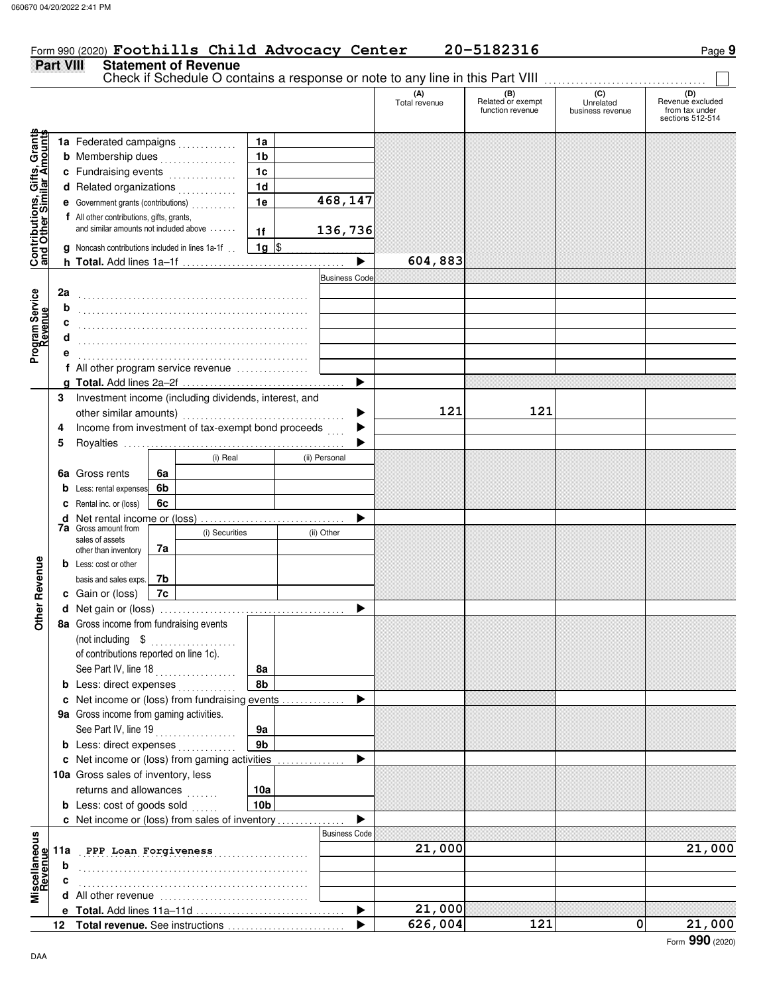| Form 990 (2020) Foothills Child Advocacy Center |  | 20-5182316 | Page 9 |
|-------------------------------------------------|--|------------|--------|
| <b>Part VIII Statement of Revenue</b>           |  |            |        |

|                                                                  |     |                                                                                                  |    |                |                      |                       | Check if Schedule O contains a response or note to any line in this Part VIII |                                              |                                      |                                                               |
|------------------------------------------------------------------|-----|--------------------------------------------------------------------------------------------------|----|----------------|----------------------|-----------------------|-------------------------------------------------------------------------------|----------------------------------------------|--------------------------------------|---------------------------------------------------------------|
|                                                                  |     |                                                                                                  |    |                |                      |                       | (A)<br>Total revenue                                                          | (B)<br>Related or exempt<br>function revenue | (C)<br>Unrelated<br>business revenue | (D)<br>Revenue excluded<br>from tax under<br>sections 512-514 |
| <b>Contributions, Gifts, Grants</b><br>and Other Similar Amounts |     | 1a Federated campaigns                                                                           |    |                | 1a                   |                       |                                                                               |                                              |                                      |                                                               |
|                                                                  |     | <b>b</b> Membership dues                                                                         |    |                | 1 <sub>b</sub>       |                       |                                                                               |                                              |                                      |                                                               |
|                                                                  |     | c Fundraising events                                                                             |    |                | 1c                   |                       |                                                                               |                                              |                                      |                                                               |
|                                                                  |     | d Related organizations                                                                          |    |                | 1 <sub>d</sub>       |                       |                                                                               |                                              |                                      |                                                               |
|                                                                  |     | e Government grants (contributions)                                                              |    |                | 1e                   | 468,147               |                                                                               |                                              |                                      |                                                               |
|                                                                  |     | f All other contributions, gifts, grants,                                                        |    |                |                      |                       |                                                                               |                                              |                                      |                                                               |
|                                                                  |     | and similar amounts not included above                                                           |    |                | 1 <sub>f</sub>       | 136,736               |                                                                               |                                              |                                      |                                                               |
|                                                                  |     | <b>g</b> Noncash contributions included in lines 1a-1f.                                          |    |                | $1g$ \$              |                       |                                                                               |                                              |                                      |                                                               |
|                                                                  |     |                                                                                                  |    |                |                      | $\blacktriangleright$ | 604,883                                                                       |                                              |                                      |                                                               |
|                                                                  |     |                                                                                                  |    |                |                      | <b>Business Code</b>  |                                                                               |                                              |                                      |                                                               |
|                                                                  | 2a  |                                                                                                  |    |                |                      |                       |                                                                               |                                              |                                      |                                                               |
|                                                                  | b   |                                                                                                  |    |                |                      |                       |                                                                               |                                              |                                      |                                                               |
| Program Service<br>Revenue                                       |     |                                                                                                  |    |                |                      |                       |                                                                               |                                              |                                      |                                                               |
|                                                                  |     |                                                                                                  |    |                |                      |                       |                                                                               |                                              |                                      |                                                               |
|                                                                  |     |                                                                                                  |    |                |                      |                       |                                                                               |                                              |                                      |                                                               |
|                                                                  |     | f All other program service revenue                                                              |    |                |                      | ▶                     |                                                                               |                                              |                                      |                                                               |
|                                                                  | 3   | Investment income (including dividends, interest, and                                            |    |                |                      |                       |                                                                               |                                              |                                      |                                                               |
|                                                                  |     |                                                                                                  |    |                |                      |                       | 121                                                                           | 121                                          |                                      |                                                               |
|                                                                  | 4   | Income from investment of tax-exempt bond proceeds                                               |    |                |                      |                       |                                                                               |                                              |                                      |                                                               |
|                                                                  | 5   |                                                                                                  |    |                |                      |                       |                                                                               |                                              |                                      |                                                               |
|                                                                  |     |                                                                                                  |    | (i) Real       |                      | (ii) Personal         |                                                                               |                                              |                                      |                                                               |
|                                                                  |     | 6a Gross rents                                                                                   | 6a |                |                      |                       |                                                                               |                                              |                                      |                                                               |
|                                                                  |     | <b>b</b> Less: rental expenses                                                                   | 6b |                |                      |                       |                                                                               |                                              |                                      |                                                               |
|                                                                  |     | C Rental inc. or (loss)                                                                          | 6c |                |                      |                       |                                                                               |                                              |                                      |                                                               |
|                                                                  |     | <b>d</b> Net rental income or (loss)                                                             |    |                |                      |                       |                                                                               |                                              |                                      |                                                               |
|                                                                  |     | <b>7a</b> Gross amount from<br>sales of assets                                                   |    | (i) Securities |                      | (ii) Other            |                                                                               |                                              |                                      |                                                               |
|                                                                  |     | other than inventory                                                                             | 7a |                |                      |                       |                                                                               |                                              |                                      |                                                               |
|                                                                  |     | <b>b</b> Less: cost or other                                                                     |    |                |                      |                       |                                                                               |                                              |                                      |                                                               |
|                                                                  |     | basis and sales exps.                                                                            | 7b |                |                      |                       |                                                                               |                                              |                                      |                                                               |
| <b>Other Revenue</b>                                             |     | c Gain or (loss)                                                                                 | 7c |                |                      |                       |                                                                               |                                              |                                      |                                                               |
|                                                                  |     |                                                                                                  |    |                |                      |                       |                                                                               |                                              |                                      |                                                               |
|                                                                  |     | 8a Gross income from fundraising events                                                          |    |                |                      |                       |                                                                               |                                              |                                      |                                                               |
|                                                                  |     | (not including \$                                                                                |    | .              |                      |                       |                                                                               |                                              |                                      |                                                               |
|                                                                  |     | of contributions reported on line 1c).                                                           |    |                |                      |                       |                                                                               |                                              |                                      |                                                               |
|                                                                  |     | See Part IV, line 18                                                                             |    | .              | 8a                   |                       |                                                                               |                                              |                                      |                                                               |
|                                                                  |     | <b>b</b> Less: direct expenses                                                                   |    |                | 8b                   |                       |                                                                               |                                              |                                      |                                                               |
|                                                                  |     | <b>c</b> Net income or (loss) from fundraising events<br>9a Gross income from gaming activities. |    |                |                      |                       |                                                                               |                                              |                                      |                                                               |
|                                                                  |     |                                                                                                  |    |                |                      |                       |                                                                               |                                              |                                      |                                                               |
|                                                                  |     | See Part IV, line 19<br><b>b</b> Less: direct expenses <i>minimals</i>                           |    | .              | 9a<br>9 <sub>b</sub> |                       |                                                                               |                                              |                                      |                                                               |
|                                                                  |     | c Net income or (loss) from gaming activities                                                    |    |                |                      |                       |                                                                               |                                              |                                      |                                                               |
|                                                                  |     | 10a Gross sales of inventory, less                                                               |    |                |                      |                       |                                                                               |                                              |                                      |                                                               |
|                                                                  |     | returns and allowances                                                                           |    |                | 10a                  |                       |                                                                               |                                              |                                      |                                                               |
|                                                                  |     | <b>b</b> Less: cost of goods sold                                                                |    |                | 10 <sub>b</sub>      |                       |                                                                               |                                              |                                      |                                                               |
|                                                                  |     | c Net income or (loss) from sales of inventory                                                   |    |                |                      |                       |                                                                               |                                              |                                      |                                                               |
|                                                                  |     |                                                                                                  |    |                |                      | <b>Business Code</b>  |                                                                               |                                              |                                      |                                                               |
|                                                                  | 11a | PPP Loan Forgiveness                                                                             |    |                |                      |                       | 21,000                                                                        |                                              |                                      | 21,000                                                        |
| Miscellaneous<br>Revenue                                         | b   |                                                                                                  |    |                |                      |                       |                                                                               |                                              |                                      |                                                               |
|                                                                  |     |                                                                                                  |    |                |                      |                       |                                                                               |                                              |                                      |                                                               |
|                                                                  |     |                                                                                                  |    |                |                      |                       |                                                                               |                                              |                                      |                                                               |
|                                                                  |     |                                                                                                  |    |                |                      |                       | 21,000                                                                        |                                              |                                      |                                                               |
|                                                                  |     |                                                                                                  |    |                |                      |                       | 626,004                                                                       | 121                                          | 0                                    | 21,000                                                        |

Form **990** (2020)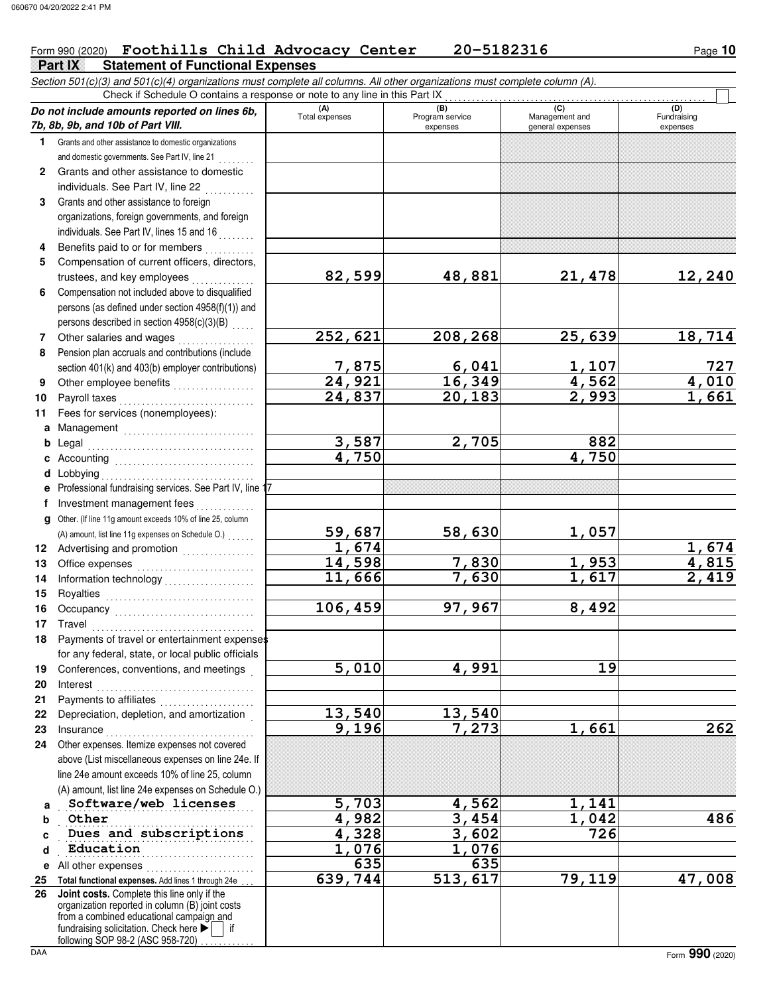### Form 990 (2020) Foothills Child Advocacy Center 20-5182316 Page 10

|              | Part IX<br><b>Statement of Functional Expenses</b>                                                                                                                                                                                                                               |                        |                             |                                    |                         |
|--------------|----------------------------------------------------------------------------------------------------------------------------------------------------------------------------------------------------------------------------------------------------------------------------------|------------------------|-----------------------------|------------------------------------|-------------------------|
|              | Section 501(c)(3) and 501(c)(4) organizations must complete all columns. All other organizations must complete column (A).                                                                                                                                                       |                        |                             |                                    |                         |
|              | Check if Schedule O contains a response or note to any line in this Part IX                                                                                                                                                                                                      | (A)                    | (B)                         | (C)                                | (D)                     |
|              | Do not include amounts reported on lines 6b,<br>7b, 8b, 9b, and 10b of Part VIII.                                                                                                                                                                                                | Total expenses         | Program service<br>expenses | Management and<br>general expenses | Fundraising<br>expenses |
| 1.           | Grants and other assistance to domestic organizations                                                                                                                                                                                                                            |                        |                             |                                    |                         |
|              | and domestic governments. See Part IV, line 21                                                                                                                                                                                                                                   |                        |                             |                                    |                         |
| $\mathbf{2}$ | Grants and other assistance to domestic                                                                                                                                                                                                                                          |                        |                             |                                    |                         |
|              | individuals. See Part IV, line 22                                                                                                                                                                                                                                                |                        |                             |                                    |                         |
| 3            | Grants and other assistance to foreign                                                                                                                                                                                                                                           |                        |                             |                                    |                         |
|              | organizations, foreign governments, and foreign                                                                                                                                                                                                                                  |                        |                             |                                    |                         |
|              | individuals. See Part IV, lines 15 and 16                                                                                                                                                                                                                                        |                        |                             |                                    |                         |
| 4            | Benefits paid to or for members                                                                                                                                                                                                                                                  |                        |                             |                                    |                         |
| 5            | Compensation of current officers, directors,                                                                                                                                                                                                                                     |                        |                             |                                    |                         |
|              | trustees, and key employees                                                                                                                                                                                                                                                      | 82,599                 | 48,881                      | 21,478                             | 12,240                  |
| 6            | Compensation not included above to disqualified                                                                                                                                                                                                                                  |                        |                             |                                    |                         |
|              | persons (as defined under section 4958(f)(1)) and                                                                                                                                                                                                                                |                        |                             |                                    |                         |
|              | persons described in section 4958(c)(3)(B)                                                                                                                                                                                                                                       |                        |                             |                                    |                         |
| 7            | Other salaries and wages                                                                                                                                                                                                                                                         | 252,621                | 208,268                     | 25,639                             | 18,714                  |
| 8            | Pension plan accruals and contributions (include                                                                                                                                                                                                                                 |                        |                             |                                    |                         |
|              | section 401(k) and 403(b) employer contributions)                                                                                                                                                                                                                                | $\frac{7,875}{24,921}$ | $\frac{6,041}{16,349}$      | $\frac{1,107}{4,562}$              | $\frac{727}{4,010}$     |
| 9<br>10      | Payroll taxes                                                                                                                                                                                                                                                                    | 24,837                 | 20, 183                     | 2,993                              | 1,661                   |
| 11           | Fees for services (nonemployees):                                                                                                                                                                                                                                                |                        |                             |                                    |                         |
| a            |                                                                                                                                                                                                                                                                                  |                        |                             |                                    |                         |
| b            | Management<br>Legal                                                                                                                                                                                                                                                              | 3,587                  | 2,705                       | 882                                |                         |
| c            |                                                                                                                                                                                                                                                                                  | 4,750                  |                             | 4,750                              |                         |
| d            | Lobbying                                                                                                                                                                                                                                                                         |                        |                             |                                    |                         |
| е            | Professional fundraising services. See Part IV, line 1                                                                                                                                                                                                                           |                        |                             |                                    |                         |
| f            | Investment management fees                                                                                                                                                                                                                                                       |                        |                             |                                    |                         |
|              | g Other. (If line 11g amount exceeds 10% of line 25, column                                                                                                                                                                                                                      |                        |                             |                                    |                         |
|              |                                                                                                                                                                                                                                                                                  | 59,687                 | 58,630                      | 1,057                              |                         |
| 12           |                                                                                                                                                                                                                                                                                  | 1,674                  |                             |                                    | 1,674                   |
| 13           |                                                                                                                                                                                                                                                                                  | 14,598                 | 7,830                       | 1,953                              | 4,815                   |
| 14           |                                                                                                                                                                                                                                                                                  | 11,666                 | 7,630                       | 1,617                              | 2,419                   |
| 15           |                                                                                                                                                                                                                                                                                  |                        |                             |                                    |                         |
| 16           |                                                                                                                                                                                                                                                                                  | 106,459                | 97,967                      | 8,492                              |                         |
|              | 17 Travel                                                                                                                                                                                                                                                                        |                        |                             |                                    |                         |
| 18           | Payments of travel or entertainment expenses                                                                                                                                                                                                                                     |                        |                             |                                    |                         |
|              | for any federal, state, or local public officials                                                                                                                                                                                                                                |                        |                             |                                    |                         |
| 19           | Conferences, conventions, and meetings                                                                                                                                                                                                                                           | 5,010                  | 4,991                       | 19                                 |                         |
| 20           | $\textbf{Interest} \hspace{0.05cm} \ldots \hspace{0.05cm} \ldots \hspace{0.05cm} \ldots \hspace{0.05cm} \ldots \hspace{0.05cm} \ldots \hspace{0.05cm} \ldots \hspace{0.05cm} \ldots \hspace{0.05cm} \ldots \hspace{0.05cm} \ldots \hspace{0.05cm} \ldots \hspace{0.05cm} \ldots$ |                        |                             |                                    |                         |
| 21<br>22     | Depreciation, depletion, and amortization                                                                                                                                                                                                                                        | 13,540                 | 13,540                      |                                    |                         |
| 23           |                                                                                                                                                                                                                                                                                  | 9,196                  | 7,273                       | 1,661                              | 262                     |
| 24           | Insurance <i>Material Material Alexandrey</i><br>Other expenses. Itemize expenses not covered                                                                                                                                                                                    |                        |                             |                                    |                         |
|              | above (List miscellaneous expenses on line 24e. If                                                                                                                                                                                                                               |                        |                             |                                    |                         |
|              | line 24e amount exceeds 10% of line 25, column                                                                                                                                                                                                                                   |                        |                             |                                    |                         |
|              | (A) amount, list line 24e expenses on Schedule O.)                                                                                                                                                                                                                               |                        |                             |                                    |                         |
| a            | Software/web licenses                                                                                                                                                                                                                                                            | 5,703                  | 4,562                       | 1,141                              |                         |
| b            | Other                                                                                                                                                                                                                                                                            | 4,982                  | 3,454                       | 1,042                              | 486                     |
| c            | Dues and subscriptions                                                                                                                                                                                                                                                           | 4,328                  | 3,602                       | 726                                |                         |
| d            | Education                                                                                                                                                                                                                                                                        | 1,076                  | 1,076                       |                                    |                         |
|              | e All other expenses                                                                                                                                                                                                                                                             | 635                    | 635                         |                                    |                         |
| 25           | Total functional expenses. Add lines 1 through 24e                                                                                                                                                                                                                               | 639,744                | 513,617                     | 79,119                             | 47,008                  |
| 26           | Joint costs. Complete this line only if the<br>organization reported in column (B) joint costs<br>from a combined educational campaign and<br>fundraising solicitation. Check here                                                                                               |                        |                             |                                    |                         |
|              | following SOP 98-2 (ASC 958-720) $\ldots$                                                                                                                                                                                                                                        |                        |                             |                                    |                         |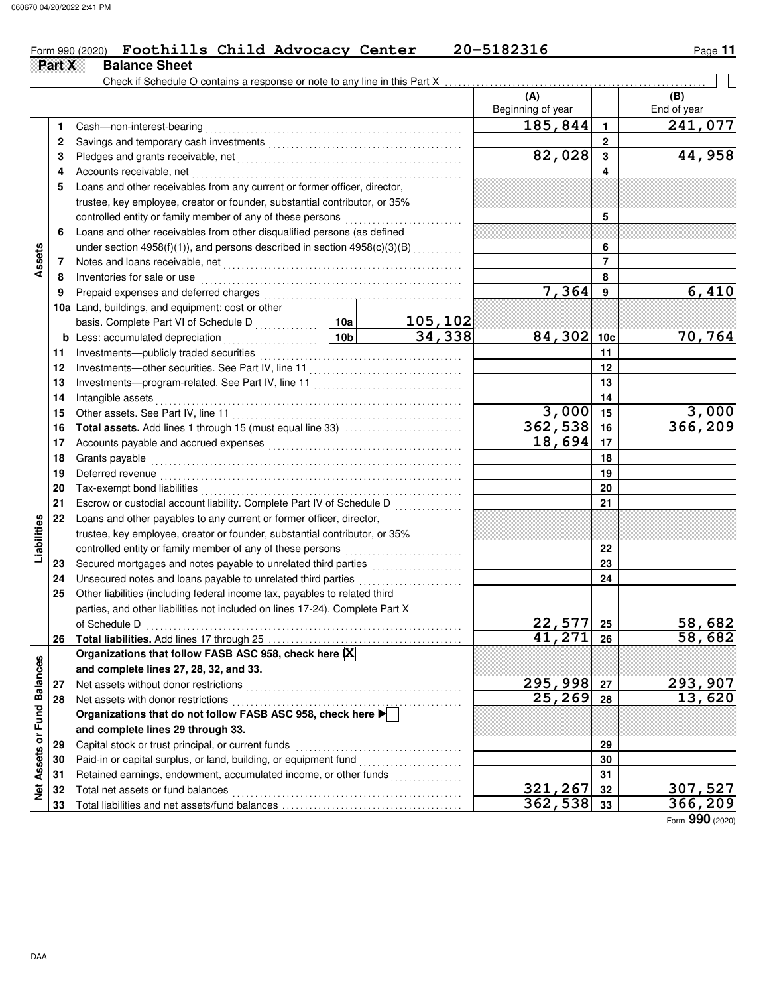### Form 990 (2020) **Foothills Child Advocacy Center** 20-5182316 Page 11 **Part X** Balance Sheet **Foothills Child Advocacy Center 20-5182316**

|                             |    | Check if Schedule O contains a response or note to any line in this Part X                                                                                                                                                          |                 |                          |                          |                 |                    |
|-----------------------------|----|-------------------------------------------------------------------------------------------------------------------------------------------------------------------------------------------------------------------------------------|-----------------|--------------------------|--------------------------|-----------------|--------------------|
|                             |    |                                                                                                                                                                                                                                     |                 |                          | (A)<br>Beginning of year |                 | (B)<br>End of year |
|                             | 1  | Cash-non-interest-bearing                                                                                                                                                                                                           |                 |                          | 185,844                  | $\mathbf{1}$    | 241,077            |
|                             | 2  |                                                                                                                                                                                                                                     |                 |                          |                          | $\mathbf{2}$    |                    |
|                             | 3  | Pledges and grants receivable, net Materian Construction of the state of the state of the state of the state of the state of the state of the state of the state of the state of the state of the state of the state of the st      |                 |                          | 82,028                   | $\mathbf{3}$    | 44,958             |
|                             | 4  | Accounts receivable, net                                                                                                                                                                                                            |                 |                          |                          | 4               |                    |
|                             | 5  | Loans and other receivables from any current or former officer, director,                                                                                                                                                           |                 |                          |                          |                 |                    |
|                             |    | trustee, key employee, creator or founder, substantial contributor, or 35%                                                                                                                                                          |                 |                          |                          |                 |                    |
|                             |    |                                                                                                                                                                                                                                     |                 |                          |                          | 5               |                    |
|                             | 6  | Loans and other receivables from other disqualified persons (as defined                                                                                                                                                             |                 |                          |                          |                 |                    |
|                             |    | under section 4958(f)(1)), and persons described in section 4958(c)(3)(B)                                                                                                                                                           |                 |                          |                          | 6               |                    |
| Assets                      | 7  |                                                                                                                                                                                                                                     |                 |                          |                          | $\overline{7}$  |                    |
|                             | 8  | Inventories for sale or use <i>communication</i> and the state of the state of the state of the state of the state of the state of the state of the state of the state of the state of the state of the state of the state of the s |                 |                          |                          | 8               |                    |
|                             | 9  |                                                                                                                                                                                                                                     |                 |                          | 7,364                    | 9               | 6,410              |
|                             |    | 10a Land, buildings, and equipment: cost or other                                                                                                                                                                                   |                 |                          |                          |                 |                    |
|                             |    |                                                                                                                                                                                                                                     |                 |                          |                          |                 |                    |
|                             |    | <b>b</b> Less: accumulated depreciation                                                                                                                                                                                             | 10 <sub>b</sub> | $\frac{105,102}{34,338}$ | 84,302                   | 10 <sub>c</sub> | 70,764             |
|                             | 11 |                                                                                                                                                                                                                                     |                 |                          |                          | 11              |                    |
|                             | 12 |                                                                                                                                                                                                                                     |                 |                          |                          | 12              |                    |
|                             | 13 |                                                                                                                                                                                                                                     |                 |                          |                          | 13              |                    |
|                             | 14 | Intangible assets                                                                                                                                                                                                                   |                 |                          |                          | 14              |                    |
|                             | 15 |                                                                                                                                                                                                                                     |                 |                          | $\overline{3}$ , 000     | 15              | 3,000              |
|                             | 16 |                                                                                                                                                                                                                                     |                 |                          | $362,538$ 16             |                 | 366,209            |
|                             | 17 |                                                                                                                                                                                                                                     |                 |                          | 18,694                   | 17              |                    |
|                             | 18 | Grants payable                                                                                                                                                                                                                      |                 |                          |                          | 18              |                    |
|                             | 19 |                                                                                                                                                                                                                                     |                 |                          |                          | 19              |                    |
|                             | 20 | Deferred revenue <b>construction and the construction of the construction of the construction</b>                                                                                                                                   |                 |                          |                          | 20              |                    |
|                             | 21 | Escrow or custodial account liability. Complete Part IV of Schedule D                                                                                                                                                               |                 |                          |                          | 21              |                    |
|                             | 22 | Loans and other payables to any current or former officer, director,                                                                                                                                                                |                 |                          |                          |                 |                    |
| Liabilities                 |    |                                                                                                                                                                                                                                     |                 |                          |                          |                 |                    |
|                             |    | trustee, key employee, creator or founder, substantial contributor, or 35%                                                                                                                                                          |                 |                          |                          | 22              |                    |
|                             |    |                                                                                                                                                                                                                                     |                 |                          |                          | 23              |                    |
|                             | 23 | Secured mortgages and notes payable to unrelated third parties<br>[[[[[[[[[[[[[[[[[[[[]]]]]]                                                                                                                                        |                 |                          |                          |                 |                    |
|                             | 24 | Unsecured notes and loans payable to unrelated third parties                                                                                                                                                                        |                 |                          |                          | 24              |                    |
|                             | 25 | Other liabilities (including federal income tax, payables to related third                                                                                                                                                          |                 |                          |                          |                 |                    |
|                             |    | parties, and other liabilities not included on lines 17-24). Complete Part X                                                                                                                                                        |                 |                          | 22,577                   |                 | 58,682             |
|                             |    | of Schedule D<br>$\cdots$                                                                                                                                                                                                           |                 |                          |                          | 25              | 58,682             |
|                             | 26 | Total liabilities. Add lines 17 through 25                                                                                                                                                                                          |                 |                          | 41,271                   | 26              |                    |
|                             |    | Organizations that follow FASB ASC 958, check here X                                                                                                                                                                                |                 |                          |                          |                 |                    |
|                             |    | and complete lines 27, 28, 32, and 33.                                                                                                                                                                                              |                 |                          |                          |                 |                    |
|                             | 27 | Net assets without donor restrictions                                                                                                                                                                                               |                 |                          | 295,998<br>25,269        | 27              | <u>293, 907</u>    |
|                             | 28 | Net assets with donor restrictions<br>Net assets with donor restrictions<br>Organizations that do not follow FASB ASC 958, check here $\blacktriangleright$                                                                         |                 |                          |                          | 28              | 13,620             |
|                             |    |                                                                                                                                                                                                                                     |                 |                          |                          |                 |                    |
| Net Assets or Fund Balances |    | and complete lines 29 through 33.                                                                                                                                                                                                   |                 |                          |                          |                 |                    |
|                             | 29 | Capital stock or trust principal, or current funds                                                                                                                                                                                  |                 |                          |                          | 29              |                    |
|                             | 30 | Paid-in or capital surplus, or land, building, or equipment fund [[[[[[[[[[[[[[[[[[[[[[[[[[[[[[[[[[[                                                                                                                                |                 |                          |                          | 30              |                    |
|                             | 31 | Retained earnings, endowment, accumulated income, or other funds                                                                                                                                                                    |                 |                          |                          | 31              |                    |
|                             | 32 | Total net assets or fund balances                                                                                                                                                                                                   |                 |                          | 321, 267                 | 32              | <u>307, 527</u>    |
|                             | 33 |                                                                                                                                                                                                                                     |                 |                          | 362,538                  | 33              | 366,209            |

Form **990** (2020)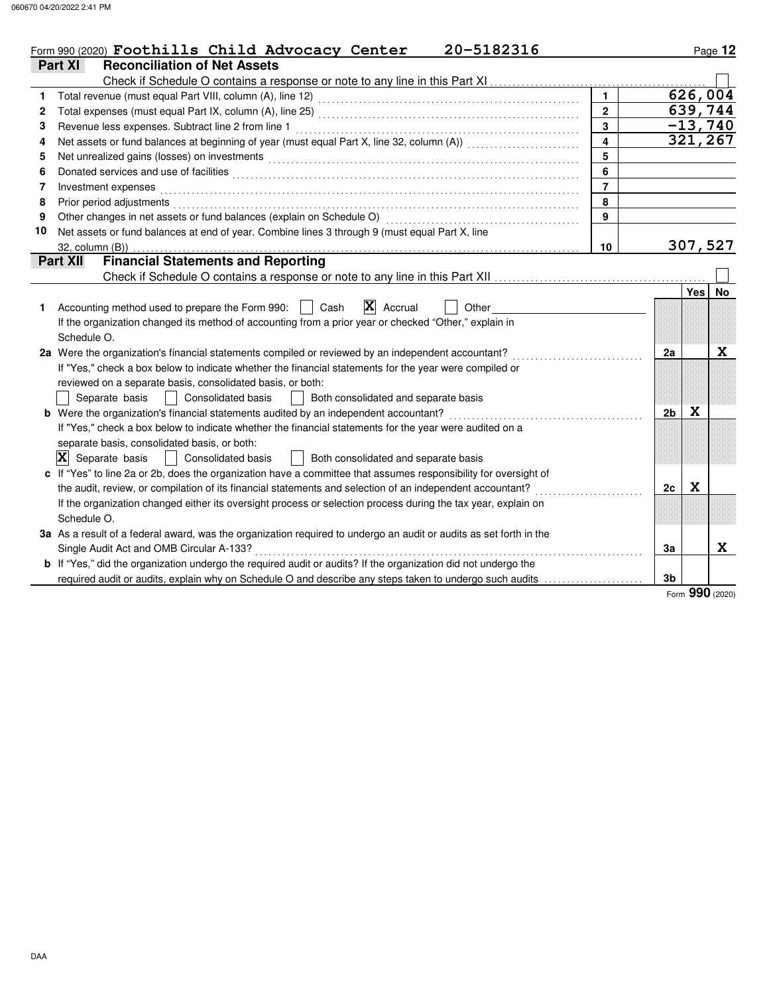|              | 20-5182316<br>Form 990 (2020) Foothills Child Advocacy Center                                                                                                                                                                  |                |                | Page 12                       |  |  |  |  |  |
|--------------|--------------------------------------------------------------------------------------------------------------------------------------------------------------------------------------------------------------------------------|----------------|----------------|-------------------------------|--|--|--|--|--|
|              | Part XI<br><b>Reconciliation of Net Assets</b>                                                                                                                                                                                 |                |                |                               |  |  |  |  |  |
|              |                                                                                                                                                                                                                                |                |                |                               |  |  |  |  |  |
| 1            |                                                                                                                                                                                                                                | $\mathbf{1}$   |                | 626,004                       |  |  |  |  |  |
| $\mathbf{2}$ |                                                                                                                                                                                                                                | $\overline{2}$ |                | 639,744                       |  |  |  |  |  |
| 3            | Revenue less expenses. Subtract line 2 from line 1                                                                                                                                                                             | $\overline{3}$ |                | $-13,740$                     |  |  |  |  |  |
| 4            | Net assets or fund balances at beginning of year (must equal Part X, line 32, column (A))                                                                                                                                      | 4              |                | 321, 267                      |  |  |  |  |  |
| 5            | Net unrealized gains (losses) on investments [11] Martin Martin Martin Martin Martin Martin Martin Martin Martin Martin Martin Martin Martin Martin Martin Martin Martin Martin Martin Martin Martin Martin Martin Martin Mart | 5              |                |                               |  |  |  |  |  |
| 6            | 6                                                                                                                                                                                                                              |                |                |                               |  |  |  |  |  |
| 7            | Investment expenses                                                                                                                                                                                                            | $\overline{7}$ |                |                               |  |  |  |  |  |
| 8            | Prior period adjustments                                                                                                                                                                                                       | 8              |                |                               |  |  |  |  |  |
| 9            | Other changes in net assets or fund balances (explain on Schedule O)                                                                                                                                                           | 9              |                |                               |  |  |  |  |  |
| 10           | Net assets or fund balances at end of year. Combine lines 3 through 9 (must equal Part X, line                                                                                                                                 |                |                |                               |  |  |  |  |  |
|              | 32, column (B))                                                                                                                                                                                                                | 10             |                | 307,527                       |  |  |  |  |  |
|              | <b>Financial Statements and Reporting</b><br>Part XII                                                                                                                                                                          |                |                |                               |  |  |  |  |  |
|              |                                                                                                                                                                                                                                |                |                |                               |  |  |  |  |  |
|              |                                                                                                                                                                                                                                |                |                | Yes <sup> </sup><br><b>No</b> |  |  |  |  |  |
| 1            | $\overline{\mathbf{X}}$ Accrual<br>Accounting method used to prepare the Form 990:  <br>Cash<br>Other                                                                                                                          |                |                |                               |  |  |  |  |  |
|              | If the organization changed its method of accounting from a prior year or checked "Other," explain in                                                                                                                          |                |                |                               |  |  |  |  |  |
|              | Schedule O.                                                                                                                                                                                                                    |                |                |                               |  |  |  |  |  |
|              | 2a Were the organization's financial statements compiled or reviewed by an independent accountant?                                                                                                                             |                | 2a             | X                             |  |  |  |  |  |
|              | If "Yes," check a box below to indicate whether the financial statements for the year were compiled or                                                                                                                         |                |                |                               |  |  |  |  |  |
|              | reviewed on a separate basis, consolidated basis, or both:                                                                                                                                                                     |                |                |                               |  |  |  |  |  |
|              | Separate basis<br>Consolidated basis<br>Both consolidated and separate basis                                                                                                                                                   |                |                |                               |  |  |  |  |  |
|              | <b>b</b> Were the organization's financial statements audited by an independent accountant?                                                                                                                                    |                | 2b             | X                             |  |  |  |  |  |
|              | If "Yes," check a box below to indicate whether the financial statements for the year were audited on a                                                                                                                        |                |                |                               |  |  |  |  |  |
|              | separate basis, consolidated basis, or both:                                                                                                                                                                                   |                |                |                               |  |  |  |  |  |
|              | $ \mathbf{X} $ Separate basis<br><b>Consolidated basis</b><br>Both consolidated and separate basis                                                                                                                             |                |                |                               |  |  |  |  |  |
|              | c If "Yes" to line 2a or 2b, does the organization have a committee that assumes responsibility for oversight of                                                                                                               |                |                |                               |  |  |  |  |  |
|              | the audit, review, or compilation of its financial statements and selection of an independent accountant?                                                                                                                      |                | 2c             | X                             |  |  |  |  |  |
|              | If the organization changed either its oversight process or selection process during the tax year, explain on                                                                                                                  |                |                |                               |  |  |  |  |  |
|              | Schedule O.                                                                                                                                                                                                                    |                |                |                               |  |  |  |  |  |
|              | 3a As a result of a federal award, was the organization required to undergo an audit or audits as set forth in the                                                                                                             |                |                |                               |  |  |  |  |  |
|              | Single Audit Act and OMB Circular A-133?                                                                                                                                                                                       |                | 3a             | X                             |  |  |  |  |  |
|              | <b>b</b> If "Yes," did the organization undergo the required audit or audits? If the organization did not undergo the                                                                                                          |                |                |                               |  |  |  |  |  |
|              |                                                                                                                                                                                                                                |                | 3 <sub>b</sub> |                               |  |  |  |  |  |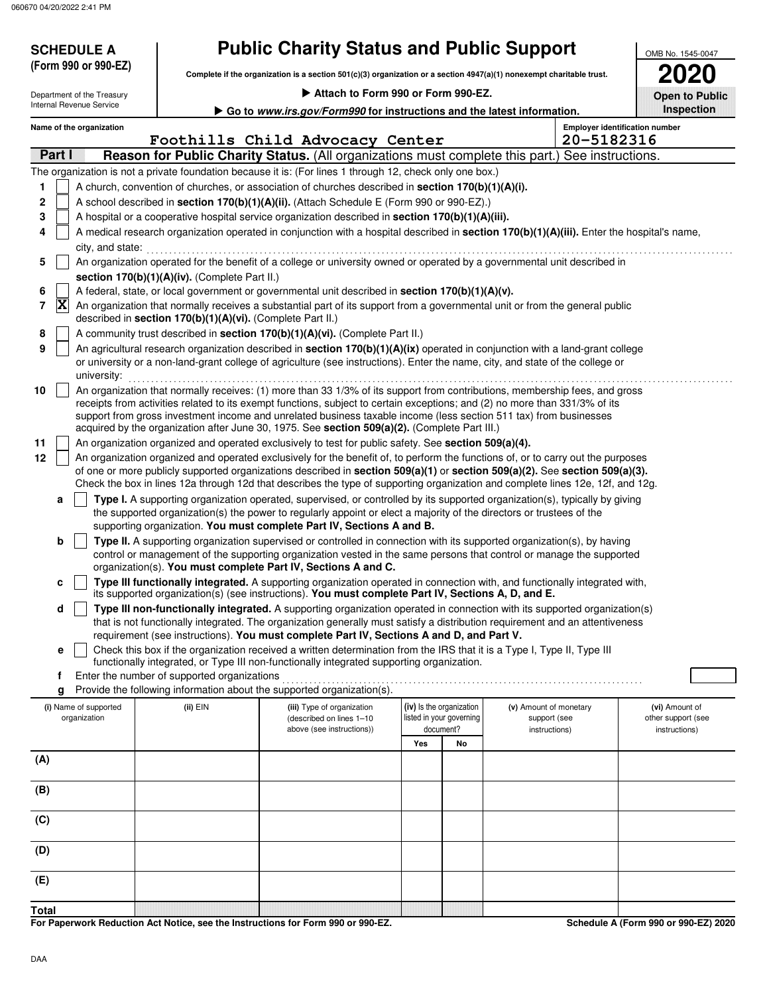060670 04/20/2022 2:41 PM

| <b>SCHEDULE A</b><br>(Form 990 or 990-EZ)<br>Department of the Treasury<br>Internal Revenue Service | <b>Public Charity Status and Public Support</b><br>Complete if the organization is a section $501(c)(3)$ organization or a section $4947(a)(1)$ nonexempt charitable trust.<br>Attach to Form 990 or Form 990-EZ.<br>Go to www.irs.gov/Form990 for instructions and the latest information. |                                                                                                                                                                                                                                                                                                                                                                                                                                                                                                                                                                                                                                                                                                                                                                                                                                                                                                                                                                                                                                                                                                                                                                                                                                                                                              |                                                                   |                                                         |                                                       |  |
|-----------------------------------------------------------------------------------------------------|---------------------------------------------------------------------------------------------------------------------------------------------------------------------------------------------------------------------------------------------------------------------------------------------|----------------------------------------------------------------------------------------------------------------------------------------------------------------------------------------------------------------------------------------------------------------------------------------------------------------------------------------------------------------------------------------------------------------------------------------------------------------------------------------------------------------------------------------------------------------------------------------------------------------------------------------------------------------------------------------------------------------------------------------------------------------------------------------------------------------------------------------------------------------------------------------------------------------------------------------------------------------------------------------------------------------------------------------------------------------------------------------------------------------------------------------------------------------------------------------------------------------------------------------------------------------------------------------------|-------------------------------------------------------------------|---------------------------------------------------------|-------------------------------------------------------|--|
| Name of the organization                                                                            |                                                                                                                                                                                                                                                                                             | Foothills Child Advocacy Center                                                                                                                                                                                                                                                                                                                                                                                                                                                                                                                                                                                                                                                                                                                                                                                                                                                                                                                                                                                                                                                                                                                                                                                                                                                              |                                                                   | 20-5182316                                              | <b>Employer identification number</b>                 |  |
| Part I                                                                                              |                                                                                                                                                                                                                                                                                             | Reason for Public Charity Status. (All organizations must complete this part.) See instructions.                                                                                                                                                                                                                                                                                                                                                                                                                                                                                                                                                                                                                                                                                                                                                                                                                                                                                                                                                                                                                                                                                                                                                                                             |                                                                   |                                                         |                                                       |  |
| 1<br>2<br>3<br>4<br>city, and state:<br>5<br>6                                                      | section 170(b)(1)(A)(iv). (Complete Part II.)                                                                                                                                                                                                                                               | The organization is not a private foundation because it is: (For lines 1 through 12, check only one box.)<br>A church, convention of churches, or association of churches described in section 170(b)(1)(A)(i).<br>A school described in section 170(b)(1)(A)(ii). (Attach Schedule E (Form 990 or 990-EZ).)<br>A hospital or a cooperative hospital service organization described in section 170(b)(1)(A)(iii).<br>A medical research organization operated in conjunction with a hospital described in section 170(b)(1)(A)(iii). Enter the hospital's name,<br>An organization operated for the benefit of a college or university owned or operated by a governmental unit described in<br>A federal, state, or local government or governmental unit described in section 170(b)(1)(A)(v).                                                                                                                                                                                                                                                                                                                                                                                                                                                                                             |                                                                   |                                                         |                                                       |  |
| $ {\bf X} $<br>7                                                                                    | described in section 170(b)(1)(A)(vi). (Complete Part II.)                                                                                                                                                                                                                                  | An organization that normally receives a substantial part of its support from a governmental unit or from the general public                                                                                                                                                                                                                                                                                                                                                                                                                                                                                                                                                                                                                                                                                                                                                                                                                                                                                                                                                                                                                                                                                                                                                                 |                                                                   |                                                         |                                                       |  |
| 8<br>9<br>university:                                                                               |                                                                                                                                                                                                                                                                                             | A community trust described in section 170(b)(1)(A)(vi). (Complete Part II.)<br>An agricultural research organization described in section 170(b)(1)(A)(ix) operated in conjunction with a land-grant college<br>or university or a non-land-grant college of agriculture (see instructions). Enter the name, city, and state of the college or                                                                                                                                                                                                                                                                                                                                                                                                                                                                                                                                                                                                                                                                                                                                                                                                                                                                                                                                              |                                                                   |                                                         |                                                       |  |
| 10                                                                                                  |                                                                                                                                                                                                                                                                                             | An organization that normally receives: (1) more than 33 1/3% of its support from contributions, membership fees, and gross<br>receipts from activities related to its exempt functions, subject to certain exceptions; and (2) no more than 331/3% of its<br>support from gross investment income and unrelated business taxable income (less section 511 tax) from businesses<br>acquired by the organization after June 30, 1975. See section 509(a)(2). (Complete Part III.)                                                                                                                                                                                                                                                                                                                                                                                                                                                                                                                                                                                                                                                                                                                                                                                                             |                                                                   |                                                         |                                                       |  |
| 11<br>12<br>a<br>b<br>c                                                                             |                                                                                                                                                                                                                                                                                             | An organization organized and operated exclusively to test for public safety. See section 509(a)(4).<br>An organization organized and operated exclusively for the benefit of, to perform the functions of, or to carry out the purposes<br>of one or more publicly supported organizations described in section 509(a)(1) or section 509(a)(2). See section 509(a)(3).<br>Check the box in lines 12a through 12d that describes the type of supporting organization and complete lines 12e, 12f, and 12g.<br>Type I. A supporting organization operated, supervised, or controlled by its supported organization(s), typically by giving<br>the supported organization(s) the power to regularly appoint or elect a majority of the directors or trustees of the<br>supporting organization. You must complete Part IV, Sections A and B.<br>Type II. A supporting organization supervised or controlled in connection with its supported organization(s), by having<br>control or management of the supporting organization vested in the same persons that control or manage the supported<br>organization(s). You must complete Part IV, Sections A and C.<br>Type III functionally integrated. A supporting organization operated in connection with, and functionally integrated with, |                                                                   |                                                         |                                                       |  |
| d                                                                                                   |                                                                                                                                                                                                                                                                                             | its supported organization(s) (see instructions). You must complete Part IV, Sections A, D, and E.<br>Type III non-functionally integrated. A supporting organization operated in connection with its supported organization(s)<br>that is not functionally integrated. The organization generally must satisfy a distribution requirement and an attentiveness                                                                                                                                                                                                                                                                                                                                                                                                                                                                                                                                                                                                                                                                                                                                                                                                                                                                                                                              |                                                                   |                                                         |                                                       |  |
| е<br>f                                                                                              | Enter the number of supported organizations                                                                                                                                                                                                                                                 | requirement (see instructions). You must complete Part IV, Sections A and D, and Part V.<br>Check this box if the organization received a written determination from the IRS that it is a Type I, Type II, Type III<br>functionally integrated, or Type III non-functionally integrated supporting organization.<br>Provide the following information about the supported organization(s).                                                                                                                                                                                                                                                                                                                                                                                                                                                                                                                                                                                                                                                                                                                                                                                                                                                                                                   |                                                                   |                                                         |                                                       |  |
| g<br>(i) Name of supported<br>organization                                                          | (ii) EIN                                                                                                                                                                                                                                                                                    | (iii) Type of organization<br>(described on lines 1-10<br>above (see instructions))                                                                                                                                                                                                                                                                                                                                                                                                                                                                                                                                                                                                                                                                                                                                                                                                                                                                                                                                                                                                                                                                                                                                                                                                          | (iv) Is the organization<br>listed in your governing<br>document? | (v) Amount of monetary<br>support (see<br>instructions) | (vi) Amount of<br>other support (see<br>instructions) |  |
| (A)                                                                                                 |                                                                                                                                                                                                                                                                                             |                                                                                                                                                                                                                                                                                                                                                                                                                                                                                                                                                                                                                                                                                                                                                                                                                                                                                                                                                                                                                                                                                                                                                                                                                                                                                              | Yes<br>No                                                         |                                                         |                                                       |  |
| (B)                                                                                                 |                                                                                                                                                                                                                                                                                             |                                                                                                                                                                                                                                                                                                                                                                                                                                                                                                                                                                                                                                                                                                                                                                                                                                                                                                                                                                                                                                                                                                                                                                                                                                                                                              |                                                                   |                                                         |                                                       |  |
| (C)                                                                                                 |                                                                                                                                                                                                                                                                                             |                                                                                                                                                                                                                                                                                                                                                                                                                                                                                                                                                                                                                                                                                                                                                                                                                                                                                                                                                                                                                                                                                                                                                                                                                                                                                              |                                                                   |                                                         |                                                       |  |
| (D)                                                                                                 |                                                                                                                                                                                                                                                                                             |                                                                                                                                                                                                                                                                                                                                                                                                                                                                                                                                                                                                                                                                                                                                                                                                                                                                                                                                                                                                                                                                                                                                                                                                                                                                                              |                                                                   |                                                         |                                                       |  |
| (E)                                                                                                 |                                                                                                                                                                                                                                                                                             |                                                                                                                                                                                                                                                                                                                                                                                                                                                                                                                                                                                                                                                                                                                                                                                                                                                                                                                                                                                                                                                                                                                                                                                                                                                                                              |                                                                   |                                                         |                                                       |  |
| <b>Total</b>                                                                                        |                                                                                                                                                                                                                                                                                             |                                                                                                                                                                                                                                                                                                                                                                                                                                                                                                                                                                                                                                                                                                                                                                                                                                                                                                                                                                                                                                                                                                                                                                                                                                                                                              |                                                                   |                                                         |                                                       |  |

**For Paperwork Reduction Act Notice, see the Instructions for Form 990 or 990-EZ.**

**Schedule A (Form 990 or 990-EZ) 2020**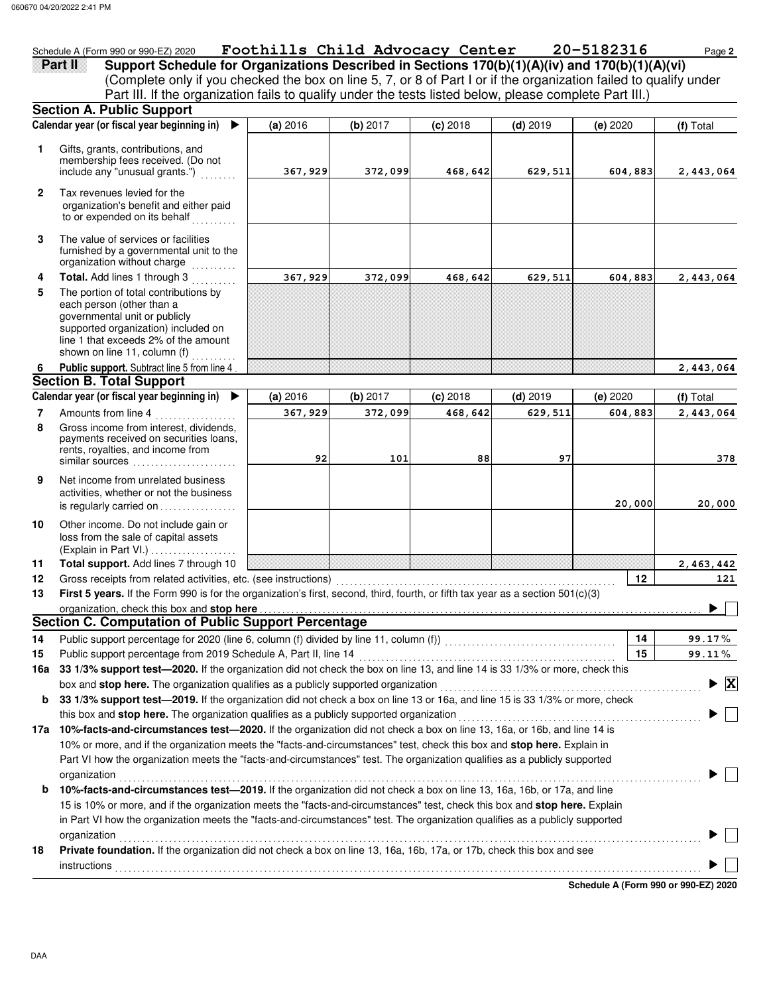|              | 70 04/20/2022 2:41 PM<br>Schedule A (Form 990 or 990-EZ) 2020<br>Support Schedule for Organizations Described in Sections 170(b)(1)(A)(iv) and 170(b)(1)(A)(vi)<br>Part II<br>(Complete only if you checked the box on line 5, 7, or 8 of Part I or if the organization failed to qualify under   | Foothills Child Advocacy Center |                |               |               | 20-5182316 | Page 2                             |
|--------------|---------------------------------------------------------------------------------------------------------------------------------------------------------------------------------------------------------------------------------------------------------------------------------------------------|---------------------------------|----------------|---------------|---------------|------------|------------------------------------|
|              | Part III. If the organization fails to qualify under the tests listed below, please complete Part III.)                                                                                                                                                                                           |                                 |                |               |               |            |                                    |
|              | <b>Section A. Public Support</b>                                                                                                                                                                                                                                                                  |                                 |                |               |               |            |                                    |
|              | Calendar year (or fiscal year beginning in)<br>▶                                                                                                                                                                                                                                                  | (a) 2016                        | (b) 2017       | $(c)$ 2018    | $(d)$ 2019    | (e) 2020   | (f) Total                          |
| 1            | Gifts, grants, contributions, and<br>membership fees received. (Do not<br>include any "unusual grants.")                                                                                                                                                                                          | 367,929                         | 372,099        | 468,642       | 629,511       | 604,883    | 2,443,064                          |
| $\mathbf{2}$ | Tax revenues levied for the<br>organization's benefit and either paid<br>to or expended on its behalf                                                                                                                                                                                             |                                 |                |               |               |            |                                    |
| 3            | The value of services or facilities<br>furnished by a governmental unit to the<br>organization without charge<br>.                                                                                                                                                                                |                                 |                |               |               |            |                                    |
| 4            | Total. Add lines 1 through 3                                                                                                                                                                                                                                                                      | 367,929                         | 372,099        | 468,642       | 629,511       | 604,883    | 2,443,064                          |
| 5            | The portion of total contributions by<br>each person (other than a<br>governmental unit or publicly<br>supported organization) included on<br>line 1 that exceeds 2% of the amount<br>shown on line 11, column (f)                                                                                |                                 |                |               |               |            |                                    |
| 6            | Public support. Subtract line 5 from line 4                                                                                                                                                                                                                                                       |                                 |                |               |               |            | 2,443,064                          |
|              | <b>Section B. Total Support</b><br>Calendar year (or fiscal year beginning in)<br>▶                                                                                                                                                                                                               |                                 |                |               |               |            |                                    |
| 7            | Amounts from line 4                                                                                                                                                                                                                                                                               | (a) 2016<br>367,929             | (b) 2017       | $(c)$ 2018    | $(d)$ 2019    | (e) 2020   | (f) Total                          |
| 8            | Gross income from interest, dividends,<br>payments received on securities loans,<br>rents, royalties, and income from<br>similar sources                                                                                                                                                          | 92                              | 372,099<br>101 | 468,642<br>88 | 629,511<br>97 | 604,883    | 2,443,064<br>378                   |
| 9            | Net income from unrelated business<br>activities, whether or not the business<br>is regularly carried on                                                                                                                                                                                          |                                 |                |               |               | 20,000     | 20,000                             |
| 10           | Other income. Do not include gain or<br>loss from the sale of capital assets<br>(Explain in Part VI.)                                                                                                                                                                                             |                                 |                |               |               |            |                                    |
| 11           | Total support. Add lines 7 through 10                                                                                                                                                                                                                                                             |                                 |                |               |               |            | 2,463,442                          |
| 12           | Gross receipts from related activities, etc. (see instructions)                                                                                                                                                                                                                                   |                                 |                |               |               | 12         | 121                                |
| 13           | First 5 years. If the Form 990 is for the organization's first, second, third, fourth, or fifth tax year as a section 501(c)(3)                                                                                                                                                                   |                                 |                |               |               |            |                                    |
|              | organization, check this box and stop here <b>construction and an intervention of the state of the state of state and stop here</b> construction and a state of the state of the state of the state of the state of the state of th<br><b>Section C. Computation of Public Support Percentage</b> |                                 |                |               |               |            |                                    |
| 14           | Public support percentage for 2020 (line 6, column (f) divided by line 11, column (f)) [[[[[[[[[[[[[[[[[[[[[[                                                                                                                                                                                     |                                 |                |               |               | 14         | 99.17%                             |
| 15           | Public support percentage from 2019 Schedule A, Part II, line 14                                                                                                                                                                                                                                  |                                 |                |               |               | 15         | 99.11%                             |
| 16a          | 33 1/3% support test-2020. If the organization did not check the box on line 13, and line 14 is 33 1/3% or more, check this<br>box and stop here. The organization qualifies as a publicly supported organization                                                                                 |                                 |                |               |               |            | $\blacktriangleright \overline{X}$ |
| b            | 33 1/3% support test-2019. If the organization did not check a box on line 13 or 16a, and line 15 is 33 1/3% or more, check                                                                                                                                                                       |                                 |                |               |               |            |                                    |

| 10% or more, and if the organization meets the "facts-and-circumstances" test, check this box and stop here. Explain in   |
|---------------------------------------------------------------------------------------------------------------------------|
| Part VI how the organization meets the "facts-and-circumstances" test. The organization qualifies as a publicly supported |
| organization                                                                                                              |

**17a 10%-facts-and-circumstances test—2020.** If the organization did not check a box on line 13, 16a, or 16b, and line 14 is

this box and **stop here.** The organization qualifies as a publicly supported organization . . . . . . . . . . . . . . . . . . . . . . . . . . . . . . . . . . . . . . . . . . . . . . . . . . . . . .

| b  | 10%-facts-and-circumstances test-2019. If the organization did not check a box on line 13, 16a, 16b, or 17a, and line        |
|----|------------------------------------------------------------------------------------------------------------------------------|
|    | 15 is 10% or more, and if the organization meets the "facts-and-circumstances" test, check this box and stop here. Explain   |
|    | in Part VI how the organization meets the "facts-and-circumstances" test. The organization qualifies as a publicly supported |
|    | organization                                                                                                                 |
| 18 | <b>Private foundation.</b> If the organization did not check a box on line 13, 16a, 16b, 17a, or 17b, check this box and see |
|    | instructions                                                                                                                 |

**Schedule A (Form 990 or 990-EZ) 2020**

 $\blacktriangleright \Box$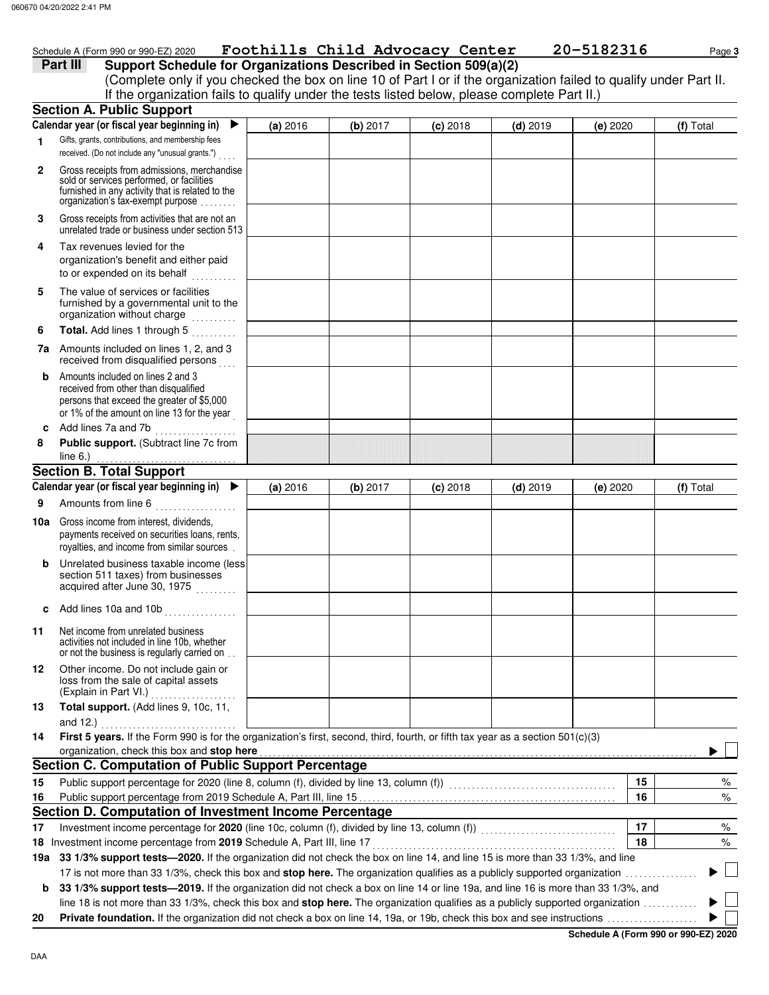| 20-5182316<br>Foothills Child Advocacy Center<br>Schedule A (Form 990 or 990-EZ) 2020 | Page 3 |
|---------------------------------------------------------------------------------------|--------|
|---------------------------------------------------------------------------------------|--------|

# **Part III** Support Schedule for Organizations Described in Section 509(a)(2)

(Complete only if you checked the box on line 10 of Part I or if the organization failed to qualify under Part II. If the organization fails to qualify under the tests listed below, please complete Part II.)

|              | <b>Section A. Public Support</b>                                                                                                                                                  |          |          |            |            |          |                          |
|--------------|-----------------------------------------------------------------------------------------------------------------------------------------------------------------------------------|----------|----------|------------|------------|----------|--------------------------|
|              | Calendar year (or fiscal year beginning in)                                                                                                                                       | (a) 2016 | (b) 2017 | $(c)$ 2018 | $(d)$ 2019 | (e) 2020 | (f) Total                |
| 1            | Gifts, grants, contributions, and membership fees<br>received. (Do not include any "unusual grants.")                                                                             |          |          |            |            |          |                          |
| $\mathbf{2}$ | Gross receipts from admissions, merchandise<br>sold or services performed, or facilities<br>furnished in any activity that is related to the<br>organization's tax-exempt purpose |          |          |            |            |          |                          |
| 3            | Gross receipts from activities that are not an<br>unrelated trade or business under section 513                                                                                   |          |          |            |            |          |                          |
| 4            | Tax revenues levied for the<br>organization's benefit and either paid<br>to or expended on its behalf<br>.                                                                        |          |          |            |            |          |                          |
| 5            | The value of services or facilities<br>furnished by a governmental unit to the<br>organization without charge<br>.                                                                |          |          |            |            |          |                          |
| 6            | Total. Add lines 1 through 5                                                                                                                                                      |          |          |            |            |          |                          |
|              | 7a Amounts included on lines 1, 2, and 3<br>received from disqualified persons                                                                                                    |          |          |            |            |          |                          |
| b            | Amounts included on lines 2 and 3<br>received from other than disqualified<br>persons that exceed the greater of \$5,000<br>or 1% of the amount on line 13 for the year           |          |          |            |            |          |                          |
| c            | Add lines 7a and 7b<br>.                                                                                                                                                          |          |          |            |            |          |                          |
| 8            | Public support. (Subtract line 7c from<br>line $6.$ )                                                                                                                             |          |          |            |            |          |                          |
|              | <b>Section B. Total Support</b>                                                                                                                                                   |          |          |            |            |          |                          |
|              | Calendar year (or fiscal year beginning in) $\blacktriangleright$                                                                                                                 | (a) 2016 | (b) 2017 | $(c)$ 2018 | $(d)$ 2019 | (e) 2020 | (f) Total                |
| 9            | Amounts from line 6<br>.                                                                                                                                                          |          |          |            |            |          |                          |
| 10a          | Gross income from interest, dividends,<br>payments received on securities loans, rents,<br>royalties, and income from similar sources.                                            |          |          |            |            |          |                          |
| b            | Unrelated business taxable income (less<br>section 511 taxes) from businesses<br>acquired after June 30, 1975                                                                     |          |          |            |            |          |                          |
| c            | Add lines 10a and 10b $\ldots$                                                                                                                                                    |          |          |            |            |          |                          |
| 11           | Net income from unrelated business<br>activities not included in line 10b, whether<br>or not the business is regularly carried on                                                 |          |          |            |            |          |                          |
| 12           | Other income. Do not include gain or<br>loss from the sale of capital assets<br>(Explain in Part VI.)<br>.                                                                        |          |          |            |            |          |                          |
| 13           | Total support. (Add lines 9, 10c, 11,                                                                                                                                             |          |          |            |            |          |                          |
|              | and 12.)                                                                                                                                                                          |          |          |            |            |          |                          |
| 14           | First 5 years. If the Form 990 is for the organization's first, second, third, fourth, or fifth tax year as a section 501(c)(3)                                                   |          |          |            |            |          |                          |
|              | organization, check this box and stop here<br><b>Section C. Computation of Public Support Percentage</b>                                                                          |          |          |            |            |          |                          |
| 15           |                                                                                                                                                                                   |          |          |            |            | 15       | %                        |
| 16           |                                                                                                                                                                                   |          |          |            |            | 16       | $\%$                     |
|              | Section D. Computation of Investment Income Percentage                                                                                                                            |          |          |            |            |          |                          |
| 17           |                                                                                                                                                                                   |          |          |            |            | 17       | %                        |
|              | 18 Investment income percentage from 2019 Schedule A, Part III, line 17                                                                                                           |          |          |            |            | 18       | $\%$                     |
|              | 19a 33 1/3% support tests-2020. If the organization did not check the box on line 14, and line 15 is more than 33 1/3%, and line                                                  |          |          |            |            |          |                          |
|              | 17 is not more than 33 1/3%, check this box and stop here. The organization qualifies as a publicly supported organization.                                                       |          |          |            |            |          | $\overline{\phantom{0}}$ |
| b            | 33 1/3% support tests-2019. If the organization did not check a box on line 14 or line 19a, and line 16 is more than 33 1/3%, and                                                 |          |          |            |            |          |                          |
|              | line 18 is not more than 33 1/3%, check this box and stop here. The organization qualifies as a publicly supported organization                                                   |          |          |            |            |          |                          |
| 20           |                                                                                                                                                                                   |          |          |            |            |          |                          |

**Schedule A (Form 990 or 990-EZ) 2020**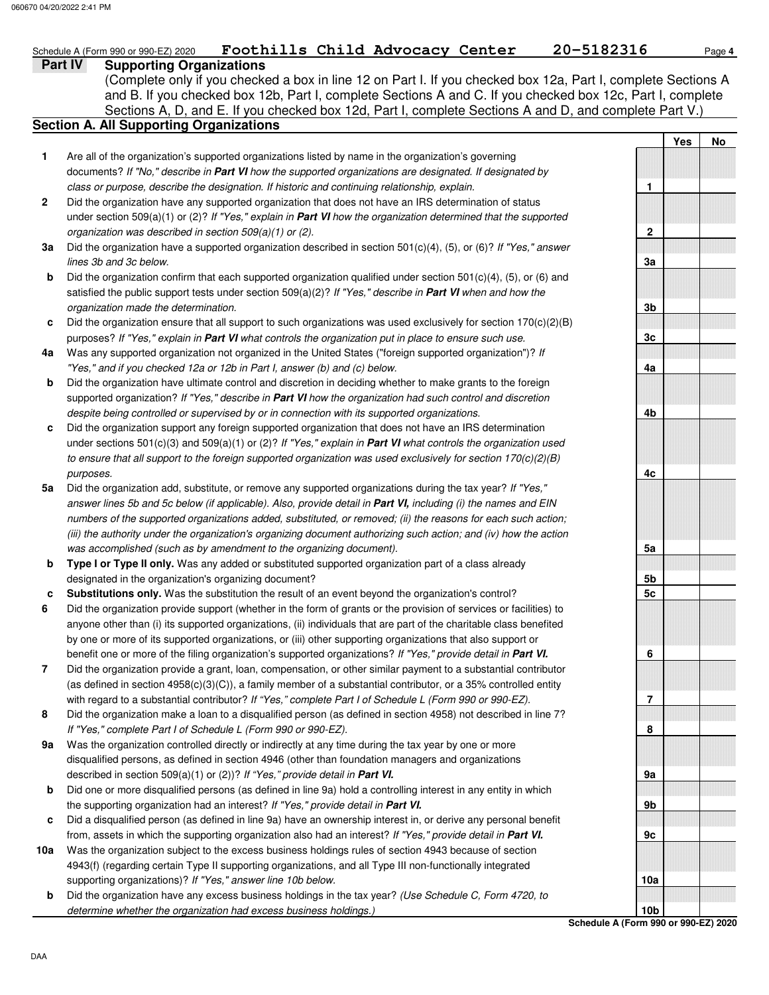# Schedule A (Form 990 or 990-EZ) 2020 **Foothills Child Advocacy Center 20-5182316** Page 4

| Part IV |  | <b>Supporting Organizations</b> |
|---------|--|---------------------------------|
|---------|--|---------------------------------|

Sections A, D, and E. If you checked box 12d, Part I, complete Sections A and D, and complete Part V.) (Complete only if you checked a box in line 12 on Part I. If you checked box 12a, Part I, complete Sections A and B. If you checked box 12b, Part I, complete Sections A and C. If you checked box 12c, Part I, complete

# **Section A. All Supporting Organizations**

- Are all of the organization's supported organizations listed by name in the organization's governing documents? If "No," describe in **Part VI** how the supported organizations are designated. If designated by class or purpose, describe the designation. If historic and continuing relationship, explain. **1**
- Did the organization have any supported organization that does not have an IRS determination of status under section 509(a)(1) or (2)? If "Yes," explain in **Part VI** how the organization determined that the supported organization was described in section 509(a)(1) or (2). **2**
- **3a** Did the organization have a supported organization described in section 501(c)(4), (5), or (6)? If "Yes," answer lines 3b and 3c below.
- **b** Did the organization confirm that each supported organization qualified under section 501(c)(4), (5), or (6) and satisfied the public support tests under section 509(a)(2)? If "Yes," describe in **Part VI** when and how the organization made the determination.
- **c** Did the organization ensure that all support to such organizations was used exclusively for section  $170(c)(2)(B)$ purposes? If "Yes," explain in **Part VI** what controls the organization put in place to ensure such use.
- **4a** Was any supported organization not organized in the United States ("foreign supported organization")? If "Yes," and if you checked 12a or 12b in Part I, answer (b) and (c) below.
- **b** Did the organization have ultimate control and discretion in deciding whether to make grants to the foreign supported organization? If "Yes," describe in **Part VI** how the organization had such control and discretion despite being controlled or supervised by or in connection with its supported organizations.
- **c** Did the organization support any foreign supported organization that does not have an IRS determination under sections 501(c)(3) and 509(a)(1) or (2)? If "Yes," explain in **Part VI** what controls the organization used to ensure that all support to the foreign supported organization was used exclusively for section 170(c)(2)(B) purposes.
- **5a** Did the organization add, substitute, or remove any supported organizations during the tax year? If "Yes," answer lines 5b and 5c below (if applicable). Also, provide detail in **Part VI,** including (i) the names and EIN numbers of the supported organizations added, substituted, or removed; (ii) the reasons for each such action; (iii) the authority under the organization's organizing document authorizing such action; and (iv) how the action was accomplished (such as by amendment to the organizing document).
- **b Type I or Type II only.** Was any added or substituted supported organization part of a class already designated in the organization's organizing document?
- **c Substitutions only.** Was the substitution the result of an event beyond the organization's control?
- **6** Did the organization provide support (whether in the form of grants or the provision of services or facilities) to anyone other than (i) its supported organizations, (ii) individuals that are part of the charitable class benefited by one or more of its supported organizations, or (iii) other supporting organizations that also support or benefit one or more of the filing organization's supported organizations? If "Yes," provide detail in **Part VI.**
- **7** Did the organization provide a grant, loan, compensation, or other similar payment to a substantial contributor (as defined in section 4958(c)(3)(C)), a family member of a substantial contributor, or a 35% controlled entity with regard to a substantial contributor? If "Yes," complete Part I of Schedule L (Form 990 or 990-EZ).
- **8** Did the organization make a loan to a disqualified person (as defined in section 4958) not described in line 7? If "Yes," complete Part I of Schedule L (Form 990 or 990-EZ).
- **9a** Was the organization controlled directly or indirectly at any time during the tax year by one or more disqualified persons, as defined in section 4946 (other than foundation managers and organizations described in section 509(a)(1) or (2))? If "Yes," provide detail in **Part VI.**
- **b** Did one or more disqualified persons (as defined in line 9a) hold a controlling interest in any entity in which the supporting organization had an interest? If "Yes," provide detail in **Part VI.**
- **c** Did a disqualified person (as defined in line 9a) have an ownership interest in, or derive any personal benefit from, assets in which the supporting organization also had an interest? If "Yes," provide detail in **Part VI.**
- **10a** Was the organization subject to the excess business holdings rules of section 4943 because of section 4943(f) (regarding certain Type II supporting organizations, and all Type III non-functionally integrated supporting organizations)? If "Yes," answer line 10b below.
- **b** Did the organization have any excess business holdings in the tax year? (Use Schedule C, Form 4720, to determine whether the organization had excess business holdings.)

Yes | No **1 2 3a 3b 3c 4a 4b 4c 5a 5b 5c 6 7 8 9a 9b 9c 10a 10b**

**Schedule A (Form 990 or 990-EZ) 2020**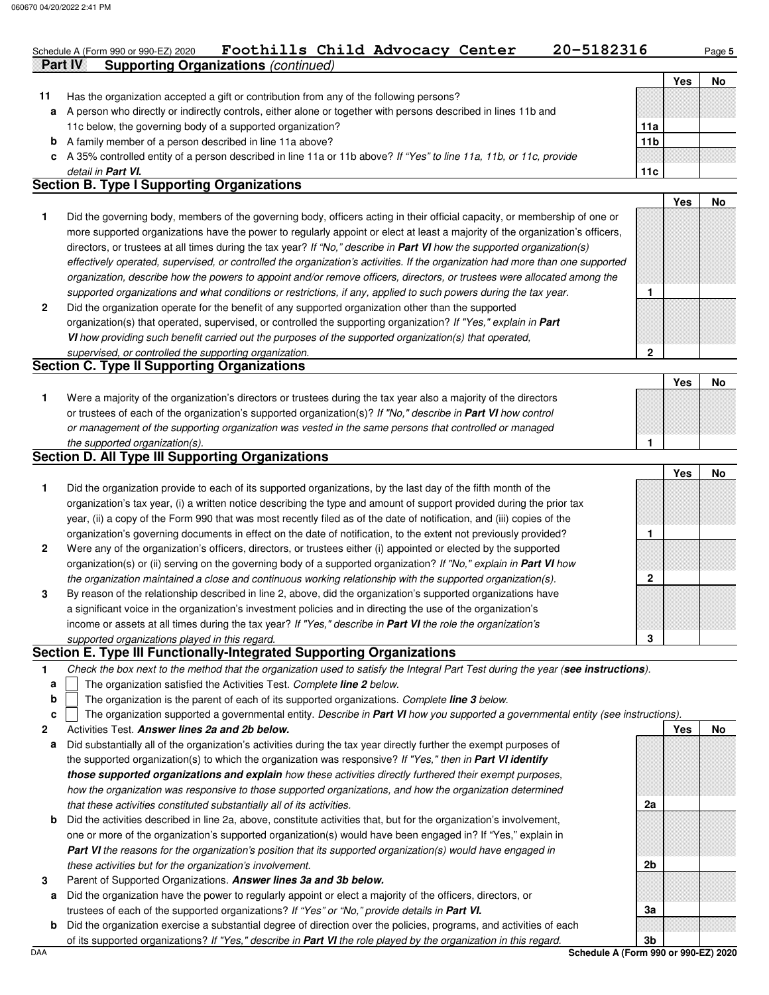#### **Part IV** Supporting Organizations (continued) Schedule A (Form 990 or 990-EZ) 2020 Poothills Child Advocacy Center 20-5182316 Page 5 **Yes No Section B. Type I Supporting Organizations 11 c** A 35% controlled entity of a person described in line 11a or 11b above? If "Yes" to line 11a, 11b, or 11c, provide **b** A family member of a person described in line 11a above? **a** A person who directly or indirectly controls, either alone or together with persons described in lines 11b and Has the organization accepted a gift or contribution from any of the following persons? 11c below, the governing body of a supported organization? detail in **Part VI. 11a 11b 11c Yes No**

**2 1** supported organizations and what conditions or restrictions, if any, applied to such powers during the tax year. organization, describe how the powers to appoint and/or remove officers, directors, or trustees were allocated among the effectively operated, supervised, or controlled the organization's activities. If the organization had more than one supported directors, or trustees at all times during the tax year? If "No," describe in **Part VI** how the supported organization(s) more supported organizations have the power to regularly appoint or elect at least a majority of the organization's officers, Did the governing body, members of the governing body, officers acting in their official capacity, or membership of one or Did the organization operate for the benefit of any supported organization other than the supported organization(s) that operated, supervised, or controlled the supporting organization? If "Yes," explain in **Part 1**

**VI** how providing such benefit carried out the purposes of the supported organization(s) that operated, supervised, or controlled the supporting organization.

# **Section C. Type II Supporting Organizations**

Were a majority of the organization's directors or trustees during the tax year also a majority of the directors or trustees of each of the organization's supported organization(s)? If "No," describe in **Part VI** how control **1** or management of the supporting organization was vested in the same persons that controlled or managed the supported organization(s). Yes | No **1**

# **Section D. All Type III Supporting Organizations**

|              |                                                                                                                        |   | Yes | No |
|--------------|------------------------------------------------------------------------------------------------------------------------|---|-----|----|
|              | Did the organization provide to each of its supported organizations, by the last day of the fifth month of the         |   |     |    |
|              | organization's tax year, (i) a written notice describing the type and amount of support provided during the prior tax  |   |     |    |
|              | year, (ii) a copy of the Form 990 that was most recently filed as of the date of notification, and (iii) copies of the |   |     |    |
|              | organization's governing documents in effect on the date of notification, to the extent not previously provided?       |   |     |    |
| $\mathbf{2}$ | Were any of the organization's officers, directors, or trustees either (i) appointed or elected by the supported       |   |     |    |
|              | organization(s) or (ii) serving on the governing body of a supported organization? If "No," explain in Part VI how     |   |     |    |
|              | the organization maintained a close and continuous working relationship with the supported organization(s).            | ≏ |     |    |
| 3            | By reason of the relationship described in line 2, above, did the organization's supported organizations have          |   |     |    |
|              | a significant voice in the organization's investment policies and in directing the use of the organization's           |   |     |    |
|              | income or assets at all times during the tax year? If "Yes," describe in Part VI the role the organization's           |   |     |    |
|              | supported organizations played in this regard.                                                                         | 3 |     |    |

### **Section E. Type III Functionally-Integrated Supporting Organizations**

- The organization satisfied the Activities Test. Complete **line 2** below. **a**
- The organization is the parent of each of its supported organizations. Complete **line 3** below. **b**

|  | The organization supported a governmental entity. Describe in Part VI how you supported a governmental entity (see instructions). |  |  |
|--|-----------------------------------------------------------------------------------------------------------------------------------|--|--|
|--|-----------------------------------------------------------------------------------------------------------------------------------|--|--|

- **2** Activities Test. **Answer lines 2a and 2b below.**
- **a** Did substantially all of the organization's activities during the tax year directly further the exempt purposes of the supported organization(s) to which the organization was responsive? If "Yes," then in **Part VI identify those supported organizations and explain** how these activities directly furthered their exempt purposes, how the organization was responsive to those supported organizations, and how the organization determined that these activities constituted substantially all of its activities.
- **b** Did the activities described in line 2a, above, constitute activities that, but for the organization's involvement, one or more of the organization's supported organization(s) would have been engaged in? If "Yes," explain in Part VI the reasons for the organization's position that its supported organization(s) would have engaged in these activities but for the organization's involvement.
- **3** Parent of Supported Organizations. **Answer lines 3a and 3b below.**
	- **a** Did the organization have the power to regularly appoint or elect a majority of the officers, directors, or trustees of each of the supported organizations? If "Yes" or "No," provide details in **Part VI.**
- DAA **Schedule A (Form 990 or 990-EZ) 2020 b** Did the organization exercise a substantial degree of direction over the policies, programs, and activities of each of its supported organizations? If "Yes," describe in **Part VI** the role played by the organization in this regard.

**2a**

**2b**

**3a**

**Yes No**

**2**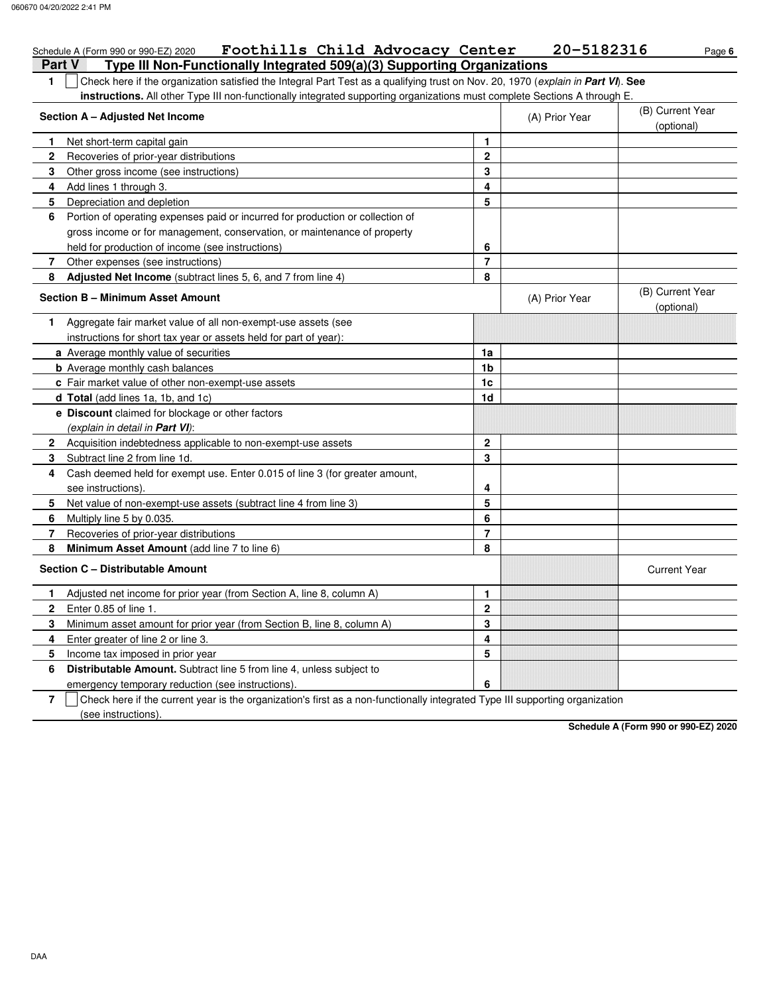|                | Foothills Child Advocacy Center<br>Schedule A (Form 990 or 990-EZ) 2020                                                          |                | 20-5182316     | Page 6                         |
|----------------|----------------------------------------------------------------------------------------------------------------------------------|----------------|----------------|--------------------------------|
|                | Part V<br>Type III Non-Functionally Integrated 509(a)(3) Supporting Organizations                                                |                |                |                                |
| 1.             | Check here if the organization satisfied the Integral Part Test as a qualifying trust on Nov. 20, 1970 (explain in Part VI). See |                |                |                                |
|                | instructions. All other Type III non-functionally integrated supporting organizations must complete Sections A through E.        |                |                |                                |
|                | Section A - Adjusted Net Income                                                                                                  |                | (A) Prior Year | (B) Current Year<br>(optional) |
| 1.             | Net short-term capital gain                                                                                                      | 1              |                |                                |
| $\mathbf{2}$   | Recoveries of prior-year distributions                                                                                           | $\overline{2}$ |                |                                |
| 3              | Other gross income (see instructions)                                                                                            | 3              |                |                                |
| 4              | Add lines 1 through 3.                                                                                                           | 4              |                |                                |
| 5              | Depreciation and depletion                                                                                                       | 5              |                |                                |
| 6              | Portion of operating expenses paid or incurred for production or collection of                                                   |                |                |                                |
|                | gross income or for management, conservation, or maintenance of property                                                         |                |                |                                |
|                | held for production of income (see instructions)                                                                                 | 6              |                |                                |
| $\overline{7}$ | Other expenses (see instructions)                                                                                                | $\overline{7}$ |                |                                |
| 8              | Adjusted Net Income (subtract lines 5, 6, and 7 from line 4)                                                                     | 8              |                |                                |
|                | <b>Section B - Minimum Asset Amount</b>                                                                                          |                | (A) Prior Year | (B) Current Year<br>(optional) |
| 1              | Aggregate fair market value of all non-exempt-use assets (see                                                                    |                |                |                                |
|                | instructions for short tax year or assets held for part of year):                                                                |                |                |                                |
|                | <b>a</b> Average monthly value of securities                                                                                     | 1a             |                |                                |
|                | <b>b</b> Average monthly cash balances                                                                                           | 1b             |                |                                |
|                | c Fair market value of other non-exempt-use assets                                                                               | 1c             |                |                                |
|                | <b>d Total</b> (add lines 1a, 1b, and 1c)                                                                                        | 1d             |                |                                |
|                | e Discount claimed for blockage or other factors                                                                                 |                |                |                                |
|                | (explain in detail in <b>Part VI</b> ):                                                                                          |                |                |                                |
| $\overline{2}$ | Acquisition indebtedness applicable to non-exempt-use assets                                                                     | $\mathbf 2$    |                |                                |
| 3              | Subtract line 2 from line 1d.                                                                                                    | 3              |                |                                |
| 4              | Cash deemed held for exempt use. Enter 0.015 of line 3 (for greater amount,                                                      |                |                |                                |
|                | see instructions).                                                                                                               | 4              |                |                                |
| 5              | Net value of non-exempt-use assets (subtract line 4 from line 3)                                                                 | 5              |                |                                |
| 6              | Multiply line 5 by 0.035.                                                                                                        | 6              |                |                                |
| 7              | Recoveries of prior-year distributions                                                                                           | $\overline{7}$ |                |                                |
| 8              | Minimum Asset Amount (add line 7 to line 6)                                                                                      | 8              |                |                                |
|                | <b>Section C - Distributable Amount</b>                                                                                          |                |                | <b>Current Year</b>            |
| 1              | Adjusted net income for prior year (from Section A, line 8, column A)                                                            | $\mathbf{1}$   |                |                                |
| $\mathbf{2}$   | Enter 0.85 of line 1.                                                                                                            | $\mathbf 2$    |                |                                |
| 3              | Minimum asset amount for prior year (from Section B, line 8, column A)                                                           | 3              |                |                                |
| 4              | Enter greater of line 2 or line 3.                                                                                               | 4              |                |                                |
| 5              | Income tax imposed in prior year                                                                                                 | 5              |                |                                |
| 6              | <b>Distributable Amount.</b> Subtract line 5 from line 4, unless subject to                                                      |                |                |                                |
|                | emergency temporary reduction (see instructions).                                                                                | 6              |                |                                |

**7**  $\,$   $\,$   $\,$   $\,$   $\,$   $\,$  Check here if the current year is the organization's first as a non-functionally integrated Type III supporting organization (see instructions).

**Schedule A (Form 990 or 990-EZ) 2020**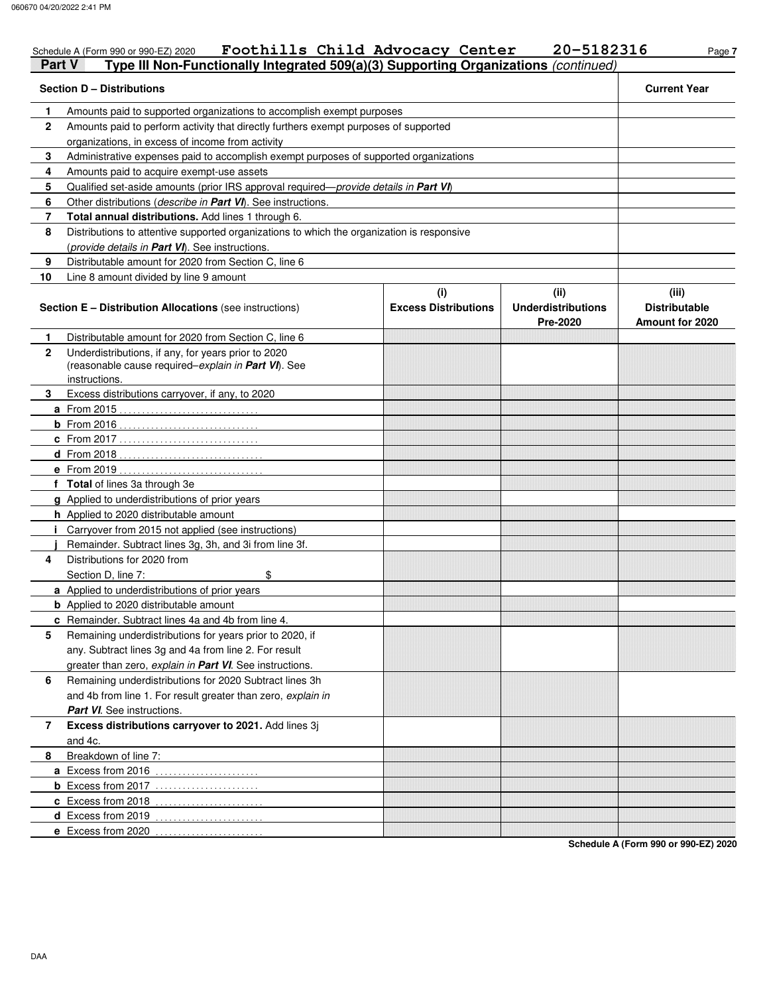#### Schedule A (Form 990 or 990-EZ) 2020 Poothills Child Advocacy Center 20-5182316 Page 7 **Part V** Type III Non-Functionally Integrated 509(a)(3) Supporting Organizations (continued) **Section D – Distributions Current Year 1 2 3 4 5 6 7 8 9 10** Amounts paid to supported organizations to accomplish exempt purposes Amounts paid to perform activity that directly furthers exempt purposes of supported organizations, in excess of income from activity Administrative expenses paid to accomplish exempt purposes of supported organizations Amounts paid to acquire exempt-use assets Qualified set-aside amounts (prior IRS approval required—provide details in **Part VI**) Other distributions (describe in **Part VI**). See instructions. **Total annual distributions.** Add lines 1 through 6. Distributions to attentive supported organizations to which the organization is responsive (provide details in **Part VI**). See instructions. Distributable amount for 2020 from Section C, line 6 Line 8 amount divided by line 9 amount **Section E – Distribution Allocations** (see instructions) **Excess Distributions (i) (ii) Underdistributions Pre-2020 (iii) Distributable Amount for 2020 8 7 6 5 4 3** Excess distributions carryover, if any, to 2020 **2 1 a** From 2015 . . . . . . . . . . . . . . . . . . . . . . . . . . . . . . . **b** From 2016 . . . . . . . . . . . . . . . . . . . . . . . . . . . . . . . **c** From 2017 . . . . . . . . . . . . . . . . . . . . . . . . . . . . . . . **d** From 2018 . . . . . . . . . . . . . . . . . . . . . . . . . . . . . . . . **e** From 2019 . . . . . . . . . . . . . . . . . . . . . . . . . . . . . . . . **f Total** of lines 3a through 3e **g** Applied to underdistributions of prior years **h** Applied to 2020 distributable amount **i** Carryover from 2015 not applied (see instructions) **j** Remainder. Subtract lines 3g, 3h, and 3i from line 3f. **a** Applied to underdistributions of prior years **b** Applied to 2020 distributable amount **c** Remainder. Subtract lines 4a and 4b from line 4. **a** Excess from 2016 . . . . . . . . . . . . . . . . . . . . . . . **b** Excess from 2017 . . . . . . . . . . . . . . . . . . . . . . . **c** Excess from 2018 . . . . . . . . . . . . . . . . . . . . . . . . **d** Excess from 2019 . . . . . . . . . . . . . . . . . . . . . . . . Distributable amount for 2020 from Section C, line 6 Underdistributions, if any, for years prior to 2020 (reasonable cause required–explain in **Part VI**). See Distributions for 2020 from Section D, line 7: \$ Remaining underdistributions for years prior to 2020, if any. Subtract lines 3g and 4a from line 2. For result greater than zero, explain in **Part VI**. See instructions. Remaining underdistributions for 2020 Subtract lines 3h and 4b from line 1. For result greater than zero, explain in **Part VI.** See instructions. **Excess distributions carryover to 2021.** Add lines 3j and 4c. Breakdown of line 7: instructions.

**Schedule A (Form 990 or 990-EZ) 2020**

**e** Excess from 2020 . . . . . . . . . . . . . . . . . . . . . . . .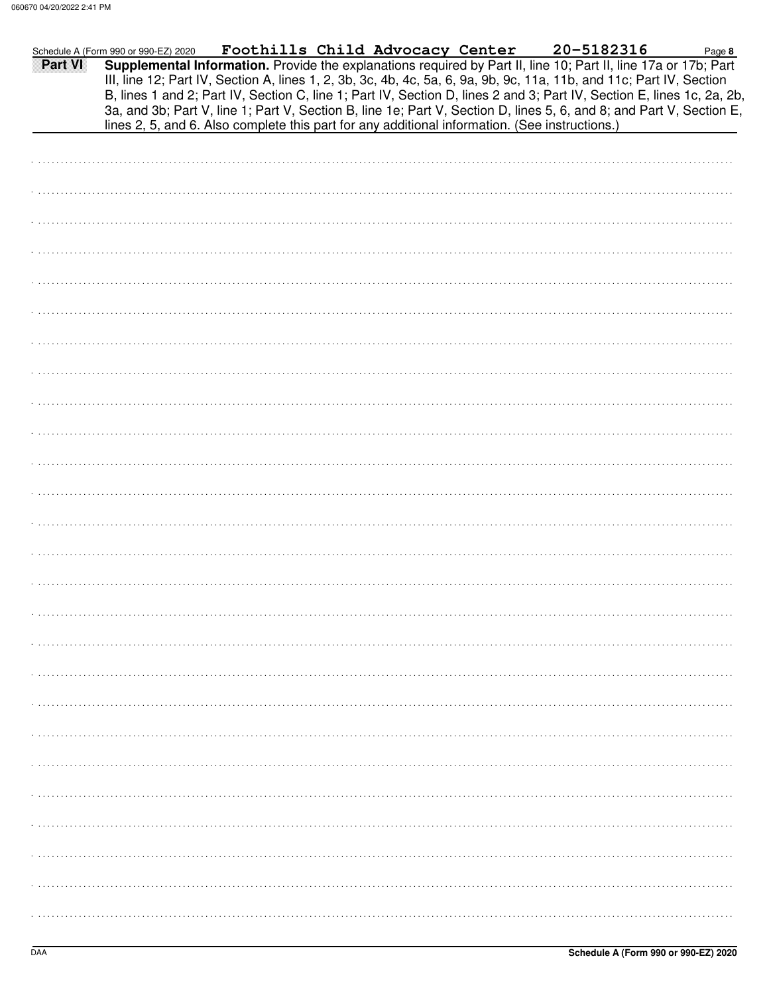|         | Schedule A (Form 990 or 990-EZ) 2020 | Foothills Child Advocacy Center |                                                                                                | 20-5182316                                                                                                                                                                                                                                                                                                                                                                                                                                                                                | Page 8 |
|---------|--------------------------------------|---------------------------------|------------------------------------------------------------------------------------------------|-------------------------------------------------------------------------------------------------------------------------------------------------------------------------------------------------------------------------------------------------------------------------------------------------------------------------------------------------------------------------------------------------------------------------------------------------------------------------------------------|--------|
| Part VI |                                      |                                 |                                                                                                | Supplemental Information. Provide the explanations required by Part II, line 10; Part II, line 17a or 17b; Part<br>III, line 12; Part IV, Section A, lines 1, 2, 3b, 3c, 4b, 4c, 5a, 6, 9a, 9b, 9c, 11a, 11b, and 11c; Part IV, Section<br>B, lines 1 and 2; Part IV, Section C, line 1; Part IV, Section D, lines 2 and 3; Part IV, Section E, lines 1c, 2a, 2b,<br>3a, and 3b; Part V, line 1; Part V, Section B, line 1e; Part V, Section D, lines 5, 6, and 8; and Part V, Section E, |        |
|         |                                      |                                 | lines 2, 5, and 6. Also complete this part for any additional information. (See instructions.) |                                                                                                                                                                                                                                                                                                                                                                                                                                                                                           |        |
|         |                                      |                                 |                                                                                                |                                                                                                                                                                                                                                                                                                                                                                                                                                                                                           |        |
|         |                                      |                                 |                                                                                                |                                                                                                                                                                                                                                                                                                                                                                                                                                                                                           |        |
|         |                                      |                                 |                                                                                                |                                                                                                                                                                                                                                                                                                                                                                                                                                                                                           |        |
|         |                                      |                                 |                                                                                                |                                                                                                                                                                                                                                                                                                                                                                                                                                                                                           |        |
|         |                                      |                                 |                                                                                                |                                                                                                                                                                                                                                                                                                                                                                                                                                                                                           |        |
|         |                                      |                                 |                                                                                                |                                                                                                                                                                                                                                                                                                                                                                                                                                                                                           |        |
|         |                                      |                                 |                                                                                                |                                                                                                                                                                                                                                                                                                                                                                                                                                                                                           |        |
|         |                                      |                                 |                                                                                                |                                                                                                                                                                                                                                                                                                                                                                                                                                                                                           |        |
|         |                                      |                                 |                                                                                                |                                                                                                                                                                                                                                                                                                                                                                                                                                                                                           |        |
|         |                                      |                                 |                                                                                                |                                                                                                                                                                                                                                                                                                                                                                                                                                                                                           |        |
|         |                                      |                                 |                                                                                                |                                                                                                                                                                                                                                                                                                                                                                                                                                                                                           |        |
|         |                                      |                                 |                                                                                                |                                                                                                                                                                                                                                                                                                                                                                                                                                                                                           |        |
|         |                                      |                                 |                                                                                                |                                                                                                                                                                                                                                                                                                                                                                                                                                                                                           |        |
|         |                                      |                                 |                                                                                                |                                                                                                                                                                                                                                                                                                                                                                                                                                                                                           |        |
|         |                                      |                                 |                                                                                                |                                                                                                                                                                                                                                                                                                                                                                                                                                                                                           |        |
|         |                                      |                                 |                                                                                                |                                                                                                                                                                                                                                                                                                                                                                                                                                                                                           |        |
|         |                                      |                                 |                                                                                                |                                                                                                                                                                                                                                                                                                                                                                                                                                                                                           |        |
|         |                                      |                                 |                                                                                                |                                                                                                                                                                                                                                                                                                                                                                                                                                                                                           |        |
|         |                                      |                                 |                                                                                                |                                                                                                                                                                                                                                                                                                                                                                                                                                                                                           |        |
|         |                                      |                                 |                                                                                                |                                                                                                                                                                                                                                                                                                                                                                                                                                                                                           |        |
|         |                                      |                                 |                                                                                                |                                                                                                                                                                                                                                                                                                                                                                                                                                                                                           |        |
|         |                                      |                                 |                                                                                                |                                                                                                                                                                                                                                                                                                                                                                                                                                                                                           |        |
|         |                                      |                                 |                                                                                                |                                                                                                                                                                                                                                                                                                                                                                                                                                                                                           |        |
|         |                                      |                                 |                                                                                                |                                                                                                                                                                                                                                                                                                                                                                                                                                                                                           |        |
|         |                                      |                                 |                                                                                                |                                                                                                                                                                                                                                                                                                                                                                                                                                                                                           |        |
|         |                                      |                                 |                                                                                                |                                                                                                                                                                                                                                                                                                                                                                                                                                                                                           |        |
|         |                                      |                                 |                                                                                                |                                                                                                                                                                                                                                                                                                                                                                                                                                                                                           |        |
|         |                                      |                                 |                                                                                                |                                                                                                                                                                                                                                                                                                                                                                                                                                                                                           |        |
|         |                                      |                                 |                                                                                                |                                                                                                                                                                                                                                                                                                                                                                                                                                                                                           |        |
|         |                                      |                                 |                                                                                                |                                                                                                                                                                                                                                                                                                                                                                                                                                                                                           |        |
|         |                                      |                                 |                                                                                                |                                                                                                                                                                                                                                                                                                                                                                                                                                                                                           |        |
|         |                                      |                                 |                                                                                                |                                                                                                                                                                                                                                                                                                                                                                                                                                                                                           |        |
|         |                                      |                                 |                                                                                                |                                                                                                                                                                                                                                                                                                                                                                                                                                                                                           |        |
|         |                                      |                                 |                                                                                                |                                                                                                                                                                                                                                                                                                                                                                                                                                                                                           |        |
|         |                                      |                                 |                                                                                                |                                                                                                                                                                                                                                                                                                                                                                                                                                                                                           |        |
|         |                                      |                                 |                                                                                                |                                                                                                                                                                                                                                                                                                                                                                                                                                                                                           |        |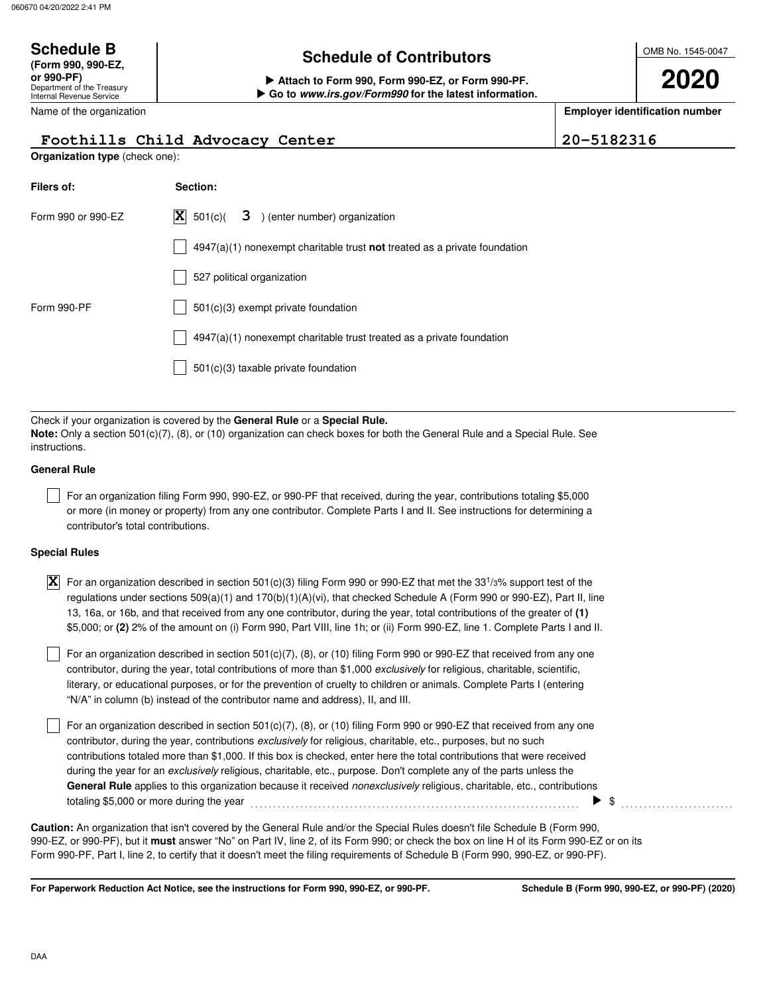#### OMB No. 1545-0047 Department of the Treasury Internal Revenue Service Name of the organization **2020 Schedule of Contributors Schedule B (Form 990, 990-EZ, or 990-PF)** - **Attach to Form 990, Form 990-EZ, or Form 990-PF. Employer identification number Organization type** (check one): - **Go to www.irs.gov/Form990 for the latest information. Foothills Child Advocacy Center 20-5182316**

| Filers of:         | Section:                                                                           |
|--------------------|------------------------------------------------------------------------------------|
| Form 990 or 990-EZ | $ \mathbf{X} $ 501(c)(<br>$3$ ) (enter number) organization                        |
|                    | $4947(a)(1)$ nonexempt charitable trust <b>not</b> treated as a private foundation |
|                    | 527 political organization                                                         |
| Form 990-PF        | $501(c)(3)$ exempt private foundation                                              |
|                    | $4947(a)(1)$ nonexempt charitable trust treated as a private foundation            |
|                    | 501(c)(3) taxable private foundation                                               |
|                    |                                                                                    |

Check if your organization is covered by the **General Rule** or a **Special Rule. Note:** Only a section 501(c)(7), (8), or (10) organization can check boxes for both the General Rule and a Special Rule. See instructions.

### **General Rule**

For an organization filing Form 990, 990-EZ, or 990-PF that received, during the year, contributions totaling \$5,000 or more (in money or property) from any one contributor. Complete Parts I and II. See instructions for determining a contributor's total contributions.

### **Special Rules**

| <b>X</b> For an organization described in section 501(c)(3) filing Form 990 or 990-EZ that met the 33 <sup>1</sup> /3% support test of the |
|--------------------------------------------------------------------------------------------------------------------------------------------|
| regulations under sections 509(a)(1) and 170(b)(1)(A)(vi), that checked Schedule A (Form 990 or 990-EZ), Part II, line                     |
| 13, 16a, or 16b, and that received from any one contributor, during the year, total contributions of the greater of (1)                    |
| \$5,000; or (2) 2% of the amount on (i) Form 990, Part VIII, line 1h; or (ii) Form 990-EZ, line 1. Complete Parts I and II.                |

literary, or educational purposes, or for the prevention of cruelty to children or animals. Complete Parts I (entering For an organization described in section  $501(c)(7)$ , (8), or (10) filing Form 990 or 990-EZ that received from any one contributor, during the year, total contributions of more than \$1,000 exclusively for religious, charitable, scientific, "N/A" in column (b) instead of the contributor name and address), II, and III.

For an organization described in section 501(c)(7), (8), or (10) filing Form 990 or 990-EZ that received from any one contributor, during the year, contributions exclusively for religious, charitable, etc., purposes, but no such contributions totaled more than \$1,000. If this box is checked, enter here the total contributions that were received during the year for an exclusively religious, charitable, etc., purpose. Don't complete any of the parts unless the **General Rule** applies to this organization because it received nonexclusively religious, charitable, etc., contributions totaling \$5,000 or more during the year . . . . . . . . . . . . . . . . . . . . . . . . . . . . . . . . . . . . . . . . . . . . . . . . . . . . . . . . . . . . . . . . . . . . . . . . .  $\triangleright$  \$

990-EZ, or 990-PF), but it **must** answer "No" on Part IV, line 2, of its Form 990; or check the box on line H of its Form 990-EZ or on its Form 990-PF, Part I, line 2, to certify that it doesn't meet the filing requirements of Schedule B (Form 990, 990-EZ, or 990-PF). **Caution:** An organization that isn't covered by the General Rule and/or the Special Rules doesn't file Schedule B (Form 990,

**For Paperwork Reduction Act Notice, see the instructions for Form 990, 990-EZ, or 990-PF.**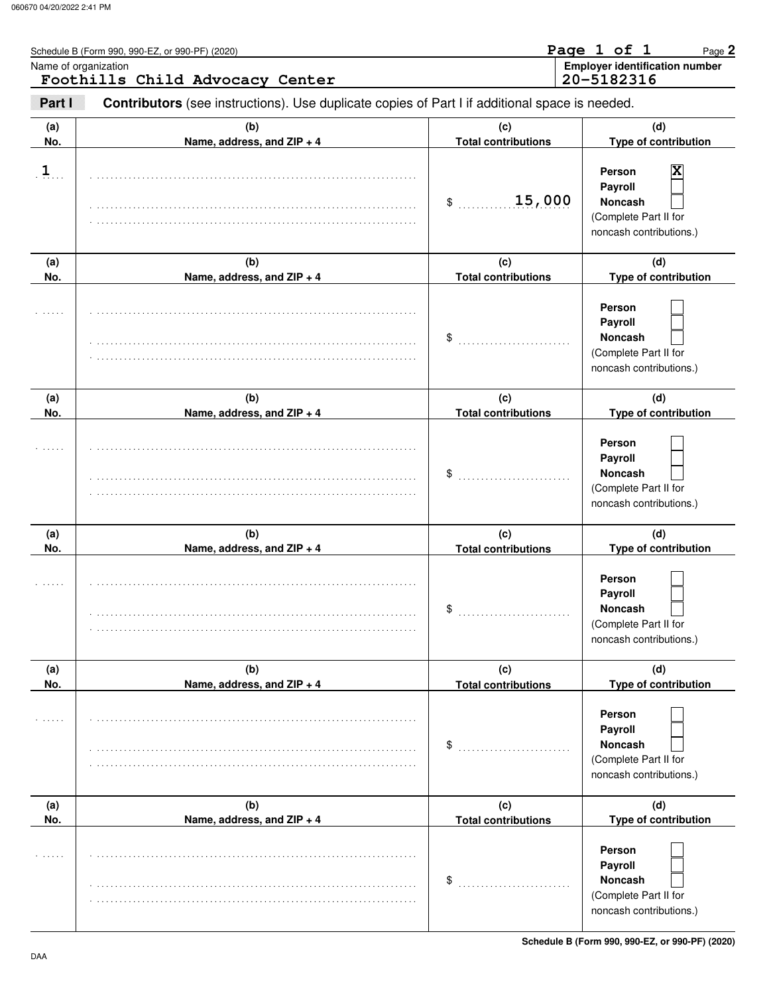| Name of organization | Schedule B (Form 990, 990-EZ, or 990-PF) (2020)<br>Foothills Child Advocacy Center             |                                   | Page 1 of 1<br>Page 2<br><b>Employer identification number</b><br>20-5182316                 |
|----------------------|------------------------------------------------------------------------------------------------|-----------------------------------|----------------------------------------------------------------------------------------------|
| Part I               | Contributors (see instructions). Use duplicate copies of Part I if additional space is needed. |                                   |                                                                                              |
| (a)<br>No.           | (b)<br>Name, address, and ZIP + 4                                                              | (c)<br><b>Total contributions</b> | (d)<br>Type of contribution                                                                  |
| 1                    |                                                                                                | 15,000<br>\$                      | X<br>Person<br>Payroll<br><b>Noncash</b><br>(Complete Part II for<br>noncash contributions.) |
| (a)<br>No.           | (b)<br>Name, address, and ZIP + 4                                                              | (c)<br><b>Total contributions</b> | (d)<br>Type of contribution                                                                  |
|                      |                                                                                                | \$                                | Person<br>Payroll<br><b>Noncash</b><br>(Complete Part II for<br>noncash contributions.)      |
| (a)<br>No.           | (b)<br>Name, address, and ZIP + 4                                                              | (c)<br><b>Total contributions</b> | (d)<br>Type of contribution                                                                  |
|                      |                                                                                                | \$                                | Person<br>Payroll<br><b>Noncash</b><br>(Complete Part II for<br>noncash contributions.)      |
| (a)<br>No.           | (b)<br>Name, address, and ZIP + 4                                                              | (c)<br><b>Total contributions</b> | (d)<br>Type of contribution                                                                  |
|                      |                                                                                                | \$                                | Person<br>Payroll<br>Noncash<br>(Complete Part II for<br>noncash contributions.)             |
| (a)<br>No.           | (b)<br>Name, address, and ZIP + 4                                                              | (c)<br><b>Total contributions</b> | (d)<br>Type of contribution                                                                  |
|                      |                                                                                                | \$                                | Person<br>Payroll<br>Noncash<br>(Complete Part II for<br>noncash contributions.)             |
| (a)<br>No.           | (b)<br>Name, address, and ZIP + 4                                                              | (c)<br><b>Total contributions</b> | (d)<br>Type of contribution                                                                  |
|                      |                                                                                                | \$                                | Person<br>Payroll<br>Noncash<br>(Complete Part II for<br>noncash contributions.)             |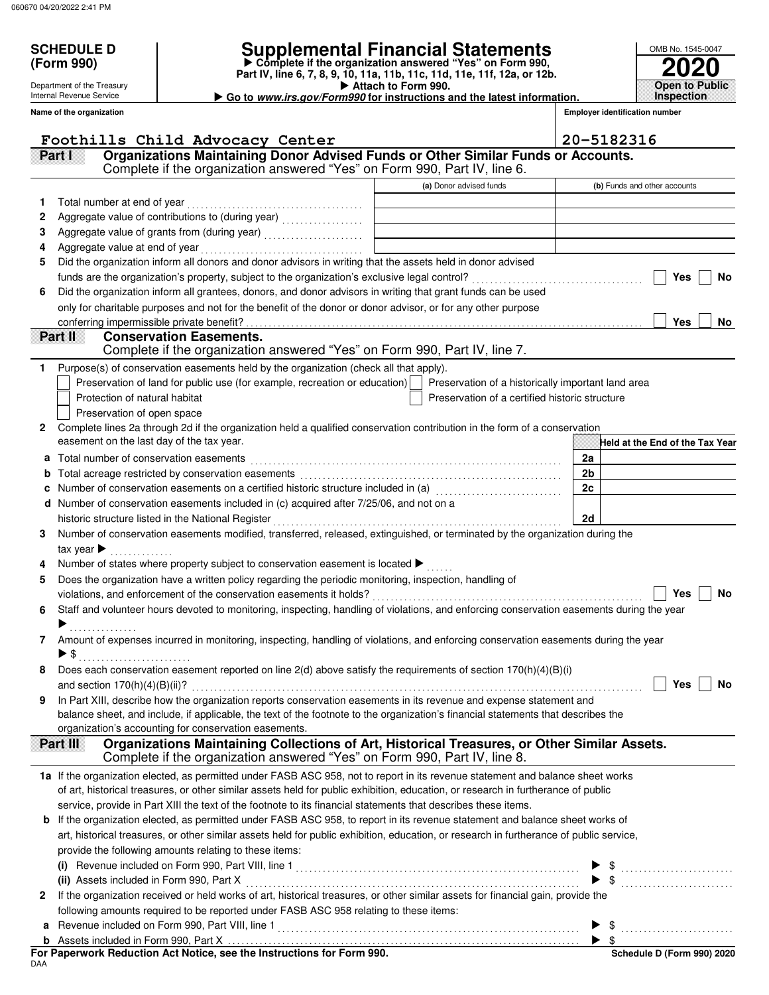| <b>SCHEDULE D</b><br>(Form 990)<br>Department of the Treasury |                                                                                                                                                                | Supplemental Financial Statements<br>$\triangleright$ Complete if the organization answered "Yes" on Form 990,<br>Part IV, line 6, 7, 8, 9, 10, 11a, 11b, 11c, 11d, 11e, 11f, 12a, or 12b.<br>Attach to Form 990. | OMB No. 1545-0047<br>2020<br><b>Open to Public</b>  |
|---------------------------------------------------------------|----------------------------------------------------------------------------------------------------------------------------------------------------------------|-------------------------------------------------------------------------------------------------------------------------------------------------------------------------------------------------------------------|-----------------------------------------------------|
| Internal Revenue Service                                      |                                                                                                                                                                | $\triangleright$ Go to <i>www.irs.gov/Form990</i> for instructions and the latest information.                                                                                                                    | Inspection                                          |
| Name of the organization                                      | Foothills Child Advocacy Center                                                                                                                                |                                                                                                                                                                                                                   | <b>Employer identification number</b><br>20-5182316 |
| Part I                                                        | Organizations Maintaining Donor Advised Funds or Other Similar Funds or Accounts.<br>Complete if the organization answered "Yes" on Form 990, Part IV, line 6. |                                                                                                                                                                                                                   |                                                     |
|                                                               |                                                                                                                                                                | (a) Donor advised funds                                                                                                                                                                                           | (b) Funds and other accounts                        |
| Total number at end of year                                   |                                                                                                                                                                |                                                                                                                                                                                                                   |                                                     |

#### **Conservation Easements.**  Does each conservation easement reported on line 2(d) above satisfy the requirements of section 170(h)(4)(B)(i) Number of states where property subject to conservation easement is located  $\blacktriangleright$  ...... If the organization received or held works of art, historical treasures, or other similar assets for financial gain, provide the **2 a** Total number of conservation easements . . . . . . . . . . . . . . . . . . . . . . . . . . . . . . . . . . . . . . . . . . . . . . . . . . . . . . . . . . . . . . . . . . . . . **b** Total acreage restricted by conservation easements with all accommunity conservations of the set of the set o **c** Number of conservation easements on a certified historic structure included in (a) will consumed that the structure **d** Number of conservation easements included in (c) acquired after 7/25/06, and not on a Assets included in Form 990, Part X . . . . . . . . . . . . . . . . . . . . . . . . . . . . . . . . . . . . . . . . . . . . . . . . . . . . . . . . . . . . . . . . . . . . . . . . . . **(ii)** Revenue included on Form 990, Part VIII, line 1 . . . . . . . . . . . . . . . . . . . . . . . . . . . . . . . . . . . . . . . . . . . . . . . . . . . . . . . . . . . . . . . . . . . **a Held at the End of the Tax Year** of art, historical treasures, or other similar assets held for public exhibition, education, or research in furtherance of public service, provide in Part XIII the text of the footnote to its financial statements that describes these items. If the organization elected, as permitted under FASB ASC 958, to report in its revenue statement and balance sheet works of **b** art, historical treasures, or other similar assets held for public exhibition, education, or research in furtherance of public service, provide the following amounts relating to these items: **(i)** Revenue included on Form 990, Part VIII, line 1 . . . . . . . . . . . . . . . . . . . . . . . . . . . . . . . . . . . . . . . . . . . . . . . . . . . . . . . . . . . . . . . **2 3 4 5 6** Aggregate value of contributions to (during year) ................... Aggregate value of grants from (during year) . . . . . . . . . . . . . . . . . . . . . . Aggregate value at end of year . . . . . . . . . . . . . . . . . . . . . . . . . . . . . . . . . . . . Did the organization inform all donors and donor advisors in writing that the assets held in donor advised funds are the organization's property, subject to the organization's exclusive legal control? Did the organization inform all grantees, donors, and donor advisors in writing that grant funds can be used only for charitable purposes and not for the benefit of the donor or donor advisor, or for any other purpose **Yes Yes No No Part II** Complete lines 2a through 2d if the organization held a qualified conservation contribution in the form of a conservation Purpose(s) of conservation easements held by the organization (check all that apply). **2 1** easement on the last day of the tax year. Preservation of land for public use (for example, recreation or education) Protection of natural habitat Preservation of open space Preservation of a certified historic structure Preservation of a historically important land area  $\mathsf{tax\, year} \blacktriangleright$  .............. **3** Number of conservation easements modified, transferred, released, extinguished, or terminated by the organization during the **4 5** Does the organization have a written policy regarding the periodic monitoring, inspection, handling of violations, and enforcement of the conservation easements it holds? . . . . . . . . . . . . . . . . . . . . . . . . . . . . . . . . . . . . . . . . . . . . . . . . . . . . . . . . . . . . **6** Staff and volunteer hours devoted to monitoring, inspecting, handling of violations, and enforcing conservation easements during the year **7** Amount of expenses incurred in monitoring, inspecting, handling of violations, and enforcing conservation easements during the year **8** and section 170(h)(4)(B)(ii)? . . . . . . . . . . . . . . . . . . . . . . . . . . . . . . . . . . . . . . . . . . . . . . . . . . . . . . . . . . . . . . . . . . . . . . . . . . . . . . . . . . . . . . . . . . . . . . . . . . . . balance sheet, and include, if applicable, the text of the footnote to the organization's financial statements that describes the **9** In Part XIII, describe how the organization reports conservation easements in its revenue and expense statement and organization's accounting for conservation easements. **Yes No Yes No** Complete if the organization answered "Yes" on Form 990, Part IV, line 8. **Part III Organizations Maintaining Collections of Art, Historical Treasures, or Other Similar Assets. 1a** If the organization elected, as permitted under FASB ASC 958, not to report in its revenue statement and balance sheet works following amounts required to be reported under FASB ASC 958 relating to these items: \$ . . . . . . . . . . . . . . . . . . . . . . . . . \$ . . . . . . . . . . . . . . . . . . . . . . . . . \$ . . . . . . . . . . . . . . . . . . . . . . . . . conferring impermissible private benefit? **2a 2b 2c 2d**  $\blacktriangleright$  . . . . . . . . . . . . . . . - \$ . . . . . . . . . . . . . . . . . . . . . . . . .  $\blacktriangleright$  $\blacktriangleright$  s  $\blacktriangleright$  $\blacktriangleright$ historic structure listed in the National Register . . . . . . . . . . . . . . . . . . . . . . . . . . . . . . . . . . . . . . . . . . . . . . . . . . . . . . . . . . . . . . . . Complete if the organization answered "Yes" on Form 990, Part IV, line 7.

| <b>b</b> Assets included in Form 990. Part X |
|----------------------------------------------|
|----------------------------------------------|

| For Paperwork Reduction Act Notice, see the Instructions for Form 990. |  |  |
|------------------------------------------------------------------------|--|--|
| <b>DAA</b>                                                             |  |  |

\$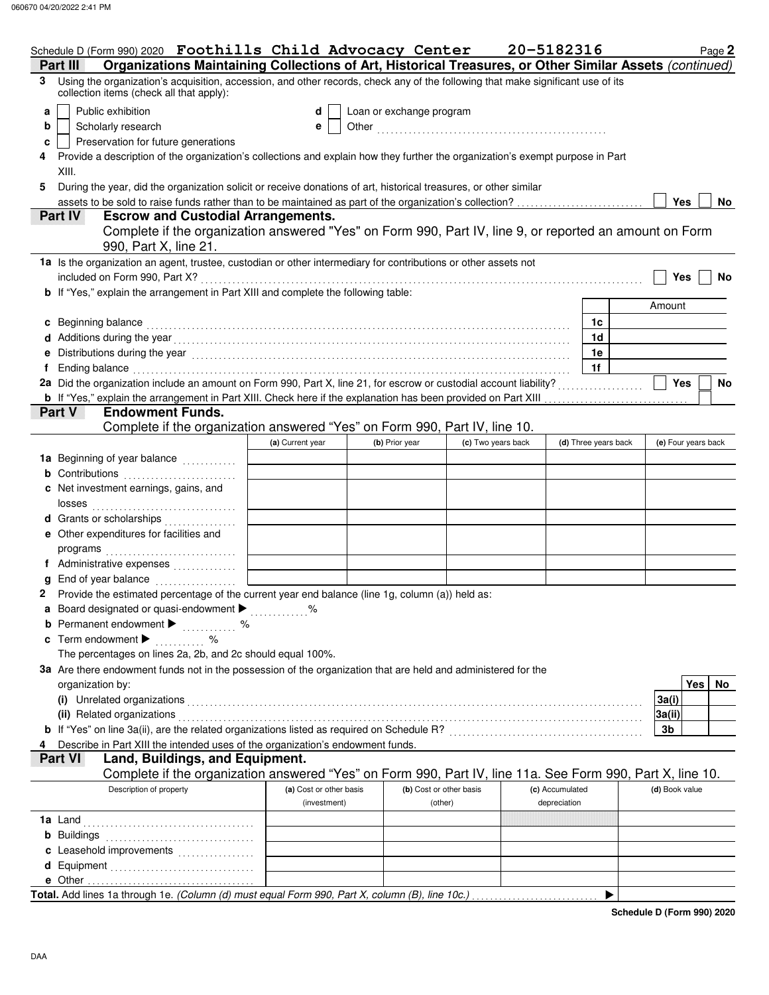|   | Schedule D (Form 990) 2020 Foothills Child Advocacy Center 20-5182316<br>Part III                                                                                                                                                          |                                         |                          |                                    |                                 |                      |                | Page 2              |
|---|--------------------------------------------------------------------------------------------------------------------------------------------------------------------------------------------------------------------------------------------|-----------------------------------------|--------------------------|------------------------------------|---------------------------------|----------------------|----------------|---------------------|
| 3 | Organizations Maintaining Collections of Art, Historical Treasures, or Other Similar Assets (continued)<br>Using the organization's acquisition, accession, and other records, check any of the following that make significant use of its |                                         |                          |                                    |                                 |                      |                |                     |
|   | collection items (check all that apply):                                                                                                                                                                                                   |                                         |                          |                                    |                                 |                      |                |                     |
| a | Public exhibition                                                                                                                                                                                                                          | d                                       | Loan or exchange program |                                    |                                 |                      |                |                     |
| b | Scholarly research                                                                                                                                                                                                                         | е                                       |                          |                                    |                                 |                      |                |                     |
| c | Preservation for future generations<br>Provide a description of the organization's collections and explain how they further the organization's exempt purpose in Part                                                                      |                                         |                          |                                    |                                 |                      |                |                     |
| 4 | XIII.                                                                                                                                                                                                                                      |                                         |                          |                                    |                                 |                      |                |                     |
| 5 | During the year, did the organization solicit or receive donations of art, historical treasures, or other similar                                                                                                                          |                                         |                          |                                    |                                 |                      |                |                     |
|   | assets to be sold to raise funds rather than to be maintained as part of the organization's collection?                                                                                                                                    |                                         |                          |                                    |                                 |                      | Yes            | No                  |
|   | <b>Escrow and Custodial Arrangements.</b><br>Part IV                                                                                                                                                                                       |                                         |                          |                                    |                                 |                      |                |                     |
|   | Complete if the organization answered "Yes" on Form 990, Part IV, line 9, or reported an amount on Form                                                                                                                                    |                                         |                          |                                    |                                 |                      |                |                     |
|   | 990, Part X, line 21.                                                                                                                                                                                                                      |                                         |                          |                                    |                                 |                      |                |                     |
|   | 1a Is the organization an agent, trustee, custodian or other intermediary for contributions or other assets not                                                                                                                            |                                         |                          |                                    |                                 |                      |                |                     |
|   | <b>b</b> If "Yes," explain the arrangement in Part XIII and complete the following table:                                                                                                                                                  |                                         |                          |                                    |                                 |                      | Yes            | No                  |
|   |                                                                                                                                                                                                                                            |                                         |                          |                                    |                                 |                      | Amount         |                     |
|   | c Beginning balance expressions and the contract of the contract of the contract of the contract of the contract of the contract of the contract of the contract of the contract of the contract of the contract of the contra             |                                         |                          |                                    |                                 | 1c                   |                |                     |
|   |                                                                                                                                                                                                                                            |                                         |                          |                                    |                                 | 1d                   |                |                     |
|   |                                                                                                                                                                                                                                            |                                         |                          |                                    |                                 | 1e                   |                |                     |
|   | f Ending balance encourance and account of the contract of the contract of the contract of the contract of the contract of the contract of the contract of the contract of the contract of the contract of the contract of the             |                                         |                          |                                    |                                 | 1f                   |                |                     |
|   | 2a Did the organization include an amount on Form 990, Part X, line 21, for escrow or custodial account liability?                                                                                                                         |                                         |                          |                                    |                                 |                      | Yes            | No                  |
|   | b If "Yes," explain the arrangement in Part XIII. Check here if the explanation has been provided on Part XIII<br><b>Endowment Funds.</b><br>Part V                                                                                        |                                         |                          |                                    |                                 | .                    |                |                     |
|   | Complete if the organization answered "Yes" on Form 990, Part IV, line 10.                                                                                                                                                                 |                                         |                          |                                    |                                 |                      |                |                     |
|   |                                                                                                                                                                                                                                            | (a) Current year                        | (b) Prior year           | (c) Two years back                 |                                 | (d) Three years back |                | (e) Four years back |
|   | 1a Beginning of year balance [11][11][11] Beginning of year balance                                                                                                                                                                        |                                         |                          |                                    |                                 |                      |                |                     |
|   | <b>b</b> Contributions                                                                                                                                                                                                                     |                                         |                          |                                    |                                 |                      |                |                     |
|   | c Net investment earnings, gains, and                                                                                                                                                                                                      |                                         |                          |                                    |                                 |                      |                |                     |
|   |                                                                                                                                                                                                                                            |                                         |                          |                                    |                                 |                      |                |                     |
|   | d Grants or scholarships                                                                                                                                                                                                                   |                                         |                          |                                    |                                 |                      |                |                     |
|   | e Other expenditures for facilities and                                                                                                                                                                                                    |                                         |                          |                                    |                                 |                      |                |                     |
|   | programs<br>f Administrative expenses                                                                                                                                                                                                      |                                         |                          |                                    |                                 |                      |                |                     |
|   | <b>g</b> End of year balance $\ldots$                                                                                                                                                                                                      |                                         |                          |                                    |                                 |                      |                |                     |
|   | 2 Provide the estimated percentage of the current year end balance (line 1g, column (a)) held as:                                                                                                                                          |                                         |                          |                                    |                                 |                      |                |                     |
|   | a Board designated or quasi-endowment >                                                                                                                                                                                                    |                                         |                          |                                    |                                 |                      |                |                     |
|   | <b>b</b> Permanent endowment > %                                                                                                                                                                                                           |                                         |                          |                                    |                                 |                      |                |                     |
|   | <b>c</b> Term endowment $\blacktriangleright$<br>.                                                                                                                                                                                         |                                         |                          |                                    |                                 |                      |                |                     |
|   | The percentages on lines 2a, 2b, and 2c should equal 100%.                                                                                                                                                                                 |                                         |                          |                                    |                                 |                      |                |                     |
|   | 3a Are there endowment funds not in the possession of the organization that are held and administered for the                                                                                                                              |                                         |                          |                                    |                                 |                      |                | Yes<br>No.          |
|   | organization by:                                                                                                                                                                                                                           |                                         |                          |                                    |                                 |                      | 3a(i)          |                     |
|   | (ii) Related organizations entertainment and all the contract of the contract of the contract or contract or contract or contract or contract or contract or contract or contract or contract or contract or contract or contr             |                                         |                          |                                    |                                 |                      | 3a(ii)         |                     |
|   |                                                                                                                                                                                                                                            |                                         |                          |                                    |                                 |                      | 3b             |                     |
| 4 | Describe in Part XIII the intended uses of the organization's endowment funds.                                                                                                                                                             |                                         |                          |                                    |                                 |                      |                |                     |
|   | Land, Buildings, and Equipment.<br>Part VI                                                                                                                                                                                                 |                                         |                          |                                    |                                 |                      |                |                     |
|   | Complete if the organization answered "Yes" on Form 990, Part IV, line 11a. See Form 990, Part X, line 10.                                                                                                                                 |                                         |                          |                                    |                                 |                      |                |                     |
|   | Description of property                                                                                                                                                                                                                    | (a) Cost or other basis<br>(investment) |                          | (b) Cost or other basis<br>(other) | (c) Accumulated<br>depreciation |                      | (d) Book value |                     |
|   |                                                                                                                                                                                                                                            |                                         |                          |                                    |                                 |                      |                |                     |
|   |                                                                                                                                                                                                                                            |                                         |                          |                                    |                                 |                      |                |                     |
|   |                                                                                                                                                                                                                                            |                                         |                          |                                    |                                 |                      |                |                     |
|   | d Equipment                                                                                                                                                                                                                                |                                         |                          |                                    |                                 |                      |                |                     |
|   |                                                                                                                                                                                                                                            |                                         |                          |                                    |                                 |                      |                |                     |
|   |                                                                                                                                                                                                                                            |                                         |                          |                                    |                                 |                      |                |                     |

**Schedule D (Form 990) 2020**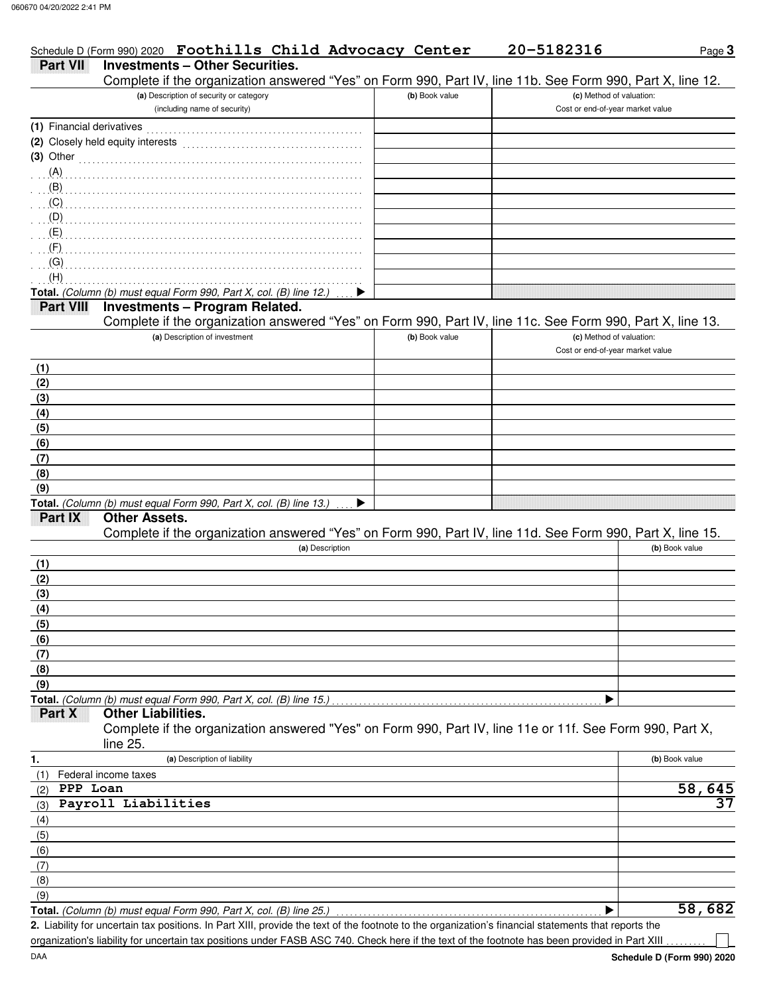|                           | Schedule D (Form 990) 2020 Foothills Child Advocacy Center                                                 |                | 20-5182316                                                   | Page 3         |
|---------------------------|------------------------------------------------------------------------------------------------------------|----------------|--------------------------------------------------------------|----------------|
| <b>Part VII</b>           | <b>Investments - Other Securities.</b>                                                                     |                |                                                              |                |
|                           | Complete if the organization answered "Yes" on Form 990, Part IV, line 11b. See Form 990, Part X, line 12. |                |                                                              |                |
|                           | (a) Description of security or category<br>(including name of security)                                    | (b) Book value | (c) Method of valuation:<br>Cost or end-of-year market value |                |
|                           |                                                                                                            |                |                                                              |                |
| (1) Financial derivatives |                                                                                                            |                |                                                              |                |
| $(3)$ Other               |                                                                                                            |                |                                                              |                |
| (A)                       |                                                                                                            |                |                                                              |                |
| (B)                       |                                                                                                            |                |                                                              |                |
| (C)                       |                                                                                                            |                |                                                              |                |
|                           |                                                                                                            |                |                                                              |                |
|                           |                                                                                                            |                |                                                              |                |
| (F)                       |                                                                                                            |                |                                                              |                |
| (G)                       |                                                                                                            |                |                                                              |                |
| (H)                       |                                                                                                            |                |                                                              |                |
|                           | Total. (Column (b) must equal Form 990, Part X, col. (B) line 12.)                                         |                |                                                              |                |
| <b>Part VIII</b>          | <b>Investments - Program Related.</b>                                                                      |                |                                                              |                |
|                           | Complete if the organization answered "Yes" on Form 990, Part IV, line 11c. See Form 990, Part X, line 13. |                |                                                              |                |
|                           | (a) Description of investment                                                                              | (b) Book value | (c) Method of valuation:<br>Cost or end-of-year market value |                |
|                           |                                                                                                            |                |                                                              |                |
| (1)<br>(2)                |                                                                                                            |                |                                                              |                |
| (3)                       |                                                                                                            |                |                                                              |                |
| (4)                       |                                                                                                            |                |                                                              |                |
| (5)                       |                                                                                                            |                |                                                              |                |
| (6)                       |                                                                                                            |                |                                                              |                |
| (7)                       |                                                                                                            |                |                                                              |                |
| (8)                       |                                                                                                            |                |                                                              |                |
| (9)                       |                                                                                                            |                |                                                              |                |
|                           | Total. (Column (b) must equal Form 990, Part X, col. (B) line 13.)                                         |                |                                                              |                |
| Part IX                   | <b>Other Assets.</b>                                                                                       |                |                                                              |                |
|                           | Complete if the organization answered "Yes" on Form 990, Part IV, line 11d. See Form 990, Part X, line 15. |                |                                                              |                |
|                           | (a) Description                                                                                            |                |                                                              | (b) Book value |
| (1)                       |                                                                                                            |                |                                                              |                |
| (2)<br>(3)                |                                                                                                            |                |                                                              |                |
| (4)                       |                                                                                                            |                |                                                              |                |
| (5)                       |                                                                                                            |                |                                                              |                |
| (6)                       |                                                                                                            |                |                                                              |                |
| (7)                       |                                                                                                            |                |                                                              |                |
| (8)                       |                                                                                                            |                |                                                              |                |
| (9)                       |                                                                                                            |                |                                                              |                |
|                           | Total. (Column (b) must equal Form 990, Part X, col. (B) line 15.)                                         |                |                                                              |                |
| Part X                    | <b>Other Liabilities.</b>                                                                                  |                |                                                              |                |
|                           | Complete if the organization answered "Yes" on Form 990, Part IV, line 11e or 11f. See Form 990, Part X,   |                |                                                              |                |
|                           | line 25.                                                                                                   |                |                                                              |                |
| 1.                        | (a) Description of liability                                                                               |                |                                                              | (b) Book value |
| (1)<br>PPP Loan           | Federal income taxes                                                                                       |                |                                                              | 58,645         |
| (2)<br>(3)                | Payroll Liabilities                                                                                        |                |                                                              | 37             |
| (4)                       |                                                                                                            |                |                                                              |                |
| (5)                       |                                                                                                            |                |                                                              |                |
| (6)                       |                                                                                                            |                |                                                              |                |
|                           |                                                                                                            |                |                                                              |                |
|                           |                                                                                                            |                |                                                              |                |
|                           |                                                                                                            |                |                                                              |                |
| (7)<br>(8)<br>(9)         |                                                                                                            |                |                                                              |                |

Liability for uncertain tax positions. In Part XIII, provide the text of the footnote to the organization's financial statements that reports the **2.** organization's liability for uncertain tax positions under FASB ASC 740. Check here if the text of the footnote has been provided in Part XIII

┓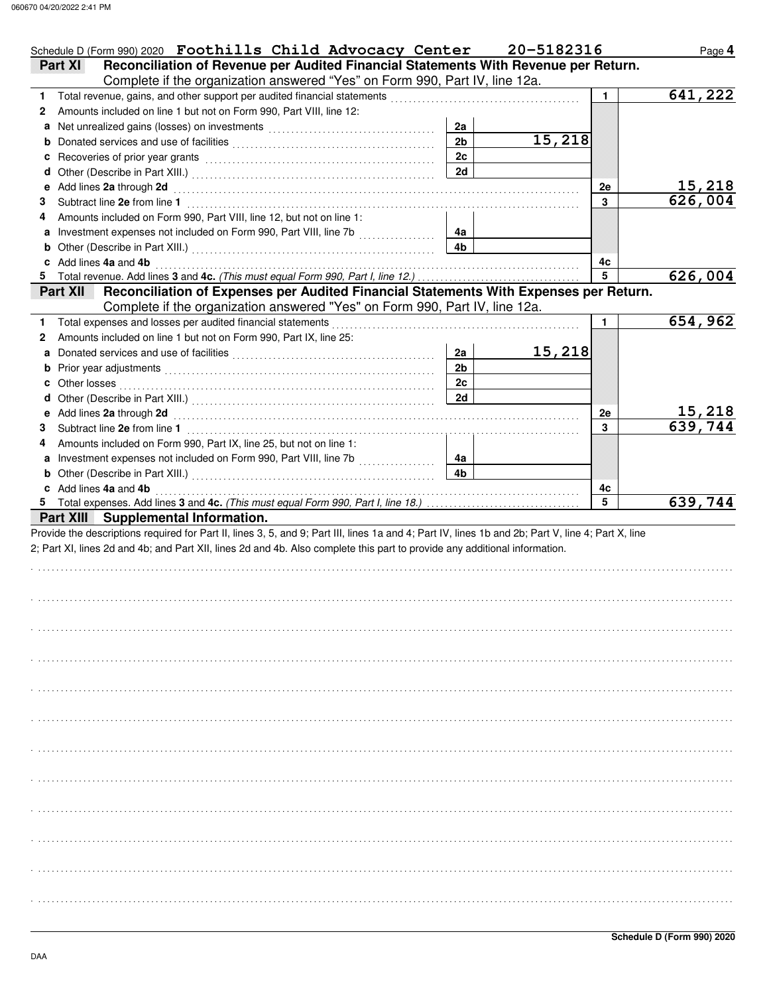| Schedule D (Form 990) 2020 Foothills Child Advocacy Center<br>Reconciliation of Revenue per Audited Financial Statements With Revenue per Return.<br>Part XI                                                                   |                | 20-5182316 |    | Page 4  |
|--------------------------------------------------------------------------------------------------------------------------------------------------------------------------------------------------------------------------------|----------------|------------|----|---------|
| Complete if the organization answered "Yes" on Form 990, Part IV, line 12a.                                                                                                                                                    |                |            |    |         |
| Total revenue, gains, and other support per audited financial statements<br>Total revenue, gains, and other support per audited financial statements<br>1.                                                                     |                |            | 1. | 641,222 |
| Amounts included on line 1 but not on Form 990, Part VIII, line 12:<br>$\mathbf{2}$                                                                                                                                            |                |            |    |         |
|                                                                                                                                                                                                                                | 2a             |            |    |         |
|                                                                                                                                                                                                                                | 2 <sub>b</sub> | 15,218     |    |         |
|                                                                                                                                                                                                                                | 2c             |            |    |         |
|                                                                                                                                                                                                                                | 2d             |            |    |         |
| e Add lines 2a through 2d (a) and the contract of the Add lines 2a through 2d (a) and the contract of the Add lines 2a through 2d (a) and the contract of the Additional Contract of Additional Contract of Additional Contrac |                |            | 2e | 15,218  |
| 3.                                                                                                                                                                                                                             |                |            | 3  | 626,004 |
| Amounts included on Form 990, Part VIII, line 12, but not on line 1:<br>4                                                                                                                                                      |                |            |    |         |
| a Investment expenses not included on Form 990, Part VIII, line 7b                                                                                                                                                             | 4a             |            |    |         |
|                                                                                                                                                                                                                                | 4b             |            |    |         |
| c Add lines 4a and 4b                                                                                                                                                                                                          |                |            | 4c |         |
|                                                                                                                                                                                                                                |                |            | 5  | 626,004 |
| Reconciliation of Expenses per Audited Financial Statements With Expenses per Return.<br>Part XII                                                                                                                              |                |            |    |         |
| Complete if the organization answered "Yes" on Form 990, Part IV, line 12a.                                                                                                                                                    |                |            |    |         |
| Total expenses and losses per audited financial statements<br>1.                                                                                                                                                               |                |            | 1. | 654,962 |
| Amounts included on line 1 but not on Form 990, Part IX, line 25:<br>$\mathbf{2}$                                                                                                                                              |                |            |    |         |
|                                                                                                                                                                                                                                | 2a             | 15,218     |    |         |
|                                                                                                                                                                                                                                | 2 <sub>b</sub> |            |    |         |
|                                                                                                                                                                                                                                | 2c             |            |    |         |
|                                                                                                                                                                                                                                | 2d             |            |    |         |
| e Add lines 2a through 2d (a) and the contract of the Add lines 2a through 1                                                                                                                                                   |                |            | 2e | 15,218  |
| 3                                                                                                                                                                                                                              |                |            | 3  | 639,744 |
| Amounts included on Form 990, Part IX, line 25, but not on line 1:<br>4                                                                                                                                                        |                |            |    |         |
|                                                                                                                                                                                                                                | 4a             |            |    |         |
| <b>b</b> Other (Describe in Part XIII.) <b>CONSIDENT DESCRIPTION DESCRIPTION DESCRIPTION DESCRIPTION DESCRIPTION DESCRIPTION DESCRIPTION DESCRIPTION DESCRIPTION DESCRIPTION DESCRIPTION DESCRIPTION DESCRI</b>                | 4b             |            |    |         |
| c Add lines 4a and 4b                                                                                                                                                                                                          |                |            | 4c |         |
|                                                                                                                                                                                                                                |                |            | 5  | 639,744 |
| Part XIII Supplemental Information.                                                                                                                                                                                            |                |            |    |         |
| Provide the descriptions required for Part II, lines 3, 5, and 9; Part III, lines 1a and 4; Part IV, lines 1b and 2b; Part V, line 4; Part X, line                                                                             |                |            |    |         |
| 2; Part XI, lines 2d and 4b; and Part XII, lines 2d and 4b. Also complete this part to provide any additional information.                                                                                                     |                |            |    |         |
|                                                                                                                                                                                                                                |                |            |    |         |
|                                                                                                                                                                                                                                |                |            |    |         |
|                                                                                                                                                                                                                                |                |            |    |         |
|                                                                                                                                                                                                                                |                |            |    |         |
|                                                                                                                                                                                                                                |                |            |    |         |
|                                                                                                                                                                                                                                |                |            |    |         |
|                                                                                                                                                                                                                                |                |            |    |         |
|                                                                                                                                                                                                                                |                |            |    |         |
|                                                                                                                                                                                                                                |                |            |    |         |
|                                                                                                                                                                                                                                |                |            |    |         |
|                                                                                                                                                                                                                                |                |            |    |         |
|                                                                                                                                                                                                                                |                |            |    |         |
|                                                                                                                                                                                                                                |                |            |    |         |
|                                                                                                                                                                                                                                |                |            |    |         |
|                                                                                                                                                                                                                                |                |            |    |         |
|                                                                                                                                                                                                                                |                |            |    |         |
|                                                                                                                                                                                                                                |                |            |    |         |
|                                                                                                                                                                                                                                |                |            |    |         |
|                                                                                                                                                                                                                                |                |            |    |         |
|                                                                                                                                                                                                                                |                |            |    |         |
|                                                                                                                                                                                                                                |                |            |    |         |
|                                                                                                                                                                                                                                |                |            |    |         |
|                                                                                                                                                                                                                                |                |            |    |         |
|                                                                                                                                                                                                                                |                |            |    |         |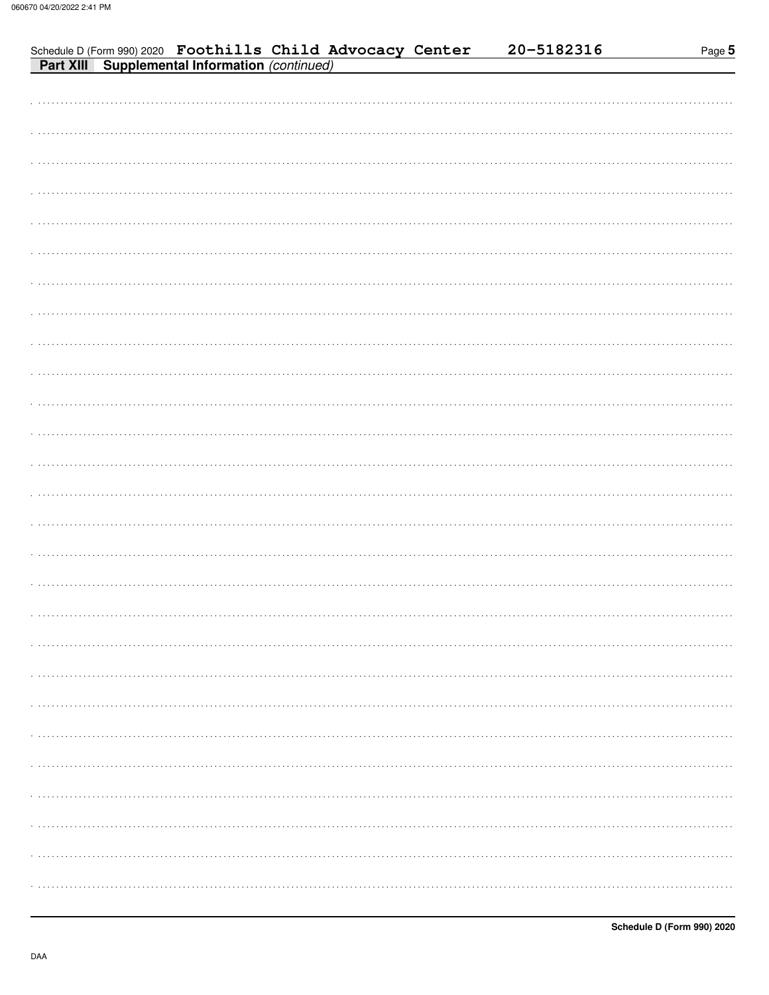| Schedule D (Form 990) 2020 Foothills Child Advocacy Center<br>Part XIII Supplemental Information (continued) | 20-5182316 | Page 5 |
|--------------------------------------------------------------------------------------------------------------|------------|--------|
|                                                                                                              |            |        |
|                                                                                                              |            |        |
|                                                                                                              |            |        |
|                                                                                                              |            |        |
|                                                                                                              |            |        |
|                                                                                                              |            |        |
|                                                                                                              |            |        |
|                                                                                                              |            |        |
|                                                                                                              |            |        |
|                                                                                                              |            |        |
|                                                                                                              |            |        |
|                                                                                                              |            |        |
|                                                                                                              |            |        |
|                                                                                                              |            |        |
|                                                                                                              |            |        |
|                                                                                                              |            |        |
|                                                                                                              |            |        |
|                                                                                                              |            |        |
|                                                                                                              |            |        |
|                                                                                                              |            |        |
|                                                                                                              |            |        |
|                                                                                                              |            |        |
|                                                                                                              |            |        |
|                                                                                                              |            |        |
|                                                                                                              |            |        |
|                                                                                                              |            |        |
|                                                                                                              |            |        |
|                                                                                                              |            |        |
|                                                                                                              |            |        |
|                                                                                                              |            |        |
|                                                                                                              |            |        |
|                                                                                                              |            |        |
|                                                                                                              |            |        |
|                                                                                                              |            |        |
|                                                                                                              |            |        |
|                                                                                                              |            |        |
|                                                                                                              |            |        |
|                                                                                                              |            |        |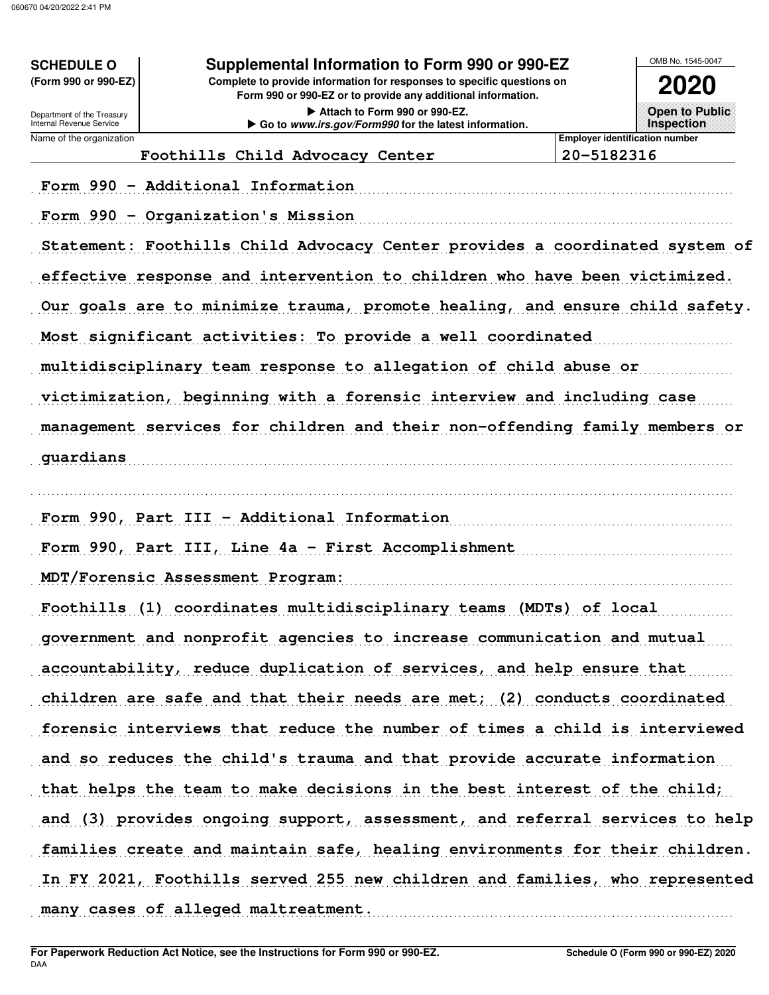| <b>SCHEDULE O</b>                                      | Supplemental Information to Form 990 or 990-EZ                                                                                         |                                       | OMB No. 1545-0047     |
|--------------------------------------------------------|----------------------------------------------------------------------------------------------------------------------------------------|---------------------------------------|-----------------------|
| (Form 990 or 990-EZ)                                   | Complete to provide information for responses to specific questions on<br>Form 990 or 990-EZ or to provide any additional information. | 2020                                  |                       |
| Department of the Treasury<br>Internal Revenue Service | Attach to Form 990 or 990-EZ.<br>Go to www.irs.gov/Form990 for the latest information.                                                 | Inspection                            | <b>Open to Public</b> |
| Name of the organization                               |                                                                                                                                        | <b>Employer identification number</b> |                       |
|                                                        | Foothills Child Advocacy Center                                                                                                        | 20-5182316                            |                       |
|                                                        | Form 990 - Additional Information                                                                                                      |                                       |                       |
|                                                        | Form 990 - Organization's Mission                                                                                                      |                                       |                       |
|                                                        | Statement: Foothills Child Advocacy Center provides a coordinated system of                                                            |                                       |                       |
|                                                        | effective response and intervention to children who have been victimized.                                                              |                                       |                       |
|                                                        | Our goals are to minimize trauma, promote healing, and ensure child safety.                                                            |                                       |                       |
|                                                        | Most significant activities: To provide a well coordinated                                                                             |                                       |                       |
|                                                        | multidisciplinary team response to allegation of child abuse or                                                                        |                                       |                       |
|                                                        | victimization, beginning with a forensic interview and including case                                                                  |                                       |                       |
|                                                        | management services for children and their non-offending family members or                                                             |                                       |                       |
| quardians                                              |                                                                                                                                        |                                       |                       |
|                                                        |                                                                                                                                        |                                       |                       |
|                                                        | Form 990, Part III - Additional Information                                                                                            |                                       |                       |
|                                                        | Form 990, Part III, Line 4a - First Accomplishment                                                                                     |                                       |                       |
|                                                        | MDT/Forensic Assessment Program:                                                                                                       |                                       |                       |
|                                                        | Foothills (1) coordinates multidisciplinary teams (MDTs) of local                                                                      |                                       |                       |
|                                                        | government and nonprofit agencies to increase communication and mutual                                                                 |                                       |                       |
|                                                        | accountability, reduce duplication of services, and help ensure that                                                                   |                                       |                       |
|                                                        | children are safe and that their needs are met; (2) conducts coordinated                                                               |                                       |                       |
|                                                        | forensic interviews that reduce the number of times a child is interviewed                                                             |                                       |                       |
|                                                        | and so reduces the child's trauma and that provide accurate information                                                                |                                       |                       |
|                                                        | that helps the team to make decisions in the best interest of the child;                                                               |                                       |                       |
|                                                        | and (3) provides ongoing support, assessment, and referral services to help                                                            |                                       |                       |
|                                                        | families create and maintain safe, healing environments for their children.                                                            |                                       |                       |
|                                                        | In FY 2021, Foothills served 255 new children and families, who represented                                                            |                                       |                       |
|                                                        | many cases of alleged maltreatment.                                                                                                    |                                       |                       |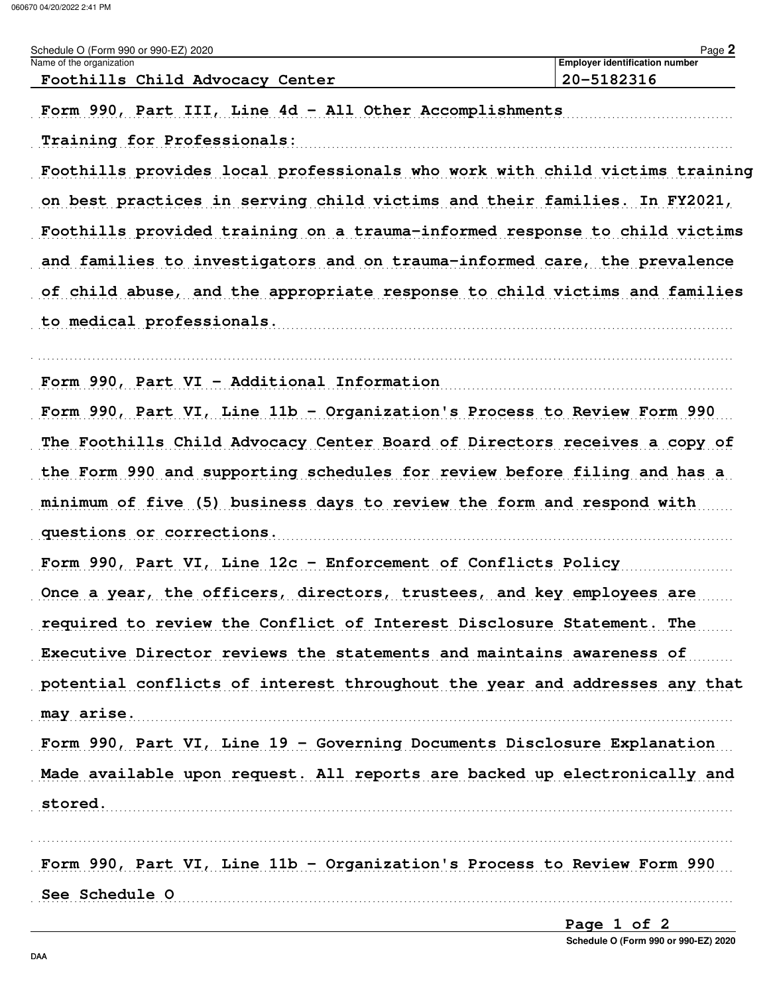060670 04/20/2022 2:41 PM

| Schedule O (Form 990 or 990-EZ) 2020<br>Name of the organization            | Page 2<br><b>Employer identification number</b> |
|-----------------------------------------------------------------------------|-------------------------------------------------|
| Foothills Child Advocacy Center                                             | 20-5182316                                      |
| Form 990, Part III, Line 4d - All Other Accomplishments                     |                                                 |
| Training for Professionals:                                                 |                                                 |
| Foothills provides local professionals who work with child victims training |                                                 |
| on best practices in serving child victims and their families. In FY2021,   |                                                 |
| Foothills provided training on a trauma-informed response to child victims  |                                                 |
| and families to investigators and on trauma-informed care, the prevalence   |                                                 |
| of child abuse, and the appropriate response to child victims and families  |                                                 |
| to medical professionals.                                                   |                                                 |
| Form 990, Part VI - Additional Information                                  |                                                 |
|                                                                             |                                                 |
| Form 990, Part VI, Line 11b - Organization's Process to Review Form 990     |                                                 |
| The Foothills Child Advocacy Center Board of Directors receives a copy of   |                                                 |
| the Form 990 and supporting schedules for review before filing and has a    |                                                 |
| minimum of five (5) business days to review the form and respond with       |                                                 |
| questions or corrections.                                                   |                                                 |
| Form 990, Part VI, Line 12c - Enforcement of Conflicts Policy               |                                                 |
| Once a year, the officers, directors, trustees, and key employees are       |                                                 |
| required to review the Conflict of Interest Disclosure Statement. The       |                                                 |
| Executive Director reviews the statements and maintains awareness of        |                                                 |
| potential conflicts of interest throughout the year and addresses any that  |                                                 |
| may arise.                                                                  |                                                 |
| Form 990, Part VI, Line 19 - Governing Documents Disclosure Explanation     |                                                 |
| Made available upon request. All reports are backed up electronically and   |                                                 |
| stored.                                                                     |                                                 |
| Form 990, Part VI, Line 11b - Organization's Process to Review Form 990     |                                                 |
| See Schedule O                                                              |                                                 |

Page 1 of 2 Schedule O (Form 990 or 990-EZ) 2020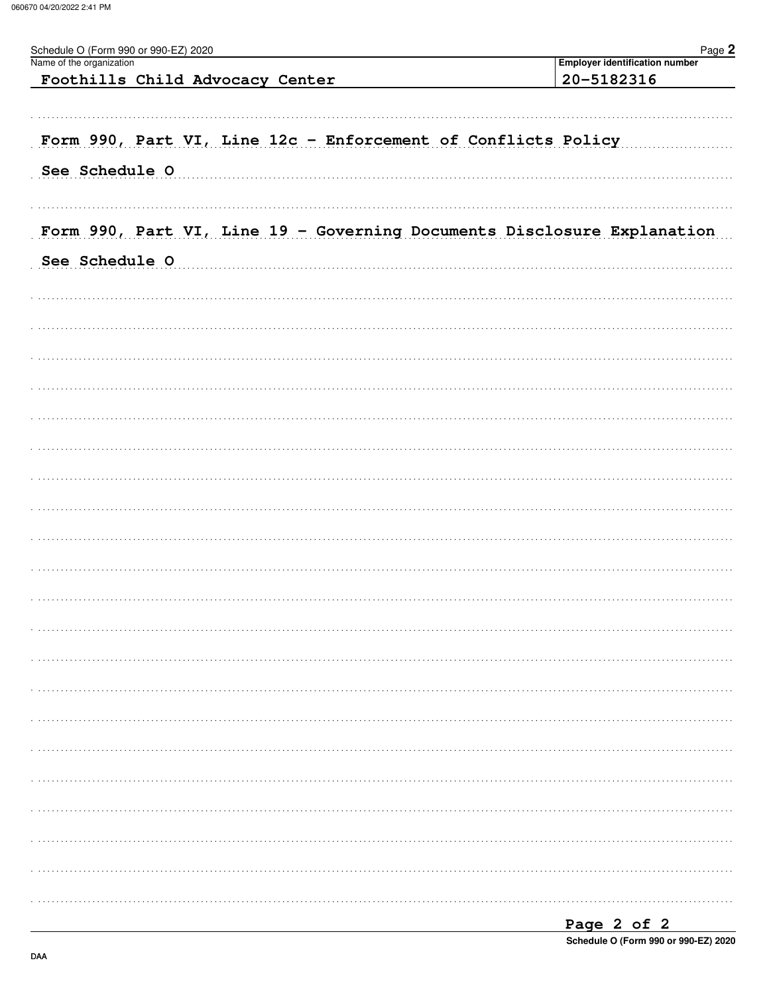| Schedule O (Form 990 or 990-EZ) 2020<br>Name of the organization        | Page 2<br><b>Employer identification number</b> |
|-------------------------------------------------------------------------|-------------------------------------------------|
| Foothills Child Advocacy Center                                         | 20-5182316                                      |
|                                                                         |                                                 |
|                                                                         |                                                 |
| Form 990, Part VI, Line 12c - Enforcement of Conflicts Policy           |                                                 |
| See Schedule O                                                          |                                                 |
|                                                                         |                                                 |
|                                                                         |                                                 |
| Form 990, Part VI, Line 19 - Governing Documents Disclosure Explanation |                                                 |
| See Schedule O                                                          |                                                 |
|                                                                         |                                                 |
|                                                                         |                                                 |
|                                                                         |                                                 |
|                                                                         |                                                 |
|                                                                         |                                                 |
|                                                                         |                                                 |
|                                                                         |                                                 |
|                                                                         |                                                 |
|                                                                         |                                                 |
|                                                                         |                                                 |
|                                                                         |                                                 |
|                                                                         |                                                 |
|                                                                         |                                                 |
|                                                                         |                                                 |
|                                                                         |                                                 |
|                                                                         |                                                 |
|                                                                         |                                                 |
|                                                                         |                                                 |
|                                                                         |                                                 |
|                                                                         |                                                 |
|                                                                         |                                                 |
|                                                                         |                                                 |
|                                                                         |                                                 |
|                                                                         |                                                 |
|                                                                         |                                                 |
|                                                                         |                                                 |
|                                                                         |                                                 |
|                                                                         |                                                 |

| Page 2 of 2 |  |                                      |
|-------------|--|--------------------------------------|
|             |  | Schedule O (Form 990 or 990-EZ) 2020 |

DAA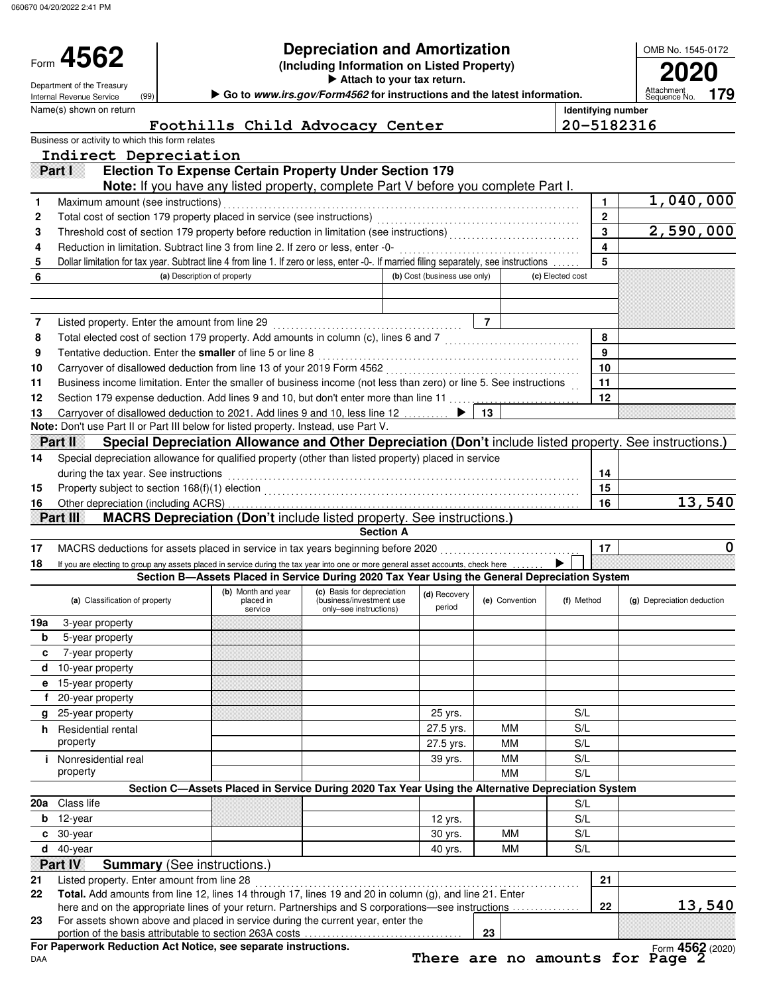060670 04/20/2022 2:41 PM

Name(s) shown on return

(99)

Form 4562

**(Including Information on Listed Property)**  $4562$  **Lepreciation and Amortization**<br>(Including Information on Listed Property) **2020** 

- **Attach to your tax return.**

Department of the Treasury (99) **Contract Manual Properties Contract information.**<br>
Internal Revenue Service (99) **Contract on** *WWW.irs.gov/Form4562* **for instructions and the latest information.** 

| Foothills Child Advocacy Center |  |  |  |
|---------------------------------|--|--|--|
|---------------------------------|--|--|--|

|     | Business or activity to which this form relates                                                                                         |                      |                                                                                                                             |                              |                 |                  |    |                            |
|-----|-----------------------------------------------------------------------------------------------------------------------------------------|----------------------|-----------------------------------------------------------------------------------------------------------------------------|------------------------------|-----------------|------------------|----|----------------------------|
|     | Indirect Depreciation                                                                                                                   |                      |                                                                                                                             |                              |                 |                  |    |                            |
|     | <b>Election To Expense Certain Property Under Section 179</b><br>Part I                                                                 |                      |                                                                                                                             |                              |                 |                  |    |                            |
|     | Note: If you have any listed property, complete Part V before you complete Part I.                                                      |                      |                                                                                                                             |                              |                 |                  |    |                            |
| 1   | Maximum amount (see instructions)                                                                                                       |                      |                                                                                                                             |                              |                 |                  | 1  | 1,040,000                  |
| 2   | Total cost of section 179 property placed in service (see instructions)                                                                 |                      | $\mathbf{2}$                                                                                                                |                              |                 |                  |    |                            |
| 3   |                                                                                                                                         |                      | 3                                                                                                                           | 2,590,000                    |                 |                  |    |                            |
| 4   | Reduction in limitation. Subtract line 3 from line 2. If zero or less, enter -0-                                                        |                      |                                                                                                                             |                              |                 |                  | 4  |                            |
| 5   | Dollar limitation for tax year. Subtract line 4 from line 1. If zero or less, enter -0-. If married filing separately, see instructions |                      |                                                                                                                             |                              |                 |                  | 5  |                            |
| 6   | (a) Description of property                                                                                                             |                      |                                                                                                                             | (b) Cost (business use only) |                 | (c) Elected cost |    |                            |
|     |                                                                                                                                         |                      |                                                                                                                             |                              |                 |                  |    |                            |
|     |                                                                                                                                         |                      |                                                                                                                             |                              |                 |                  |    |                            |
| 7   | Listed property. Enter the amount from line 29                                                                                          |                      |                                                                                                                             |                              | $\overline{7}$  |                  |    |                            |
| 8   | Total elected cost of section 179 property. Add amounts in column (c), lines 6 and 7 [[[[[[[[[[[[[[[[[[[[[[[[                           |                      |                                                                                                                             |                              |                 |                  | 8  |                            |
| 9   | Tentative deduction. Enter the smaller of line 5 or line 8                                                                              |                      |                                                                                                                             |                              |                 |                  | 9  |                            |
| 10  | Carryover of disallowed deduction from line 13 of your 2019 Form 4562                                                                   |                      |                                                                                                                             |                              |                 |                  | 10 |                            |
| 11  | Business income limitation. Enter the smaller of business income (not less than zero) or line 5. See instructions                       |                      |                                                                                                                             |                              |                 |                  | 11 |                            |
| 12  | Section 179 expense deduction. Add lines 9 and 10, but don't enter more than line 11                                                    |                      |                                                                                                                             |                              |                 |                  | 12 |                            |
| 13  | Carryover of disallowed deduction to 2021. Add lines 9 and 10, less line 12                                                             |                      |                                                                                                                             |                              | 13              |                  |    |                            |
|     | Note: Don't use Part II or Part III below for listed property. Instead, use Part V.                                                     |                      |                                                                                                                             |                              |                 |                  |    |                            |
|     | Part II<br>Special Depreciation Allowance and Other Depreciation (Don't include listed property. See instructions.)                     |                      |                                                                                                                             |                              |                 |                  |    |                            |
| 14  | Special depreciation allowance for qualified property (other than listed property) placed in service                                    |                      |                                                                                                                             |                              |                 |                  |    |                            |
|     | during the tax year. See instructions                                                                                                   |                      |                                                                                                                             |                              |                 |                  | 14 |                            |
| 15  |                                                                                                                                         |                      |                                                                                                                             |                              |                 |                  | 15 |                            |
| 16  |                                                                                                                                         |                      |                                                                                                                             |                              |                 |                  | 16 | 13,540                     |
|     | MACRS Depreciation (Don't include listed property. See instructions.)<br>Part III                                                       |                      | <b>Section A</b>                                                                                                            |                              |                 |                  |    |                            |
|     |                                                                                                                                         |                      |                                                                                                                             |                              |                 |                  |    |                            |
| 17  | MACRS deductions for assets placed in service in tax years beginning before 2020                                                        |                      |                                                                                                                             |                              |                 |                  | 17 | 0                          |
| 18  | If you are electing to group any assets placed in service during the tax year into one or more general asset accounts, check here       |                      |                                                                                                                             |                              |                 |                  |    |                            |
|     |                                                                                                                                         | (b) Month and year   | Section B-Assets Placed in Service During 2020 Tax Year Using the General Depreciation System<br>(c) Basis for depreciation |                              |                 |                  |    |                            |
|     | (a) Classification of property                                                                                                          | placed in<br>service | (business/investment use<br>only-see instructions)                                                                          | (d) Recovery<br>period       | (e) Convention  | (f) Method       |    | (g) Depreciation deduction |
| 19a | 3-year property                                                                                                                         |                      |                                                                                                                             |                              |                 |                  |    |                            |
| b   | 5-year property                                                                                                                         |                      |                                                                                                                             |                              |                 |                  |    |                            |
| c   | 7-year property                                                                                                                         |                      |                                                                                                                             |                              |                 |                  |    |                            |
| d   | 10-year property                                                                                                                        |                      |                                                                                                                             |                              |                 |                  |    |                            |
| е   | 15-year property                                                                                                                        |                      |                                                                                                                             |                              |                 |                  |    |                            |
|     | f 20-year property                                                                                                                      |                      |                                                                                                                             |                              |                 |                  |    |                            |
|     | g 25-year property                                                                                                                      |                      |                                                                                                                             | 25 yrs.                      |                 | S/L              |    |                            |
|     | h Residential rental                                                                                                                    |                      |                                                                                                                             | 27.5 yrs.                    | MM              | S/L              |    |                            |
|     | property                                                                                                                                |                      |                                                                                                                             | 27.5 yrs.                    | MM              | S/L              |    |                            |
|     | <i>i</i> Nonresidential real<br>property                                                                                                |                      |                                                                                                                             | 39 yrs.                      | МM<br><b>MM</b> | S/L<br>S/L       |    |                            |
|     |                                                                                                                                         |                      | Section C-Assets Placed in Service During 2020 Tax Year Using the Alternative Depreciation System                           |                              |                 |                  |    |                            |
| 20a | Class life                                                                                                                              |                      |                                                                                                                             |                              |                 | S/L              |    |                            |
|     | $b$ 12-year                                                                                                                             |                      |                                                                                                                             | 12 yrs.                      |                 | S/L              |    |                            |
|     |                                                                                                                                         |                      |                                                                                                                             |                              |                 |                  |    |                            |

|    | 30-year                                                                                                                                                                                                       |    | 30 vrs.    | MM | S/L |  |  |
|----|---------------------------------------------------------------------------------------------------------------------------------------------------------------------------------------------------------------|----|------------|----|-----|--|--|
|    | 40-vear                                                                                                                                                                                                       |    | 40 vrs.    | MМ | S/L |  |  |
|    | Part IV<br><b>Summary</b> (See instructions.)                                                                                                                                                                 |    |            |    |     |  |  |
| 21 | Listed property. Enter amount from line 28                                                                                                                                                                    |    | 21         |    |     |  |  |
| 22 | Total. Add amounts from line 12, lines 14 through 17, lines 19 and 20 in column (g), and line 21. Enter<br>here and on the appropriate lines of your return. Partnerships and S corporations—see instructions | 22 | 540<br>13. |    |     |  |  |

| 23 For assets shown above and placed in service during the current year, enter the |  |  |  |
|------------------------------------------------------------------------------------|--|--|--|
| perties of the besig ettributeble to section 060A sector                           |  |  |  |

DAA

portion of the basis attributable to section 263A costs . . . . . . . **For Paperwork Reduction Act Notice, see separate instructions. 23**

**179**

OMB No. 1545-0172

|  | entifying number |  |
|--|------------------|--|
|  | -------          |  |

| Identifying number |
|--------------------|
| 20-5182316         |